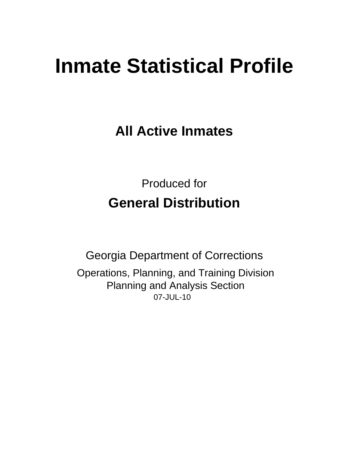# **Inmate Statistical Profile**

**All Active Inmates** 

**Produced for General Distribution** 

**Georgia Department of Corrections** Operations, Planning, and Training Division **Planning and Analysis Section** 07-JUL-10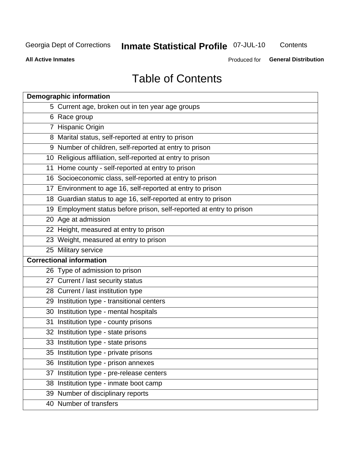# Inmate Statistical Profile 07-JUL-10

Contents

**All Active Inmates** 

Produced for General Distribution

# **Table of Contents**

|    | <b>Demographic information</b>                                       |
|----|----------------------------------------------------------------------|
|    | 5 Current age, broken out in ten year age groups                     |
|    | 6 Race group                                                         |
|    | 7 Hispanic Origin                                                    |
|    | 8 Marital status, self-reported at entry to prison                   |
|    | 9 Number of children, self-reported at entry to prison               |
|    | 10 Religious affiliation, self-reported at entry to prison           |
|    | 11 Home county - self-reported at entry to prison                    |
|    | 16 Socioeconomic class, self-reported at entry to prison             |
|    | 17 Environment to age 16, self-reported at entry to prison           |
|    | 18 Guardian status to age 16, self-reported at entry to prison       |
|    | 19 Employment status before prison, self-reported at entry to prison |
|    | 20 Age at admission                                                  |
|    | 22 Height, measured at entry to prison                               |
|    | 23 Weight, measured at entry to prison                               |
|    | 25 Military service                                                  |
|    | <b>Correctional information</b>                                      |
|    | 26 Type of admission to prison                                       |
|    | 27 Current / last security status                                    |
|    | 28 Current / last institution type                                   |
|    | 29 Institution type - transitional centers                           |
|    | 30 Institution type - mental hospitals                               |
|    | 31 Institution type - county prisons                                 |
|    | 32 Institution type - state prisons                                  |
|    | 33 Institution type - state prisons                                  |
|    | 35 Institution type - private prisons                                |
|    | 36 Institution type - prison annexes                                 |
| 37 | Institution type - pre-release centers                               |
|    | 38 Institution type - inmate boot camp                               |
|    | 39 Number of disciplinary reports                                    |
|    | 40 Number of transfers                                               |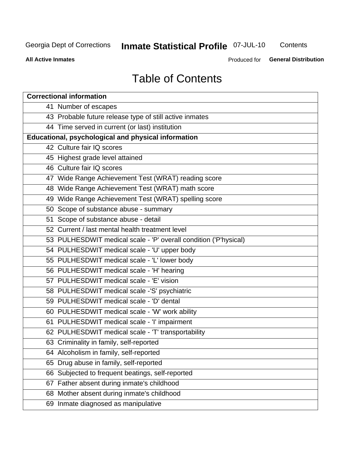# Inmate Statistical Profile 07-JUL-10

Contents

**All Active Inmates** 

Produced for General Distribution

# **Table of Contents**

| <b>Correctional information</b>                                  |
|------------------------------------------------------------------|
| 41 Number of escapes                                             |
| 43 Probable future release type of still active inmates          |
| 44 Time served in current (or last) institution                  |
| <b>Educational, psychological and physical information</b>       |
| 42 Culture fair IQ scores                                        |
| 45 Highest grade level attained                                  |
| 46 Culture fair IQ scores                                        |
| 47 Wide Range Achievement Test (WRAT) reading score              |
| 48 Wide Range Achievement Test (WRAT) math score                 |
| 49 Wide Range Achievement Test (WRAT) spelling score             |
| 50 Scope of substance abuse - summary                            |
| 51 Scope of substance abuse - detail                             |
| 52 Current / last mental health treatment level                  |
| 53 PULHESDWIT medical scale - 'P' overall condition ('P'hysical) |
| 54 PULHESDWIT medical scale - 'U' upper body                     |
| 55 PULHESDWIT medical scale - 'L' lower body                     |
| 56 PULHESDWIT medical scale - 'H' hearing                        |
| 57 PULHESDWIT medical scale - 'E' vision                         |
| 58 PULHESDWIT medical scale -'S' psychiatric                     |
| 59 PULHESDWIT medical scale - 'D' dental                         |
| 60 PULHESDWIT medical scale - 'W' work ability                   |
| 61 PULHESDWIT medical scale - 'I' impairment                     |
| 62 PULHESDWIT medical scale - 'T' transportability               |
| 63 Criminality in family, self-reported                          |
| 64 Alcoholism in family, self-reported                           |
| 65 Drug abuse in family, self-reported                           |
| 66 Subjected to frequent beatings, self-reported                 |
| 67 Father absent during inmate's childhood                       |
| 68 Mother absent during inmate's childhood                       |
| 69 Inmate diagnosed as manipulative                              |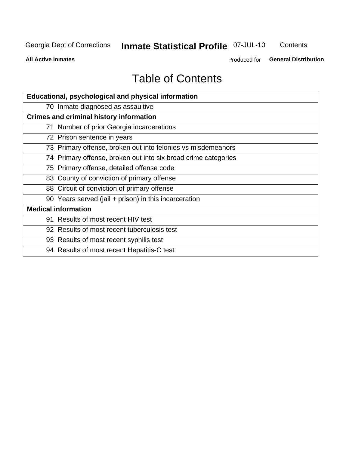# Inmate Statistical Profile 07-JUL-10

Contents

**All Active Inmates** 

Produced for General Distribution

# **Table of Contents**

| Educational, psychological and physical information            |
|----------------------------------------------------------------|
| 70 Inmate diagnosed as assaultive                              |
| <b>Crimes and criminal history information</b>                 |
| 71 Number of prior Georgia incarcerations                      |
| 72 Prison sentence in years                                    |
| 73 Primary offense, broken out into felonies vs misdemeanors   |
| 74 Primary offense, broken out into six broad crime categories |
| 75 Primary offense, detailed offense code                      |
| 83 County of conviction of primary offense                     |
| 88 Circuit of conviction of primary offense                    |
| 90 Years served (jail + prison) in this incarceration          |
| <b>Medical information</b>                                     |
| 91 Results of most recent HIV test                             |
| 92 Results of most recent tuberculosis test                    |
| 93 Results of most recent syphilis test                        |
| 94 Results of most recent Hepatitis-C test                     |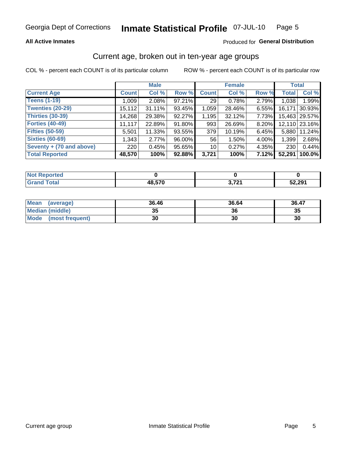### **All Active Inmates**

### Produced for General Distribution

# Current age, broken out in ten-year age groups

COL % - percent each COUNT is of its particular column

|                          |              | <b>Male</b> |        |              | <b>Female</b> |       |              | <b>Total</b>  |
|--------------------------|--------------|-------------|--------|--------------|---------------|-------|--------------|---------------|
| <b>Current Age</b>       | <b>Count</b> | Col %       | Row %  | <b>Count</b> | Col %         | Row % | <b>Total</b> | Col %         |
| <b>Teens (1-19)</b>      | 1,009        | 2.08%       | 97.21% | 29           | 0.78%         | 2.79% | 1,038        | 1.99%         |
| <b>Twenties (20-29)</b>  | 15,112       | 31.11%      | 93.45% | 1,059        | 28.46%        | 6.55% | 16,171       | 30.93%        |
| <b>Thirties (30-39)</b>  | 14,268       | 29.38%      | 92.27% | 1,195        | 32.12%        | 7.73% |              | 15,463 29.57% |
| <b>Forties (40-49)</b>   | 11,117       | 22.89%      | 91.80% | 993          | 26.69%        | 8.20% |              | 12,110 23.16% |
| <b>Fifties (50-59)</b>   | 5,501        | 11.33%      | 93.55% | 379          | 10.19%        | 6.45% | 5.880        | 11.24%        |
| <b>Sixties (60-69)</b>   | 1,343        | 2.77%       | 96.00% | 56           | 1.50%         | 4.00% | 1,399        | 2.68%         |
| Seventy + (70 and above) | 220          | 0.45%       | 95.65% | 10           | 0.27%         | 4.35% | 230          | 0.44%         |
| <b>Total Reported</b>    | 48,570       | 100%        | 92.88% | 3,721        | 100%          | 7.12% | 52,291       | 100.0%        |

| <b>Enorted</b><br><b>NOT REPO</b> |        |       |        |
|-----------------------------------|--------|-------|--------|
| Total                             | 10 E7N | 2.70/ | 52,291 |

| <b>Mean</b><br>(average) | 36.46    | 36.64 | 36.47 |
|--------------------------|----------|-------|-------|
| Median (middle)          | つん<br>vu | 36    | 35    |
| Mode<br>(most frequent)  | 30       | 30    | 30    |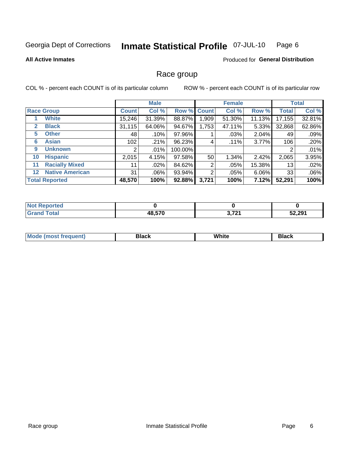#### **Inmate Statistical Profile 07-JUL-10** Page 6

### **All Active Inmates**

### **Produced for General Distribution**

# Race group

COL % - percent each COUNT is of its particular column

|         |                        | <b>Male</b>  |         |         | <b>Female</b> |         |          | <b>Total</b> |        |
|---------|------------------------|--------------|---------|---------|---------------|---------|----------|--------------|--------|
|         | <b>Race Group</b>      | <b>Count</b> | Col %   |         | Row % Count   | Col %   | Row %    | <b>Total</b> | Col %  |
|         | <b>White</b>           | 15,246       | 31.39%  | 88.87%  | 1,909         | 51.30%  | 11.13%   | 17, 155      | 32.81% |
| 2       | <b>Black</b>           | 31,115       | 64.06%  | 94.67%  | 1,753         | 47.11%  | 5.33%    | 32,868       | 62.86% |
| 5       | <b>Other</b>           | 48           | .10%    | 97.96%  |               | .03%    | 2.04%    | 49           | .09%   |
| 6       | <b>Asian</b>           | 102          | .21%    | 96.23%  | 4             | $.11\%$ | $3.77\%$ | 106          | .20%   |
| 9       | <b>Unknown</b>         | 2            | $.01\%$ | 100.00% |               |         |          | 2            | .01%   |
| 10      | <b>Hispanic</b>        | 2,015        | 4.15%   | 97.58%  | 50            | 1.34%   | 2.42%    | 2,065        | 3.95%  |
| 11      | <b>Racially Mixed</b>  | 11           | $.02\%$ | 84.62%  | 2             | .05%    | 15.38%   | 13           | .02%   |
| $12 \,$ | <b>Native American</b> | 31           | $.06\%$ | 93.94%  | 2             | .05%    | 6.06%    | 33           | .06%   |
|         | <b>Total Reported</b>  | 48,570       | 100%    | 92.88%  | 3,721         | 100%    | 7.12%    | 52,291       | 100%   |

| <b>Not Reported</b> |        |       |        |
|---------------------|--------|-------|--------|
| <b>Total</b>        | 48,570 | 2.704 | 52,291 |

| Mode (most frequent) | Black | White | Black |
|----------------------|-------|-------|-------|
|                      |       |       |       |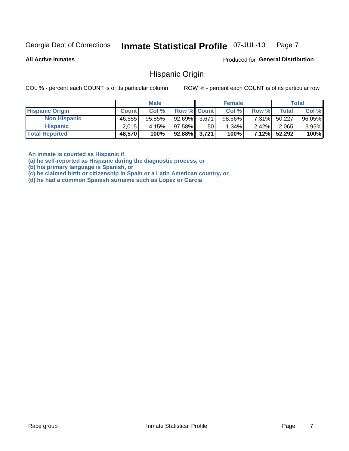#### Inmate Statistical Profile 07-JUL-10 Page 7

**All Active Inmates** 

Produced for General Distribution

# **Hispanic Origin**

COL % - percent each COUNT is of its particular column

ROW % - percent each COUNT is of its particular row

|                        |              | <b>Male</b> |                    |    | <b>Female</b> |          |        | <b>Total</b> |
|------------------------|--------------|-------------|--------------------|----|---------------|----------|--------|--------------|
| <b>Hispanic Origin</b> | <b>Count</b> | Col %       | <b>Row % Count</b> |    | Col %         | Row %    | Totall | Col %        |
| <b>Non Hispanic</b>    | 46,555       | $95.85\%$   | 92.69% 3,671       |    | $98.66\%$     | $7.31\%$ | 50,227 | 96.05%       |
| <b>Hispanic</b>        | 2.015        | 4.15%       | $97.58\%$          | 50 | $1.34\%$      | $2.42\%$ | 2,065  | $3.95\%$     |
| <b>Total Reported</b>  | 48,570       | 100%        | $92.88\%$ 3,721    |    | 100%          | 7.12%    | 52,292 | 100%         |

An inmate is counted as Hispanic if

(a) he self-reported as Hispanic during the diagnostic process, or

(b) his primary language is Spanish, or

(c) he claimed birth or citizenship in Spain or a Latin American country, or

(d) he had a common Spanish surname such as Lopez or Garcia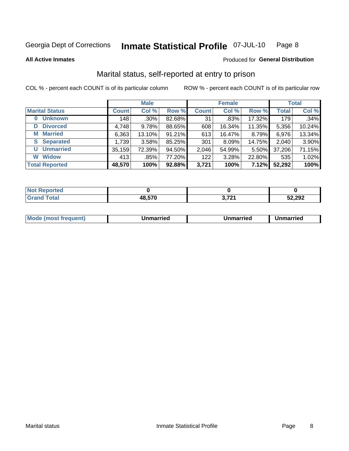#### Inmate Statistical Profile 07-JUL-10 Page 8

**All Active Inmates** 

### Produced for General Distribution

# Marital status, self-reported at entry to prison

COL % - percent each COUNT is of its particular column

|                            | <b>Male</b>  |         |        | <b>Female</b> |        |        | <b>Total</b> |        |
|----------------------------|--------------|---------|--------|---------------|--------|--------|--------------|--------|
| <b>Marital Status</b>      | <b>Count</b> | Col %   | Row %  | <b>Count</b>  | Col %  | Row %  | <b>Total</b> | Col %  |
| <b>Unknown</b><br>$\bf{0}$ | 148          | $.30\%$ | 82.68% | 31            | .83%   | 17.32% | 179          | .34%   |
| <b>Divorced</b><br>D       | 4,748        | 9.78%   | 88.65% | 608           | 16.34% | 11.35% | 5,356        | 10.24% |
| <b>Married</b><br>М        | 6,363        | 13.10%  | 91.21% | 613           | 16.47% | 8.79%  | 6,976        | 13.34% |
| <b>Separated</b><br>S.     | 1,739        | 3.58%   | 85.25% | 301           | 8.09%  | 14.75% | 2,040        | 3.90%  |
| <b>Unmarried</b><br>U      | 35,159       | 72.39%  | 94.50% | 2,046         | 54.99% | 5.50%  | 37,206       | 71.15% |
| <b>Widow</b><br>W          | 413          | $.85\%$ | 77.20% | 122           | 3.28%  | 22.80% | 535          | 1.02%  |
| <b>Total Reported</b>      | 48,570       | 100%    | 92.88% | 3,721         | 100%   | 7.12%  | 52,292       | 100%   |

| <b>rted</b><br>NOI |       |                 |        |
|--------------------|-------|-----------------|--------|
| <b>Fotal</b>       | מדה ה | 70,<br>.<br>. – | 52,292 |

|--|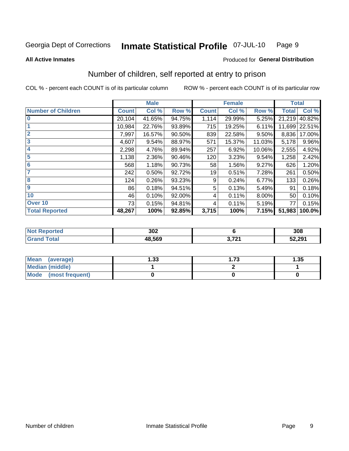#### Inmate Statistical Profile 07-JUL-10 Page 9

### **All Active Inmates**

# Produced for General Distribution

# Number of children, self reported at entry to prison

COL % - percent each COUNT is of its particular column

|                           | <b>Male</b>  |        |        |              | <b>Female</b> |        | <b>Total</b> |        |
|---------------------------|--------------|--------|--------|--------------|---------------|--------|--------------|--------|
| <b>Number of Children</b> | <b>Count</b> | Col %  | Row %  | <b>Count</b> | Col %         | Row %  | <b>Total</b> | Col %  |
| $\bf{0}$                  | 20,104       | 41.65% | 94.75% | 1,114        | 29.99%        | 5.25%  | 21,219       | 40.82% |
|                           | 10,984       | 22.76% | 93.89% | 715          | 19.25%        | 6.11%  | 11,699       | 22.51% |
| $\overline{2}$            | 7,997        | 16.57% | 90.50% | 839          | 22.58%        | 9.50%  | 8,836        | 17.00% |
| 3                         | 4,607        | 9.54%  | 88.97% | 571          | 15.37%        | 11.03% | 5,178        | 9.96%  |
| 4                         | 2,298        | 4.76%  | 89.94% | 257          | 6.92%         | 10.06% | 2,555        | 4.92%  |
| 5                         | 1,138        | 2.36%  | 90.46% | 120          | 3.23%         | 9.54%  | 1,258        | 2.42%  |
| 6                         | 568          | 1.18%  | 90.73% | 58           | 1.56%         | 9.27%  | 626          | 1.20%  |
| 7                         | 242          | 0.50%  | 92.72% | 19           | 0.51%         | 7.28%  | 261          | 0.50%  |
| 8                         | 124          | 0.26%  | 93.23% | 9            | 0.24%         | 6.77%  | 133          | 0.26%  |
| $\boldsymbol{9}$          | 86           | 0.18%  | 94.51% | 5            | 0.13%         | 5.49%  | 91           | 0.18%  |
| 10                        | 46           | 0.10%  | 92.00% | 4            | 0.11%         | 8.00%  | 50           | 0.10%  |
| Over 10                   | 73           | 0.15%  | 94.81% | 4            | 0.11%         | 5.19%  | 77           | 0.15%  |
| <b>Total Reported</b>     | 48,267       | 100%   | 92.85% | 3,715        | 100%          | 7.15%  | 51,983       | 100.0% |

| 302    |             | 308    |
|--------|-------------|--------|
| 48.569 | . הד<br>___ | 52,291 |

| <b>Mean</b><br>(average)       | ∣.33 | l.73 | 1.35 |
|--------------------------------|------|------|------|
| <b>Median (middle)</b>         |      |      |      |
| <b>Mode</b><br>(most frequent) |      |      |      |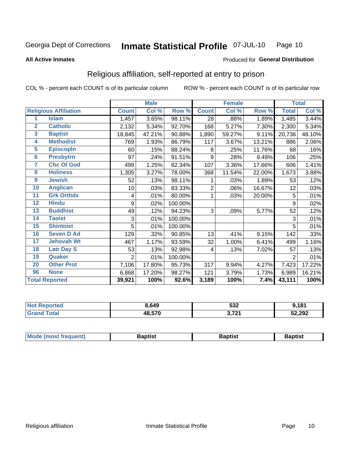#### Inmate Statistical Profile 07-JUL-10 Page 10

**All Active Inmates** 

### Produced for General Distribution

# Religious affiliation, self-reported at entry to prison

COL % - percent each COUNT is of its particular column

|                         |                              |                | <b>Male</b> |         |              | <b>Female</b> |        |                | <b>Total</b> |
|-------------------------|------------------------------|----------------|-------------|---------|--------------|---------------|--------|----------------|--------------|
|                         | <b>Religious Affiliation</b> | <b>Count</b>   | Col %       | Row %   | <b>Count</b> | Col %         | Row %  | <b>Total</b>   | Col %        |
| 1                       | <b>Islam</b>                 | 1,457          | 3.65%       | 98.11%  | 28           | .88%          | 1.89%  | 1,485          | 3.44%        |
| $\overline{2}$          | <b>Catholic</b>              | 2,132          | 5.34%       | 92.70%  | 168          | 5.27%         | 7.30%  | 2,300          | 5.34%        |
| $\overline{\mathbf{3}}$ | <b>Baptist</b>               | 18,845         | 47.21%      | 90.88%  | 1,890        | 59.27%        | 9.11%  | 20,736         | 48.10%       |
| $\overline{\mathbf{4}}$ | <b>Methodist</b>             | 769            | 1.93%       | 86.79%  | 117          | 3.67%         | 13.21% | 886            | 2.06%        |
| $\overline{\mathbf{5}}$ | <b>EpiscopIn</b>             | 60             | .15%        | 88.24%  | 8            | .25%          | 11.76% | 68             | .16%         |
| $6\overline{6}$         | <b>Presbytrn</b>             | 97             | .24%        | 91.51%  | 9            | .28%          | 8.49%  | 106            | .25%         |
| 7                       | <b>Chc Of God</b>            | 499            | 1.25%       | 82.34%  | 107          | 3.36%         | 17.66% | 606            | 1.41%        |
| 8                       | <b>Holiness</b>              | 1,305          | 3.27%       | 78.00%  | 368          | 11.54%        | 22.00% | 1,673          | 3.88%        |
| $\boldsymbol{9}$        | <b>Jewish</b>                | 52             | .13%        | 98.11%  |              | .03%          | 1.89%  | 53             | .12%         |
| 10                      | <b>Anglican</b>              | 10             | .03%        | 83.33%  | 2            | .06%          | 16.67% | 12             | .03%         |
| 11                      | <b>Grk Orthdx</b>            | 4              | .01%        | 80.00%  |              | .03%          | 20.00% | 5              | .01%         |
| 12                      | <b>Hindu</b>                 | 9              | .02%        | 100.00% |              |               |        | 9              | .02%         |
| 13                      | <b>Buddhist</b>              | 49             | .12%        | 94.23%  | 3            | .09%          | 5.77%  | 52             | .12%         |
| 14                      | <b>Taoist</b>                | 3              | .01%        | 100.00% |              |               |        | 3              | .01%         |
| 15                      | <b>Shintoist</b>             | 5              | .01%        | 100.00% |              |               |        | 5              | .01%         |
| 16                      | <b>Seven D Ad</b>            | 129            | .32%        | 90.85%  | 13           | .41%          | 9.15%  | 142            | .33%         |
| 17                      | <b>Jehovah Wt</b>            | 467            | 1.17%       | 93.59%  | 32           | 1.00%         | 6.41%  | 499            | 1.16%        |
| 18                      | <b>Latr Day S</b>            | 53             | .13%        | 92.98%  | 4            | .13%          | 7.02%  | 57             | .13%         |
| 19                      | Quaker                       | $\overline{2}$ | .01%        | 100.00% |              |               |        | $\overline{2}$ | .01%         |
| 20                      | <b>Other Prot</b>            | 7,106          | 17.80%      | 95.73%  | 317          | 9.94%         | 4.27%  | 7,423          | 17.22%       |
| 96                      | <b>None</b>                  | 6,868          | 17.20%      | 98.27%  | 121          | 3.79%         | 1.73%  | 6,989          | 16.21%       |
|                         | <b>Total Reported</b>        | 39,921         | 100%        | 92.6%   | 3,189        | 100%          | 7.4%   | 43,111         | 100%         |

| <b>orted</b>               | 8,649  | E20<br>ാാ∠           | ,181   |
|----------------------------|--------|----------------------|--------|
| <b>Fotal</b><br><b>. .</b> | 48,570 | <b>2.724</b><br>,,,, | 52,292 |

| Baptist<br>Baptist<br><b>Baptist</b> |  | <b>Mode (most frequent)</b> |  |  |  |
|--------------------------------------|--|-----------------------------|--|--|--|
|--------------------------------------|--|-----------------------------|--|--|--|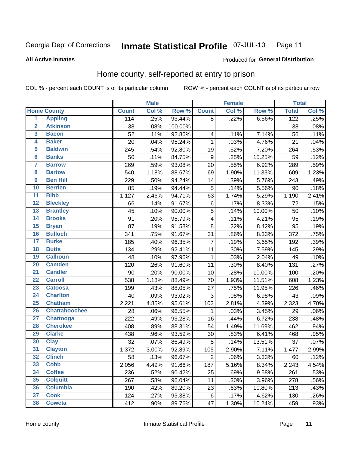#### **Inmate Statistical Profile 07-JUL-10** Page 11

### **All Active Inmates**

# Produced for General Distribution

# Home county, self-reported at entry to prison

COL % - percent each COUNT is of its particular column

|                         |                      |              | <b>Male</b> |         |                         | <b>Female</b> |        | <b>Total</b> |       |
|-------------------------|----------------------|--------------|-------------|---------|-------------------------|---------------|--------|--------------|-------|
|                         | <b>Home County</b>   | <b>Count</b> | Col %       | Row %   | <b>Count</b>            | Col %         | Row %  | <b>Total</b> | Col % |
| $\overline{\mathbf{1}}$ | <b>Appling</b>       | 114          | .25%        | 93.44%  | 8                       | .22%          | 6.56%  | 122          | .25%  |
| $\overline{2}$          | <b>Atkinson</b>      | 38           | .08%        | 100.00% |                         |               |        | 38           | .08%  |
| 3                       | <b>Bacon</b>         | 52           | .11%        | 92.86%  | $\overline{\mathbf{4}}$ | .11%          | 7.14%  | 56           | .11%  |
| 4                       | <b>Baker</b>         | 20           | .04%        | 95.24%  | $\mathbf 1$             | .03%          | 4.76%  | 21           | .04%  |
| 5                       | <b>Baldwin</b>       | 245          | .54%        | 92.80%  | 19                      | .52%          | 7.20%  | 264          | .53%  |
| $6\phantom{1}6$         | <b>Banks</b>         | 50           | .11%        | 84.75%  | $\boldsymbol{9}$        | .25%          | 15.25% | 59           | .12%  |
| $\overline{7}$          | <b>Barrow</b>        | 269          | .59%        | 93.08%  | 20                      | .55%          | 6.92%  | 289          | .59%  |
| 8                       | <b>Bartow</b>        | 540          | 1.18%       | 88.67%  | 69                      | 1.90%         | 11.33% | 609          | 1.23% |
| $\overline{9}$          | <b>Ben Hill</b>      | 229          | .50%        | 94.24%  | 14                      | .39%          | 5.76%  | 243          | .49%  |
| 10                      | <b>Berrien</b>       | 85           | .19%        | 94.44%  | 5                       | .14%          | 5.56%  | 90           | .18%  |
| $\overline{11}$         | <b>Bibb</b>          | 1,127        | 2.46%       | 94.71%  | 63                      | 1.74%         | 5.29%  | 1,190        | 2.41% |
| $\overline{12}$         | <b>Bleckley</b>      | 66           | .14%        | 91.67%  | $\,6$                   | .17%          | 8.33%  | 72           | .15%  |
| 13                      | <b>Brantley</b>      | 45           | .10%        | 90.00%  | $\overline{5}$          | .14%          | 10.00% | 50           | .10%  |
| 14                      | <b>Brooks</b>        | 91           | .20%        | 95.79%  | $\overline{\mathbf{4}}$ | .11%          | 4.21%  | 95           | .19%  |
| 15                      | <b>Bryan</b>         | 87           | .19%        | 91.58%  | 8                       | .22%          | 8.42%  | 95           | .19%  |
| 16                      | <b>Bulloch</b>       | 341          | .75%        | 91.67%  | 31                      | .86%          | 8.33%  | 372          | .75%  |
| $\overline{17}$         | <b>Burke</b>         | 185          | .40%        | 96.35%  | $\overline{7}$          | .19%          | 3.65%  | 192          | .39%  |
| 18                      | <b>Butts</b>         | 134          | .29%        | 92.41%  | 11                      | .30%          | 7.59%  | 145          | .29%  |
| 19                      | <b>Calhoun</b>       | 48           | .10%        | 97.96%  | $\mathbf 1$             | .03%          | 2.04%  | 49           | .10%  |
| $\overline{20}$         | <b>Camden</b>        | 120          | .26%        | 91.60%  | 11                      | .30%          | 8.40%  | 131          | .27%  |
| $\overline{21}$         | <b>Candler</b>       | 90           | .20%        | 90.00%  | 10                      | .28%          | 10.00% | 100          | .20%  |
| $\overline{22}$         | <b>Carroll</b>       | 538          | 1.18%       | 88.49%  | 70                      | 1.93%         | 11.51% | 608          | 1.23% |
| 23                      | <b>Catoosa</b>       | 199          | .43%        | 88.05%  | 27                      | .75%          | 11.95% | 226          | .46%  |
| $\overline{24}$         | <b>Charlton</b>      | 40           | .09%        | 93.02%  | 3                       | .08%          | 6.98%  | 43           | .09%  |
| $\overline{25}$         | <b>Chatham</b>       | 2,221        | 4.85%       | 95.61%  | 102                     | 2.81%         | 4.39%  | 2,323        | 4.70% |
| 26                      | <b>Chattahoochee</b> | 28           | .06%        | 96.55%  | $\mathbf{1}$            | .03%          | 3.45%  | 29           | .06%  |
| $\overline{27}$         | Chattooga            | 222          | .49%        | 93.28%  | 16                      | .44%          | 6.72%  | 238          | .48%  |
| 28                      | <b>Cherokee</b>      | 408          | .89%        | 88.31%  | 54                      | 1.49%         | 11.69% | 462          | .94%  |
| 29                      | <b>Clarke</b>        | 438          | .96%        | 93.59%  | 30                      | .83%          | 6.41%  | 468          | .95%  |
| 30                      | <b>Clay</b>          | 32           | .07%        | 86.49%  | 5                       | .14%          | 13.51% | 37           | .07%  |
| 31                      | <b>Clayton</b>       | 1,372        | 3.00%       | 92.89%  | 105                     | 2.90%         | 7.11%  | 1,477        | 2.99% |
| 32                      | <b>Clinch</b>        | 58           | .13%        | 96.67%  | $\mathbf 2$             | .06%          | 3.33%  | 60           | .12%  |
| 33                      | <b>Cobb</b>          | 2,056        | 4.49%       | 91.66%  | 187                     | 5.16%         | 8.34%  | 2,243        | 4.54% |
| 34                      | <b>Coffee</b>        | 236          | .52%        | 90.42%  | 25                      | .69%          | 9.58%  | 261          | .53%  |
| 35                      | <b>Colquitt</b>      | 267          | .58%        | 96.04%  | 11                      | .30%          | 3.96%  | 278          | .56%  |
| 36                      | <b>Columbia</b>      | 190          | .42%        | 89.20%  | 23                      | .63%          | 10.80% | 213          | .43%  |
| 37                      | <b>Cook</b>          | 124          | .27%        | 95.38%  | 6                       | .17%          | 4.62%  | 130          | .26%  |
| 38                      | <b>Coweta</b>        | 412          | .90%        | 89.76%  | 47                      | 1.30%         | 10.24% | 459          | .93%  |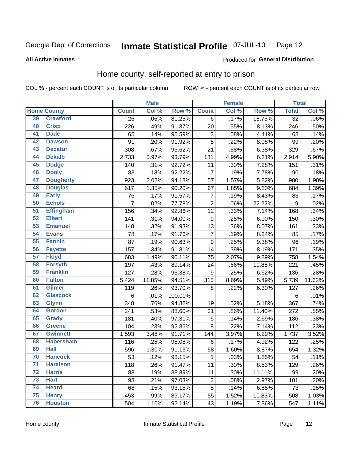#### **Inmate Statistical Profile 07-JUL-10** Page 12

**All Active Inmates** 

### Produced for General Distribution

# Home county, self-reported at entry to prison

COL % - percent each COUNT is of its particular column

|                 |                    |                 | <b>Male</b> |         |                         | <b>Female</b> |        | <b>Total</b>    |        |
|-----------------|--------------------|-----------------|-------------|---------|-------------------------|---------------|--------|-----------------|--------|
|                 | <b>Home County</b> | <b>Count</b>    | Col %       | Row %   | <b>Count</b>            | Col %         | Row %  | <b>Total</b>    | Col %  |
| 39              | <b>Crawford</b>    | $\overline{26}$ | .06%        | 81.25%  | 6                       | .17%          | 18.75% | $\overline{32}$ | .06%   |
| 40              | <b>Crisp</b>       | 226             | .49%        | 91.87%  | 20                      | .55%          | 8.13%  | 246             | .50%   |
| 41              | <b>Dade</b>        | 65              | .14%        | 95.59%  | $\mathbf{3}$            | .08%          | 4.41%  | 68              | .14%   |
| 42              | <b>Dawson</b>      | 91              | .20%        | 91.92%  | 8                       | .22%          | 8.08%  | 99              | .20%   |
| 43              | <b>Decatur</b>     | 308             | .67%        | 93.62%  | 21                      | .58%          | 6.38%  | 329             | .67%   |
| 44              | <b>Dekalb</b>      | 2,733           | 5.97%       | 93.79%  | 181                     | 4.99%         | 6.21%  | 2,914           | 5.90%  |
| 45              | <b>Dodge</b>       | 140             | .31%        | 92.72%  | 11                      | .30%          | 7.28%  | 151             | .31%   |
| 46              | <b>Dooly</b>       | 83              | .18%        | 92.22%  | $\overline{7}$          | .19%          | 7.78%  | 90              | .18%   |
| 47              | <b>Dougherty</b>   | 923             | 2.02%       | 94.18%  | 57                      | 1.57%         | 5.82%  | 980             | 1.98%  |
| 48              | <b>Douglas</b>     | 617             | 1.35%       | 90.20%  | 67                      | 1.85%         | 9.80%  | 684             | 1.39%  |
| 49              | <b>Early</b>       | 76              | .17%        | 91.57%  | $\overline{\mathbf{7}}$ | .19%          | 8.43%  | 83              | .17%   |
| 50              | <b>Echols</b>      | $\overline{7}$  | .02%        | 77.78%  | $\overline{2}$          | .06%          | 22.22% | 9               | .02%   |
| $\overline{51}$ | <b>Effingham</b>   | 156             | .34%        | 92.86%  | 12                      | .33%          | 7.14%  | 168             | .34%   |
| 52              | <b>Elbert</b>      | 141             | .31%        | 94.00%  | $\boldsymbol{9}$        | .25%          | 6.00%  | 150             | .30%   |
| 53              | <b>Emanuel</b>     | 148             | .32%        | 91.93%  | 13                      | .36%          | 8.07%  | 161             | .33%   |
| $\overline{54}$ | <b>Evans</b>       | 78              | .17%        | 91.76%  | $\overline{7}$          | .19%          | 8.24%  | 85              | .17%   |
| $\overline{55}$ | <b>Fannin</b>      | 87              | .19%        | 90.63%  | $\boldsymbol{9}$        | .25%          | 9.38%  | 96              | .19%   |
| 56              | <b>Fayette</b>     | 157             | .34%        | 91.81%  | 14                      | .39%          | 8.19%  | 171             | .35%   |
| 57              | <b>Floyd</b>       | 683             | 1.49%       | 90.11%  | 75                      | 2.07%         | 9.89%  | 758             | 1.54%  |
| 58              | <b>Forsyth</b>     | 197             | .43%        | 89.14%  | 24                      | .66%          | 10.86% | 221             | .45%   |
| 59              | <b>Franklin</b>    | 127             | .28%        | 93.38%  | $\boldsymbol{9}$        | .25%          | 6.62%  | 136             | .28%   |
| 60              | <b>Fulton</b>      | 5,424           | 11.85%      | 94.51%  | 315                     | 8.69%         | 5.49%  | 5,739           | 11.62% |
| 61              | <b>Gilmer</b>      | 119             | .26%        | 93.70%  | 8                       | .22%          | 6.30%  | 127             | .26%   |
| 62              | <b>Glascock</b>    | 6               | .01%        | 100.00% |                         |               |        | 6               | .01%   |
| 63              | <b>Glynn</b>       | 348             | .76%        | 94.82%  | 19                      | .52%          | 5.18%  | 367             | .74%   |
| 64              | <b>Gordon</b>      | 241             | .53%        | 88.60%  | 31                      | .86%          | 11.40% | 272             | .55%   |
| 65              | <b>Grady</b>       | 181             | .40%        | 97.31%  | 5                       | .14%          | 2.69%  | 186             | .38%   |
| 66              | <b>Greene</b>      | 104             | .23%        | 92.86%  | 8                       | .22%          | 7.14%  | 112             | .23%   |
| 67              | <b>Gwinnett</b>    | 1,593           | 3.48%       | 91.71%  | 144                     | 3.97%         | 8.29%  | 1,737           | 3.52%  |
| 68              | <b>Habersham</b>   | 116             | .25%        | 95.08%  | $\,6$                   | .17%          | 4.92%  | 122             | .25%   |
| 69              | <b>Hall</b>        | 596             | 1.30%       | 91.13%  | 58                      | 1.60%         | 8.87%  | 654             | 1.32%  |
| 70              | <b>Hancock</b>     | 53              | .12%        | 98.15%  | 1                       | .03%          | 1.85%  | 54              | .11%   |
| $\overline{71}$ | <b>Haralson</b>    | 118             | .26%        | 91.47%  | 11                      | .30%          | 8.53%  | 129             | .26%   |
| 72              | <b>Harris</b>      | 88              | .19%        | 88.89%  | 11                      | .30%          | 11.11% | 99              | .20%   |
| 73              | <b>Hart</b>        | 98              | .21%        | 97.03%  | 3                       | .08%          | 2.97%  | 101             | .20%   |
| 74              | <b>Heard</b>       | 68              | .15%        | 93.15%  | 5                       | .14%          | 6.85%  | 73              | .15%   |
| 75              | <b>Henry</b>       | 453             | .99%        | 89.17%  | 55                      | 1.52%         | 10.83% | 508             | 1.03%  |
| 76              | <b>Houston</b>     | 504             | 1.10%       | 92.14%  | 43                      | 1.19%         | 7.86%  | 547             | 1.11%  |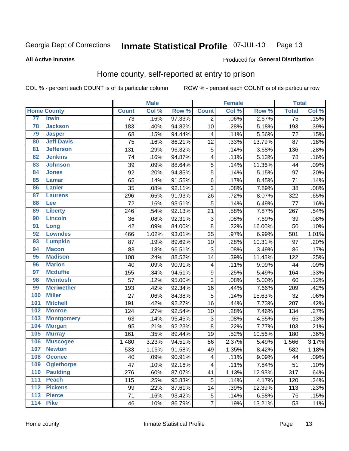#### Inmate Statistical Profile 07-JUL-10 Page 13

### **All Active Inmates**

### Produced for General Distribution

# Home county, self-reported at entry to prison

COL % - percent each COUNT is of its particular column

|                  |                    |              | <b>Male</b> |        |                  | <b>Female</b> |        | <b>Total</b> |                     |
|------------------|--------------------|--------------|-------------|--------|------------------|---------------|--------|--------------|---------------------|
|                  | <b>Home County</b> | <b>Count</b> | Col %       | Row %  | <b>Count</b>     | Col %         | Row %  | <b>Total</b> | Col %               |
| 77               | <b>Irwin</b>       | 73           | .16%        | 97.33% | 2                | .06%          | 2.67%  | 75           | .15%                |
| 78               | <b>Jackson</b>     | 183          | .40%        | 94.82% | 10               | .28%          | 5.18%  | 193          | .39%                |
| 79               | <b>Jasper</b>      | 68           | .15%        | 94.44% | 4                | .11%          | 5.56%  | 72           | .15%                |
| 80               | <b>Jeff Davis</b>  | 75           | .16%        | 86.21% | 12               | .33%          | 13.79% | 87           | .18%                |
| $\overline{81}$  | <b>Jefferson</b>   | 131          | .29%        | 96.32% | 5                | .14%          | 3.68%  | 136          | .28%                |
| 82               | <b>Jenkins</b>     | 74           | .16%        | 94.87% | 4                | .11%          | 5.13%  | 78           | .16%                |
| 83               | <b>Johnson</b>     | 39           | .09%        | 88.64% | $\overline{5}$   | .14%          | 11.36% | 44           | .09%                |
| 84               | <b>Jones</b>       | 92           | .20%        | 94.85% | 5                | .14%          | 5.15%  | 97           | .20%                |
| 85               | <b>Lamar</b>       | 65           | .14%        | 91.55% | $\,6$            | .17%          | 8.45%  | 71           | .14%                |
| 86               | <b>Lanier</b>      | 35           | .08%        | 92.11% | 3                | .08%          | 7.89%  | 38           | .08%                |
| 87               | <b>Laurens</b>     | 296          | .65%        | 91.93% | 26               | .72%          | 8.07%  | 322          | .65%                |
| 88               | <b>Lee</b>         | 72           | .16%        | 93.51% | 5                | .14%          | 6.49%  | 77           | .16%                |
| 89               | <b>Liberty</b>     | 246          | .54%        | 92.13% | 21               | .58%          | 7.87%  | 267          | .54%                |
| 90               | <b>Lincoln</b>     | 36           | .08%        | 92.31% | 3                | .08%          | 7.69%  | 39           | .08%                |
| 91               | Long               | 42           | .09%        | 84.00% | 8                | .22%          | 16.00% | 50           | .10%                |
| 92               | <b>Lowndes</b>     | 466          | 1.02%       | 93.01% | 35               | .97%          | 6.99%  | 501          | 1.01%               |
| 93               | <b>Lumpkin</b>     | 87           | .19%        | 89.69% | 10               | .28%          | 10.31% | 97           | .20%                |
| 94               | <b>Macon</b>       | 83           | .18%        | 96.51% | 3                | .08%          | 3.49%  | 86           | .17%                |
| 95               | <b>Madison</b>     | 108          | .24%        | 88.52% | 14               | .39%          | 11.48% | 122          | .25%                |
| 96               | <b>Marion</b>      | 40           | .09%        | 90.91% | 4                | .11%          | 9.09%  | 44           | .09%                |
| 97               | <b>Mcduffie</b>    | 155          | .34%        | 94.51% | $\boldsymbol{9}$ | .25%          | 5.49%  | 164          | .33%                |
| 98               | <b>Mcintosh</b>    | 57           | .12%        | 95.00% | 3                | .08%          | 5.00%  | 60           | .12%                |
| 99               | <b>Meriwether</b>  | 193          | .42%        | 92.34% | 16               | .44%          | 7.66%  | 209          | .42%                |
| 100              | <b>Miller</b>      | 27           | .06%        | 84.38% | 5                | .14%          | 15.63% | 32           | .06%                |
| 101              | <b>Mitchell</b>    | 191          | .42%        | 92.27% | 16               | .44%          | 7.73%  | 207          | .42%                |
| 102              | <b>Monroe</b>      | 124          | .27%        | 92.54% | 10               | .28%          | 7.46%  | 134          | .27%                |
| 103              | <b>Montgomery</b>  | 63           | .14%        | 95.45% | $\mathbf{3}$     | .08%          | 4.55%  | 66           | .13%                |
| 104              | <b>Morgan</b>      | 95           | .21%        | 92.23% | 8                | .22%          | 7.77%  | 103          | .21%                |
| 105              | <b>Murray</b>      | 161          | .35%        | 89.44% | 19               | .52%          | 10.56% | 180          | .36%                |
| 106              | <b>Muscogee</b>    | 1,480        | 3.23%       | 94.51% | 86               | 2.37%         | 5.49%  | 1,566        | 3.17%               |
| 107              | <b>Newton</b>      | 533          | 1.16%       | 91.58% | 49               | 1.35%         | 8.42%  | 582          | $\overline{1.18\%}$ |
| 108              | <b>Oconee</b>      | 40           | .09%        | 90.91% | 4                | .11%          | 9.09%  | 44           | .09%                |
| 109              | <b>Oglethorpe</b>  | 47           | .10%        | 92.16% | 4                | .11%          | 7.84%  | 51           | .10%                |
| 110              | <b>Paulding</b>    | 276          | .60%        | 87.07% | 41               | 1.13%         | 12.93% | 317          | .64%                |
| 111              | <b>Peach</b>       | 115          | .25%        | 95.83% | 5                | .14%          | 4.17%  | 120          | .24%                |
| 112              | <b>Pickens</b>     | 99           | .22%        | 87.61% | 14               | .39%          | 12.39% | 113          | .23%                |
| $\overline{113}$ | <b>Pierce</b>      | 71           | .16%        | 93.42% | 5                | .14%          | 6.58%  | 76           | .15%                |
| $\overline{114}$ | <b>Pike</b>        | 46           | .10%        | 86.79% | $\overline{7}$   | .19%          | 13.21% | 53           | .11%                |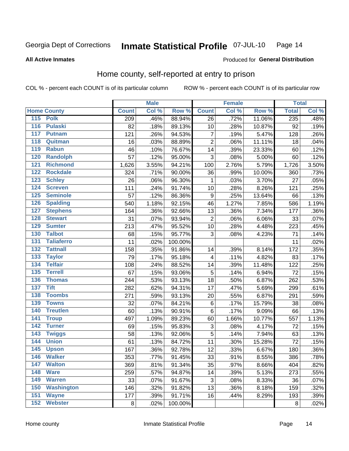#### **Inmate Statistical Profile 07-JUL-10** Page 14

**All Active Inmates** 

### Produced for General Distribution

# Home county, self-reported at entry to prison

COL % - percent each COUNT is of its particular column

|                  |                    |              | <b>Male</b> |         |                  | <b>Female</b> |        | <b>Total</b> |       |
|------------------|--------------------|--------------|-------------|---------|------------------|---------------|--------|--------------|-------|
|                  | <b>Home County</b> | <b>Count</b> | Col %       | Row %   | <b>Count</b>     | Col %         | Row %  | <b>Total</b> | Col % |
|                  | 115 Polk           | 209          | .46%        | 88.94%  | 26               | .72%          | 11.06% | 235          | .48%  |
| $\overline{116}$ | <b>Pulaski</b>     | 82           | .18%        | 89.13%  | 10               | .28%          | 10.87% | 92           | .19%  |
| 117              | <b>Putnam</b>      | 121          | .26%        | 94.53%  | $\boldsymbol{7}$ | .19%          | 5.47%  | 128          | .26%  |
| 118              | Quitman            | 16           | .03%        | 88.89%  | $\overline{2}$   | .06%          | 11.11% | 18           | .04%  |
| 119              | <b>Rabun</b>       | 46           | .10%        | 76.67%  | 14               | .39%          | 23.33% | 60           | .12%  |
| 120              | <b>Randolph</b>    | 57           | .12%        | 95.00%  | 3                | .08%          | 5.00%  | 60           | .12%  |
| 121              | <b>Richmond</b>    | 1,626        | 3.55%       | 94.21%  | 100              | 2.76%         | 5.79%  | 1,726        | 3.50% |
| 122              | <b>Rockdale</b>    | 324          | .71%        | 90.00%  | 36               | .99%          | 10.00% | 360          | .73%  |
| 123              | <b>Schley</b>      | 26           | .06%        | 96.30%  | 1                | .03%          | 3.70%  | 27           | .05%  |
| 124              | <b>Screven</b>     | 111          | .24%        | 91.74%  | 10               | .28%          | 8.26%  | 121          | .25%  |
| 125              | <b>Seminole</b>    | 57           | .12%        | 86.36%  | $\boldsymbol{9}$ | .25%          | 13.64% | 66           | .13%  |
| 126              | <b>Spalding</b>    | 540          | 1.18%       | 92.15%  | 46               | 1.27%         | 7.85%  | 586          | 1.19% |
| 127              | <b>Stephens</b>    | 164          | .36%        | 92.66%  | 13               | .36%          | 7.34%  | 177          | .36%  |
| 128              | <b>Stewart</b>     | 31           | .07%        | 93.94%  | $\overline{2}$   | .06%          | 6.06%  | 33           | .07%  |
| 129              | <b>Sumter</b>      | 213          | .47%        | 95.52%  | 10               | .28%          | 4.48%  | 223          | .45%  |
| 130              | <b>Talbot</b>      | 68           | .15%        | 95.77%  | 3                | .08%          | 4.23%  | 71           | .14%  |
| $131$            | <b>Taliaferro</b>  | 11           | .02%        | 100.00% |                  |               |        | 11           | .02%  |
| 132              | <b>Tattnall</b>    | 158          | .35%        | 91.86%  | 14               | .39%          | 8.14%  | 172          | .35%  |
| 133              | <b>Taylor</b>      | 79           | .17%        | 95.18%  | 4                | .11%          | 4.82%  | 83           | .17%  |
| 134              | <b>Telfair</b>     | 108          | .24%        | 88.52%  | 14               | .39%          | 11.48% | 122          | .25%  |
| 135              | <b>Terrell</b>     | 67           | .15%        | 93.06%  | 5                | .14%          | 6.94%  | 72           | .15%  |
| 136              | <b>Thomas</b>      | 244          | .53%        | 93.13%  | 18               | .50%          | 6.87%  | 262          | .53%  |
| 137              | <b>Tift</b>        | 282          | .62%        | 94.31%  | 17               | .47%          | 5.69%  | 299          | .61%  |
| 138              | <b>Toombs</b>      | 271          | .59%        | 93.13%  | 20               | .55%          | 6.87%  | 291          | .59%  |
| 139              | <b>Towns</b>       | 32           | .07%        | 84.21%  | 6                | .17%          | 15.79% | 38           | .08%  |
| 140              | <b>Treutlen</b>    | 60           | .13%        | 90.91%  | 6                | .17%          | 9.09%  | 66           | .13%  |
| 141              | <b>Troup</b>       | 497          | 1.09%       | 89.23%  | 60               | 1.66%         | 10.77% | 557          | 1.13% |
| 142              | <b>Turner</b>      | 69           | .15%        | 95.83%  | 3                | .08%          | 4.17%  | 72           | .15%  |
| $\overline{143}$ | <b>Twiggs</b>      | 58           | .13%        | 92.06%  | 5                | .14%          | 7.94%  | 63           | .13%  |
| 144              | <b>Union</b>       | 61           | .13%        | 84.72%  | 11               | .30%          | 15.28% | 72           | .15%  |
| 145              | <b>Upson</b>       | 167          | .36%        | 92.78%  | 12               | .33%          | 6.67%  | 180          | .36%  |
| 146              | <b>Walker</b>      | 353          | .77%        | 91.45%  | 33               | .91%          | 8.55%  | 386          | .78%  |
| 147              | <b>Walton</b>      | 369          | .81%        | 91.34%  | 35               | .97%          | 8.66%  | 404          | .82%  |
| 148              | <b>Ware</b>        | 259          | .57%        | 94.87%  | 14               | .39%          | 5.13%  | 273          | .55%  |
| 149              | <b>Warren</b>      | 33           | .07%        | 91.67%  | 3                | .08%          | 8.33%  | 36           | .07%  |
| 150              | <b>Washington</b>  | 146          | .32%        | 91.82%  | 13               | .36%          | 8.18%  | 159          | .32%  |
| 151              | <b>Wayne</b>       | 177          | .39%        | 91.71%  | 16               | .44%          | 8.29%  | 193          | .39%  |
| 152              | <b>Webster</b>     | 8            | .02%        | 100.00% |                  |               |        | $\bf 8$      | .02%  |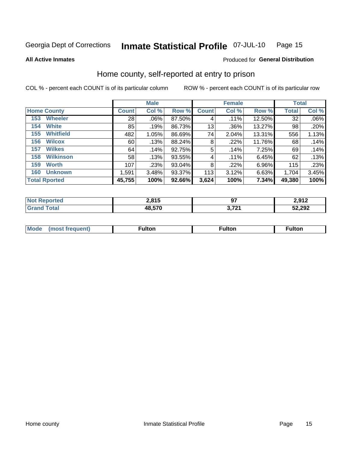#### Inmate Statistical Profile 07-JUL-10 Page 15

**All Active Inmates** 

### Produced for General Distribution

# Home county, self-reported at entry to prison

COL % - percent each COUNT is of its particular column

|                       |                  | <b>Male</b>  |       |           | <b>Female</b> |         |          | <b>Total</b> |       |
|-----------------------|------------------|--------------|-------|-----------|---------------|---------|----------|--------------|-------|
| <b>Home County</b>    |                  | <b>Count</b> | Col % | Row %     | <b>Count</b>  | Col %   | Row %    | <b>Total</b> | Col % |
| <b>Wheeler</b><br>153 |                  | 28           | .06%  | 87.50%    | 4             | .11%    | 12.50%   | 32           | .06%  |
| <b>White</b><br>154   |                  | 85           | .19%  | 86.73%    | 13            | .36%    | 13.27%   | 98           | .20%  |
| 155                   | <b>Whitfield</b> | 482          | 1.05% | 86.69%    | 74            | 2.04%   | 13.31%   | 556          | 1.13% |
| <b>Wilcox</b><br>156  |                  | 60           | .13%  | 88.24%    | 8             | .22%    | 11.76%   | 68           | .14%  |
| <b>Wilkes</b><br>157  |                  | 64           | .14%  | 92.75%    | 5             | .14%    | 7.25%    | 69           | .14%  |
| 158                   | <b>Wilkinson</b> | 58           | .13%  | 93.55%    | 4             | $.11\%$ | 6.45%    | 62           | .13%  |
| <b>Worth</b><br>159   |                  | 107          | .23%  | $93.04\%$ | 8             | $.22\%$ | $6.96\%$ | 115          | .23%  |
| 160                   | <b>Unknown</b>   | 1,591        | 3.48% | 93.37%    | 113           | 3.12%   | 6.63%    | 1,704        | 3.45% |
| <b>Total Rported</b>  |                  | 45,755       | 100%  | 92.66%    | 3,624         | 100%    | 7.34%    | 49,380       | 100%  |

| ported | 2,815  | $\sim$<br>v, | ר ממ<br>4,J I 4 |
|--------|--------|--------------|-----------------|
| `otal  | 48,570 | 1704         | 52,292          |

|  | Mode | ™ulton | ∶ulton | ™ulton |
|--|------|--------|--------|--------|
|--|------|--------|--------|--------|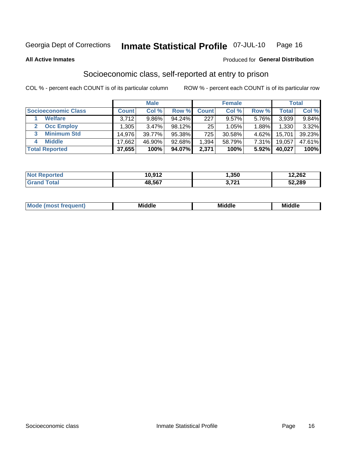#### Inmate Statistical Profile 07-JUL-10 Page 16

**All Active Inmates** 

### **Produced for General Distribution**

# Socioeconomic class, self-reported at entry to prison

COL % - percent each COUNT is of its particular column

|                       |        | <b>Male</b> |        |              | <b>Female</b> |          |        | <b>Total</b> |
|-----------------------|--------|-------------|--------|--------------|---------------|----------|--------|--------------|
| Socioeconomic Class   | Count  | Col %       | Row %  | <b>Count</b> | Col %         | Row %    | Total  | Col %        |
| <b>Welfare</b>        | 3,712  | 9.86%       | 94.24% | 227          | 9.57%         | 5.76%    | 3,939  | 9.84%        |
| <b>Occ Employ</b>     | .305   | 3.47%       | 98.12% | 25           | 1.05%         | 1.88%    | 1,330  | 3.32%        |
| <b>Minimum Std</b>    | 14,976 | 39.77%      | 95.38% | 725          | 30.58%        | $4.62\%$ | 15,701 | 39.23%       |
| <b>Middle</b><br>4    | 17,662 | 46.90%      | 92.68% | 1,394        | 58.79%        | 7.31%    | 19,057 | 47.61%       |
| <b>Total Reported</b> | 37,655 | 100%        | 94.07% | 2,371        | 100%          | $5.92\%$ | 40,027 | 100%         |

| <b>Not Reported</b> | 10,912 | 1,350          | 12,262 |
|---------------------|--------|----------------|--------|
| <b>Total</b>        | 48,567 | 2 721<br>' 4 I | 52,289 |

| ____<br>____ |
|--------------|
|--------------|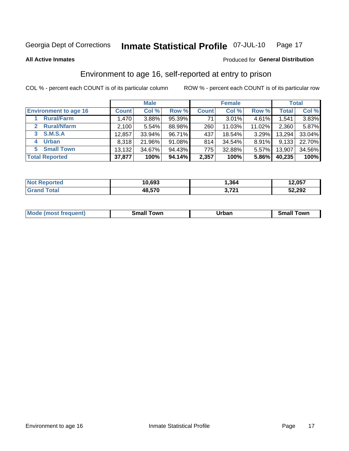#### Inmate Statistical Profile 07-JUL-10 Page 17

Produced for General Distribution

### **All Active Inmates**

# Environment to age 16, self-reported at entry to prison

COL % - percent each COUNT is of its particular column

|                                    | <b>Male</b>  |        |        | <b>Female</b> |        |          | <b>Total</b> |        |
|------------------------------------|--------------|--------|--------|---------------|--------|----------|--------------|--------|
| <b>Environment to age 16</b>       | <b>Count</b> | Col %  | Row %  | <b>Count</b>  | Col %  | Row %    | Total        | Col %  |
| <b>Rural/Farm</b>                  | 1,470        | 3.88%  | 95.39% | 71            | 3.01%  | 4.61%    | 1,541        | 3.83%  |
| <b>Rural/Nfarm</b><br>$\mathbf{2}$ | 2,100        | 5.54%  | 88.98% | 260           | 11.03% | 11.02%   | 2,360        | 5.87%  |
| <b>S.M.S.A</b><br>3                | 12,857       | 33.94% | 96.71% | 437           | 18.54% | $3.29\%$ | 13,294       | 33.04% |
| <b>Urban</b><br>4                  | 8,318        | 21.96% | 91.08% | 814           | 34.54% | 8.91%    | 9,133        | 22.70% |
| <b>Small Town</b><br>5.            | 13,132       | 34.67% | 94.43% | 775           | 32.88% | $5.57\%$ | 13,907       | 34.56% |
| <b>Total Reported</b>              | 37,877       | 100%   | 94.14% | 2,357         | 100%   | 5.86%    | 40,235       | 100%   |

| <b>Not Reported</b> | 10,693 | .364            | 12,057 |
|---------------------|--------|-----------------|--------|
| $\tau$ otal $\tau$  | 48,570 | 2704<br>J.I 4 I | 52,292 |

| <b>Mode</b><br>auent)<br>ns. | owr<br>Small | Jrban<br>____ | <b>LOWE</b><br>51 |
|------------------------------|--------------|---------------|-------------------|
|                              |              |               |                   |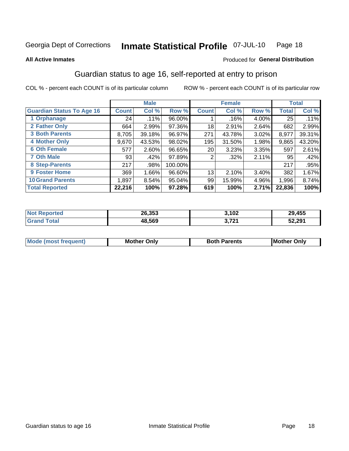#### Inmate Statistical Profile 07-JUL-10 Page 18

### **All Active Inmates**

### Produced for General Distribution

# Guardian status to age 16, self-reported at entry to prison

COL % - percent each COUNT is of its particular column

|                                  |              | <b>Male</b> |         |                 | <b>Female</b> |       |              | <b>Total</b> |
|----------------------------------|--------------|-------------|---------|-----------------|---------------|-------|--------------|--------------|
| <b>Guardian Status To Age 16</b> | <b>Count</b> | Col %       | Row %   | <b>Count</b>    | Col %         | Row % | <b>Total</b> | Col %        |
| 1 Orphanage                      | 24           | .11%        | 96.00%  |                 | $.16\%$       | 4.00% | 25           | $.11\%$      |
| 2 Father Only                    | 664          | 2.99%       | 97.36%  | 18              | 2.91%         | 2.64% | 682          | 2.99%        |
| <b>3 Both Parents</b>            | 8,705        | 39.18%      | 96.97%  | 271             | 43.78%        | 3.02% | 8,977        | 39.31%       |
| <b>4 Mother Only</b>             | 9,670        | 43.53%      | 98.02%  | 195             | 31.50%        | 1.98% | 9,865        | 43.20%       |
| <b>6 Oth Female</b>              | 577          | 2.60%       | 96.65%  | 20 <sub>1</sub> | 3.23%         | 3.35% | 597          | 2.61%        |
| <b>7 Oth Male</b>                | 93           | .42%        | 97.89%  | 2               | $.32\%$       | 2.11% | 95           | .42%         |
| 8 Step-Parents                   | 217          | .98%        | 100.00% |                 |               |       | 217          | .95%         |
| <b>9 Foster Home</b>             | 369          | 1.66%       | 96.60%  | 13              | 2.10%         | 3.40% | 382          | 1.67%        |
| <b>10 Grand Parents</b>          | 1,897        | 8.54%       | 95.04%  | 99              | 15.99%        | 4.96% | 1,996        | 8.74%        |
| <b>Total Reported</b>            | 22,216       | 100%        | 97.28%  | 619             | 100%          | 2.71% | 22,836       | 100%         |

| <b>Not</b><br><b>Reported</b> | 26,353 | 3,102            | 29,455 |
|-------------------------------|--------|------------------|--------|
| ™otai                         | 48,569 | גרי כ<br>J.I 4 I | 52,291 |

| <b>Mode (most frequent)</b> | วทIv<br>- -<br>MΩ | <b>Roth</b><br>ີ <sup>ລ</sup> າrents | l Mc<br>Only<br>- - |
|-----------------------------|-------------------|--------------------------------------|---------------------|
|                             |                   |                                      |                     |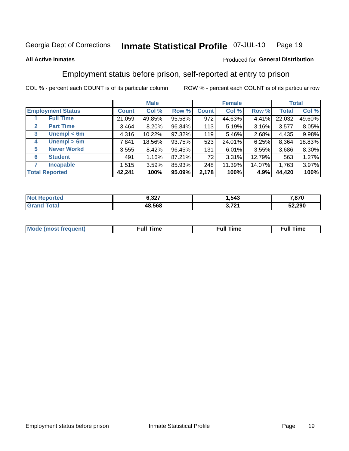#### Inmate Statistical Profile 07-JUL-10 Page 19

### **All Active Inmates**

### Produced for General Distribution

# Employment status before prison, self-reported at entry to prison

COL % - percent each COUNT is of its particular column

|                                  |         | <b>Male</b> |        |              | <b>Female</b> |        |        | <b>Total</b> |
|----------------------------------|---------|-------------|--------|--------------|---------------|--------|--------|--------------|
| <b>Employment Status</b>         | Count l | Col %       | Row %  | <b>Count</b> | Col %         | Row %  | Total  | Col %        |
| <b>Full Time</b>                 | 21,059  | 49.85%      | 95.58% | 972          | 44.63%        | 4.41%  | 22,032 | 49.60%       |
| <b>Part Time</b><br>$\mathbf{2}$ | 3.464   | $8.20\%$    | 96.84% | 113          | 5.19%         | 3.16%  | 3,577  | 8.05%        |
| Unempl $<$ 6m<br>3               | 4,316   | $10.22\%$   | 97.32% | 119          | 5.46%         | 2.68%  | 4,435  | 9.98%        |
| Unempl > 6m<br>4                 | 7,841   | 18.56%      | 93.75% | 523          | 24.01%        | 6.25%  | 8,364  | 18.83%       |
| <b>Never Workd</b><br>5          | 3,555   | 8.42%       | 96.45% | 131          | 6.01%         | 3.55%  | 3,686  | 8.30%        |
| <b>Student</b><br>6              | 491     | 1.16%       | 87.21% | 72           | 3.31%         | 12.79% | 563    | 1.27%        |
| <b>Incapable</b>                 | 1,515   | 3.59%       | 85.93% | 248          | 11.39%        | 14.07% | 1,763  | 3.97%        |
| <b>Total Reported</b>            | 42,241  | 100%        | 95.09% | 2,178        | 100%          | 4.9%   | 44,420 | 100%         |

| NO              | 6.327<br>$\sim$ | 543. ا             | 7,870  |
|-----------------|-----------------|--------------------|--------|
| $\sim$ 4 $\sim$ | 48.568          | 1704<br>. .<br>. – | 52,290 |

| Mc | ----<br>me<br>ш | nc<br>. |
|----|-----------------|---------|
|    |                 |         |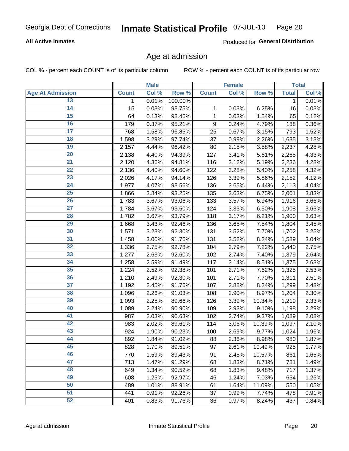### **All Active Inmates**

Produced for General Distribution

# Age at admission

COL % - percent each COUNT is of its particular column

|                         |              | <b>Male</b> |         |              | <b>Female</b> |        |              | <b>Total</b> |
|-------------------------|--------------|-------------|---------|--------------|---------------|--------|--------------|--------------|
| <b>Age At Admission</b> | <b>Count</b> | Col %       | Row %   | <b>Count</b> | Col %         | Row %  | <b>Total</b> | Col %        |
| 13                      | 1            | 0.01%       | 100.00% |              |               |        | 1            | 0.01%        |
| $\overline{14}$         | 15           | 0.03%       | 93.75%  | 1            | 0.03%         | 6.25%  | 16           | 0.03%        |
| 15                      | 64           | 0.13%       | 98.46%  | 1            | 0.03%         | 1.54%  | 65           | 0.12%        |
| 16                      | 179          | 0.37%       | 95.21%  | 9            | 0.24%         | 4.79%  | 188          | 0.36%        |
| $\overline{17}$         | 768          | 1.58%       | 96.85%  | 25           | 0.67%         | 3.15%  | 793          | 1.52%        |
| 18                      | 1,598        | 3.29%       | 97.74%  | 37           | 0.99%         | 2.26%  | 1,635        | 3.13%        |
| 19                      | 2,157        | 4.44%       | 96.42%  | 80           | 2.15%         | 3.58%  | 2,237        | 4.28%        |
| $\overline{20}$         | 2,138        | 4.40%       | 94.39%  | 127          | 3.41%         | 5.61%  | 2,265        | 4.33%        |
| $\overline{21}$         | 2,120        | 4.36%       | 94.81%  | 116          | 3.12%         | 5.19%  | 2,236        | 4.28%        |
| $\overline{22}$         | 2,136        | 4.40%       | 94.60%  | 122          | 3.28%         | 5.40%  | 2,258        | 4.32%        |
| 23                      | 2,026        | 4.17%       | 94.14%  | 126          | 3.39%         | 5.86%  | 2,152        | 4.12%        |
| $\overline{24}$         | 1,977        | 4.07%       | 93.56%  | 136          | 3.65%         | 6.44%  | 2,113        | 4.04%        |
| $\overline{25}$         | 1,866        | 3.84%       | 93.25%  | 135          | 3.63%         | 6.75%  | 2,001        | 3.83%        |
| 26                      | 1,783        | 3.67%       | 93.06%  | 133          | 3.57%         | 6.94%  | 1,916        | 3.66%        |
| 27                      | 1,784        | 3.67%       | 93.50%  | 124          | 3.33%         | 6.50%  | 1,908        | 3.65%        |
| 28                      | 1,782        | 3.67%       | 93.79%  | 118          | 3.17%         | 6.21%  | 1,900        | 3.63%        |
| 29                      | 1,668        | 3.43%       | 92.46%  | 136          | 3.65%         | 7.54%  | 1,804        | 3.45%        |
| 30                      | 1,571        | 3.23%       | 92.30%  | 131          | 3.52%         | 7.70%  | 1,702        | 3.25%        |
| 31                      | 1,458        | 3.00%       | 91.76%  | 131          | 3.52%         | 8.24%  | 1,589        | 3.04%        |
| $\overline{32}$         | 1,336        | 2.75%       | 92.78%  | 104          | 2.79%         | 7.22%  | 1,440        | 2.75%        |
| 33                      | 1,277        | 2.63%       | 92.60%  | 102          | 2.74%         | 7.40%  | 1,379        | 2.64%        |
| 34                      | 1,258        | 2.59%       | 91.49%  | 117          | 3.14%         | 8.51%  | 1,375        | 2.63%        |
| 35                      | 1,224        | 2.52%       | 92.38%  | 101          | 2.71%         | 7.62%  | 1,325        | 2.53%        |
| 36                      | 1,210        | 2.49%       | 92.30%  | 101          | 2.71%         | 7.70%  | 1,311        | 2.51%        |
| $\overline{37}$         | 1,192        | 2.45%       | 91.76%  | 107          | 2.88%         | 8.24%  | 1,299        | 2.48%        |
| 38                      | 1,096        | 2.26%       | 91.03%  | 108          | 2.90%         | 8.97%  | 1,204        | 2.30%        |
| 39                      | 1,093        | 2.25%       | 89.66%  | 126          | 3.39%         | 10.34% | 1,219        | 2.33%        |
| 40                      | 1,089        | 2.24%       | 90.90%  | 109          | 2.93%         | 9.10%  | 1,198        | 2.29%        |
| 41                      | 987          | 2.03%       | 90.63%  | 102          | 2.74%         | 9.37%  | 1,089        | 2.08%        |
| 42                      | 983          | 2.02%       | 89.61%  | 114          | 3.06%         | 10.39% | 1,097        | 2.10%        |
| 43                      | 924          | 1.90%       | 90.23%  | 100          | 2.69%         | 9.77%  | 1,024        | 1.96%        |
| 44                      | 892          | 1.84%       | 91.02%  | 88           | 2.36%         | 8.98%  | 980          | 1.87%        |
| 45                      | 828          | 1.70%       | 89.51%  | 97           | 2.61%         | 10.49% | 925          | 1.77%        |
| 46                      | 770          | 1.59%       | 89.43%  | 91           | 2.45%         | 10.57% | 861          | 1.65%        |
| 47                      | 713          | 1.47%       | 91.29%  | 68           | 1.83%         | 8.71%  | 781          | 1.49%        |
| 48                      | 649          | 1.34%       | 90.52%  | 68           | 1.83%         | 9.48%  | 717          | 1.37%        |
| 49                      | 608          | 1.25%       | 92.97%  | 46           | 1.24%         | 7.03%  | 654          | 1.25%        |
| 50                      | 489          | 1.01%       | 88.91%  | 61           | 1.64%         | 11.09% | 550          | 1.05%        |
| 51                      | 441          | 0.91%       | 92.26%  | 37           | 0.99%         | 7.74%  | 478          | 0.91%        |
| 52                      | 401          | 0.83%       | 91.76%  | 36           | 0.97%         | 8.24%  | 437          | 0.84%        |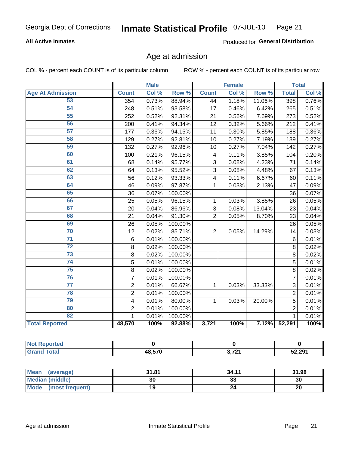### **All Active Inmates**

Produced for General Distribution

# Age at admission

COL % - percent each COUNT is of its particular column

|                         |                         | <b>Male</b> |         |                | <b>Female</b> |        |                | <b>Total</b> |
|-------------------------|-------------------------|-------------|---------|----------------|---------------|--------|----------------|--------------|
| <b>Age At Admission</b> | <b>Count</b>            | Col %       | Row %   | <b>Count</b>   | Col %         | Row %  | <b>Total</b>   | Col %        |
| 53                      | 354                     | 0.73%       | 88.94%  | 44             | 1.18%         | 11.06% | 398            | 0.76%        |
| 54                      | 248                     | 0.51%       | 93.58%  | 17             | 0.46%         | 6.42%  | 265            | 0.51%        |
| 55                      | 252                     | 0.52%       | 92.31%  | 21             | 0.56%         | 7.69%  | 273            | 0.52%        |
| 56                      | 200                     | 0.41%       | 94.34%  | 12             | 0.32%         | 5.66%  | 212            | 0.41%        |
| $\overline{57}$         | 177                     | 0.36%       | 94.15%  | 11             | 0.30%         | 5.85%  | 188            | 0.36%        |
| 58                      | 129                     | 0.27%       | 92.81%  | 10             | 0.27%         | 7.19%  | 139            | 0.27%        |
| 59                      | 132                     | 0.27%       | 92.96%  | 10             | 0.27%         | 7.04%  | 142            | 0.27%        |
| 60                      | 100                     | 0.21%       | 96.15%  | 4              | 0.11%         | 3.85%  | 104            | 0.20%        |
| 61                      | 68                      | 0.14%       | 95.77%  | 3              | 0.08%         | 4.23%  | 71             | 0.14%        |
| 62                      | 64                      | 0.13%       | 95.52%  | 3              | 0.08%         | 4.48%  | 67             | 0.13%        |
| 63                      | 56                      | 0.12%       | 93.33%  | 4              | 0.11%         | 6.67%  | 60             | 0.11%        |
| 64                      | 46                      | 0.09%       | 97.87%  | $\mathbf 1$    | 0.03%         | 2.13%  | 47             | 0.09%        |
| 65                      | 36                      | 0.07%       | 100.00% |                |               |        | 36             | 0.07%        |
| 66                      | 25                      | 0.05%       | 96.15%  | 1              | 0.03%         | 3.85%  | 26             | 0.05%        |
| 67                      | 20                      | 0.04%       | 86.96%  | 3              | 0.08%         | 13.04% | 23             | 0.04%        |
| 68                      | 21                      | 0.04%       | 91.30%  | $\overline{2}$ | 0.05%         | 8.70%  | 23             | 0.04%        |
| 69                      | 26                      | 0.05%       | 100.00% |                |               |        | 26             | 0.05%        |
| 70                      | 12                      | 0.02%       | 85.71%  | $\overline{2}$ | 0.05%         | 14.29% | 14             | 0.03%        |
| $\overline{71}$         | 6                       | 0.01%       | 100.00% |                |               |        | $\,6$          | 0.01%        |
| $\overline{72}$         | 8                       | 0.02%       | 100.00% |                |               |        | 8              | 0.02%        |
| $\overline{73}$         | 8                       | 0.02%       | 100.00% |                |               |        | 8              | 0.02%        |
| $\overline{74}$         | 5                       | 0.01%       | 100.00% |                |               |        | 5              | 0.01%        |
| $\overline{75}$         | $\overline{8}$          | 0.02%       | 100.00% |                |               |        | $\overline{8}$ | 0.02%        |
| 76                      | $\overline{7}$          | 0.01%       | 100.00% |                |               |        | $\overline{7}$ | 0.01%        |
| $\overline{77}$         | $\overline{2}$          | 0.01%       | 66.67%  | 1              | 0.03%         | 33.33% | 3              | 0.01%        |
| 78                      | $\overline{2}$          | 0.01%       | 100.00% |                |               |        | $\overline{2}$ | 0.01%        |
| 79                      | $\overline{\mathbf{4}}$ | 0.01%       | 80.00%  | $\mathbf{1}$   | 0.03%         | 20.00% | $\overline{5}$ | 0.01%        |
| 80                      | $\overline{2}$          | 0.01%       | 100.00% |                |               |        | $\overline{2}$ | 0.01%        |
| 82                      | 1                       | 0.01%       | 100.00% |                |               |        | 1              | 0.01%        |
| <b>Total Reported</b>   | 48,570                  | 100%        | 92.88%  | 3,721          | 100%          |        | 7.12% 52,291   | 100%         |

| ™reo :<br>NOT |              |       |        |
|---------------|--------------|-------|--------|
| $n+n$         | <b>18570</b> | 0.704 | 52,291 |

| Mean (average)         | 31.81 | 34.11   | 31.98 |
|------------------------|-------|---------|-------|
| <b>Median (middle)</b> | 30    | ົ<br>دد | 30    |
| Mode (most frequent)   |       |         | 20    |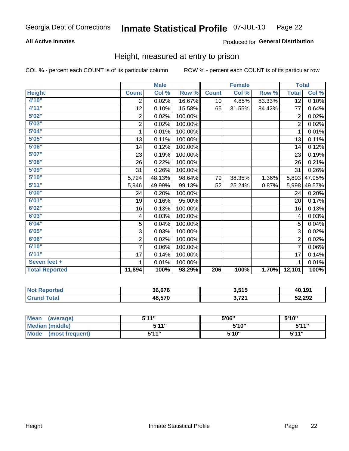### **All Active Inmates**

### Produced for General Distribution

# Height, measured at entry to prison

COL % - percent each COUNT is of its particular column

|                       |                         | <b>Male</b> |         |              | <b>Female</b> |        | <b>Total</b>    |        |
|-----------------------|-------------------------|-------------|---------|--------------|---------------|--------|-----------------|--------|
| <b>Height</b>         | <b>Count</b>            | Col %       | Row %   | <b>Count</b> | Col %         | Row %  | <b>Total</b>    | Col %  |
| 4'10"                 | $\overline{2}$          | 0.02%       | 16.67%  | 10           | 4.85%         | 83.33% | $\overline{12}$ | 0.10%  |
| 4'11''                | 12                      | 0.10%       | 15.58%  | 65           | 31.55%        | 84.42% | 77              | 0.64%  |
| 5'02''                | 2                       | 0.02%       | 100.00% |              |               |        | $\overline{2}$  | 0.02%  |
| 5'03''                | $\overline{\mathbf{c}}$ | 0.02%       | 100.00% |              |               |        | $\overline{2}$  | 0.02%  |
| 5'04"                 | 1                       | 0.01%       | 100.00% |              |               |        | 1               | 0.01%  |
| 5'05''                | 13                      | 0.11%       | 100.00% |              |               |        | 13              | 0.11%  |
| 5'06''                | 14                      | 0.12%       | 100.00% |              |               |        | 14              | 0.12%  |
| 5'07''                | 23                      | 0.19%       | 100.00% |              |               |        | 23              | 0.19%  |
| 5'08''                | 26                      | 0.22%       | 100.00% |              |               |        | 26              | 0.21%  |
| 5'09''                | 31                      | 0.26%       | 100.00% |              |               |        | 31              | 0.26%  |
| 5'10''                | 5,724                   | 48.13%      | 98.64%  | 79           | 38.35%        | 1.36%  | 5,803           | 47.95% |
| 5'11''                | 5,946                   | 49.99%      | 99.13%  | 52           | 25.24%        | 0.87%  | 5,998           | 49.57% |
| 6'00''                | 24                      | 0.20%       | 100.00% |              |               |        | 24              | 0.20%  |
| 6'01''                | 19                      | 0.16%       | 95.00%  |              |               |        | 20              | 0.17%  |
| 6'02''                | 16                      | 0.13%       | 100.00% |              |               |        | 16              | 0.13%  |
| 6'03''                | 4                       | 0.03%       | 100.00% |              |               |        | 4               | 0.03%  |
| 6'04''                | 5                       | 0.04%       | 100.00% |              |               |        | 5               | 0.04%  |
| 6'05''                | 3                       | 0.03%       | 100.00% |              |               |        | 3               | 0.02%  |
| 6'06''                | $\overline{\mathbf{c}}$ | 0.02%       | 100.00% |              |               |        | $\overline{2}$  | 0.02%  |
| 6'10''                | $\overline{7}$          | 0.06%       | 100.00% |              |               |        | 7               | 0.06%  |
| 6'11''                | 17                      | 0.14%       | 100.00% |              |               |        | 17              | 0.14%  |
| Seven feet +          | 1                       | 0.01%       | 100.00% |              |               |        | 1               | 0.01%  |
| <b>Total Reported</b> | 11,894                  | 100%        | 98.29%  | 206          | 100%          | 1.70%  | 12,101          | 100%   |

| 'eported     | 36.676 | 2 <sub>515</sub><br>J.JIJ | 40,191 |
|--------------|--------|---------------------------|--------|
| ſotal<br>Gra | 48,570 | 2.724<br><b>JILI</b>      | 52,292 |

| <b>Mean</b><br>(average)       | 544"  | 5'06" | 5'10" |
|--------------------------------|-------|-------|-------|
| <b>Median (middle)</b>         | 544"  | 5'10" | 5'11" |
| <b>Mode</b><br>(most frequent) | 5'11" | 5'10" | 5'11" |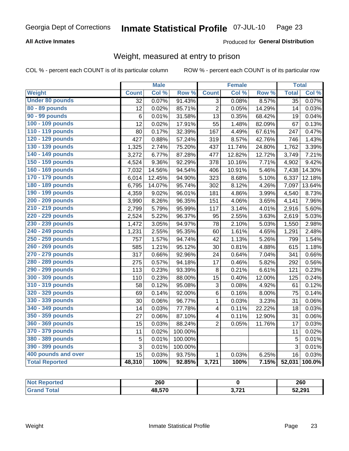### **All Active Inmates**

### Produced for General Distribution

# Weight, measured at entry to prison

COL % - percent each COUNT is of its particular column

|                        |              | <b>Male</b> |                  |                         | <b>Female</b> |        | <b>Total</b>    |        |
|------------------------|--------------|-------------|------------------|-------------------------|---------------|--------|-----------------|--------|
| <b>Weight</b>          | <b>Count</b> | Col %       | Row <sup>%</sup> | <b>Count</b>            | Col %         | Row %  | <b>Total</b>    | Col %  |
| <b>Under 80 pounds</b> | 32           | 0.07%       | 91.43%           | $\overline{3}$          | 0.08%         | 8.57%  | $\overline{35}$ | 0.07%  |
| 80 - 89 pounds         | 12           | 0.02%       | 85.71%           | $\overline{2}$          | 0.05%         | 14.29% | 14              | 0.03%  |
| 90 - 99 pounds         | 6            | 0.01%       | 31.58%           | 13                      | 0.35%         | 68.42% | 19              | 0.04%  |
| 100 - 109 pounds       | 12           | 0.02%       | 17.91%           | 55                      | 1.48%         | 82.09% | 67              | 0.13%  |
| 110 - 119 pounds       | 80           | 0.17%       | 32.39%           | 167                     | 4.49%         | 67.61% | 247             | 0.47%  |
| 120 - 129 pounds       | 427          | 0.88%       | 57.24%           | 319                     | 8.57%         | 42.76% | 746             | 1.43%  |
| 130 - 139 pounds       | 1,325        | 2.74%       | 75.20%           | 437                     | 11.74%        | 24.80% | 1,762           | 3.39%  |
| 140 - 149 pounds       | 3,272        | 6.77%       | 87.28%           | 477                     | 12.82%        | 12.72% | 3,749           | 7.21%  |
| 150 - 159 pounds       | 4,524        | 9.36%       | 92.29%           | 378                     | 10.16%        | 7.71%  | 4,902           | 9.42%  |
| 160 - 169 pounds       | 7,032        | 14.56%      | 94.54%           | 406                     | 10.91%        | 5.46%  | 7,438           | 14.30% |
| 170 - 179 pounds       | 6,014        | 12.45%      | 94.90%           | 323                     | 8.68%         | 5.10%  | 6,337           | 12.18% |
| 180 - 189 pounds       | 6,795        | 14.07%      | 95.74%           | 302                     | 8.12%         | 4.26%  | 7,097           | 13.64% |
| 190 - 199 pounds       | 4,359        | 9.02%       | 96.01%           | 181                     | 4.86%         | 3.99%  | 4,540           | 8.73%  |
| 200 - 209 pounds       | 3,990        | 8.26%       | 96.35%           | 151                     | 4.06%         | 3.65%  | 4,141           | 7.96%  |
| 210 - 219 pounds       | 2,799        | 5.79%       | 95.99%           | 117                     | 3.14%         | 4.01%  | 2,916           | 5.60%  |
| 220 - 229 pounds       | 2,524        | 5.22%       | 96.37%           | 95                      | 2.55%         | 3.63%  | 2,619           | 5.03%  |
| 230 - 239 pounds       | 1,472        | 3.05%       | 94.97%           | 78                      | 2.10%         | 5.03%  | 1,550           | 2.98%  |
| 240 - 249 pounds       | 1,231        | 2.55%       | 95.35%           | 60                      | 1.61%         | 4.65%  | 1,291           | 2.48%  |
| 250 - 259 pounds       | 757          | 1.57%       | 94.74%           | 42                      | 1.13%         | 5.26%  | 799             | 1.54%  |
| 260 - 269 pounds       | 585          | 1.21%       | 95.12%           | 30                      | 0.81%         | 4.88%  | 615             | 1.18%  |
| 270 - 279 pounds       | 317          | 0.66%       | 92.96%           | 24                      | 0.64%         | 7.04%  | 341             | 0.66%  |
| 280 - 289 pounds       | 275          | 0.57%       | 94.18%           | 17                      | 0.46%         | 5.82%  | 292             | 0.56%  |
| 290 - 299 pounds       | 113          | 0.23%       | 93.39%           | 8                       | 0.21%         | 6.61%  | 121             | 0.23%  |
| 300 - 309 pounds       | 110          | 0.23%       | 88.00%           | 15                      | 0.40%         | 12.00% | 125             | 0.24%  |
| 310 - 319 pounds       | 58           | 0.12%       | 95.08%           | 3                       | 0.08%         | 4.92%  | 61              | 0.12%  |
| 320 - 329 pounds       | 69           | 0.14%       | 92.00%           | $\overline{6}$          | 0.16%         | 8.00%  | 75              | 0.14%  |
| 330 - 339 pounds       | 30           | 0.06%       | 96.77%           | $\mathbf{1}$            | 0.03%         | 3.23%  | 31              | 0.06%  |
| 340 - 349 pounds       | 14           | 0.03%       | 77.78%           | $\overline{\mathbf{4}}$ | 0.11%         | 22.22% | 18              | 0.03%  |
| 350 - 359 pounds       | 27           | 0.06%       | 87.10%           | $\overline{\mathbf{4}}$ | 0.11%         | 12.90% | 31              | 0.06%  |
| 360 - 369 pounds       | 15           | 0.03%       | 88.24%           | $\overline{2}$          | 0.05%         | 11.76% | 17              | 0.03%  |
| 370 - 379 pounds       | 11           | 0.02%       | 100.00%          |                         |               |        | 11              | 0.02%  |
| 380 - 389 pounds       | 5            | 0.01%       | 100.00%          |                         |               |        | 5               | 0.01%  |
| 390 - 399 pounds       | 3            | 0.01%       | 100.00%          |                         |               |        | 3               | 0.01%  |
| 400 pounds and over    | 15           | 0.03%       | 93.75%           | $\mathbf{1}$            | 0.03%         | 6.25%  | 16              | 0.03%  |
| <b>Total Reported</b>  | 48,310       | 100%        | 92.85%           | 3,721                   | 100%          | 7.15%  | 52,031          | 100.0% |

| Reported<br>NO. | 260    |            | 260    |
|-----------------|--------|------------|--------|
| ⊺otal           | 48,570 | גמד מ<br>. | 52,291 |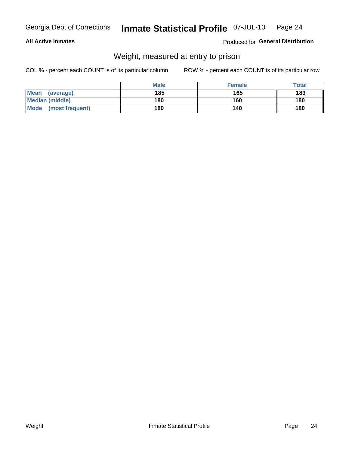### **All Active Inmates**

### Produced for General Distribution

# Weight, measured at entry to prison

COL % - percent each COUNT is of its particular column

|                         | <b>Male</b> | <b>Female</b> | Total |
|-------------------------|-------------|---------------|-------|
| Mean<br>(average)       | 185         | 165           | 183   |
| <b>Median (middle)</b>  | 180         | 160           | 180   |
| Mode<br>(most frequent) | 180         | 140           | 180   |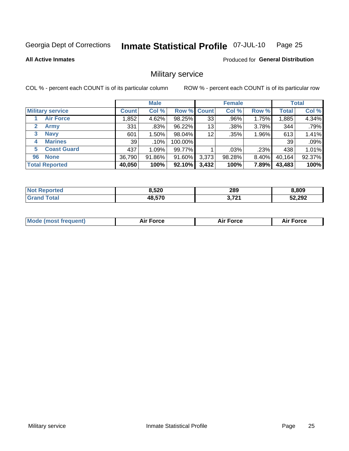#### Inmate Statistical Profile 07-JUL-10 Page 25

### **All Active Inmates**

**Produced for General Distribution** 

# Military service

COL % - percent each COUNT is of its particular column

|                          |              | <b>Male</b> |                    |       | <b>Female</b> |          |              | <b>Total</b> |
|--------------------------|--------------|-------------|--------------------|-------|---------------|----------|--------------|--------------|
| <b>Military service</b>  | <b>Count</b> | Col %       | <b>Row % Count</b> |       | Col %         | Row %    | <b>Total</b> | Col %        |
| <b>Air Force</b>         | .852         | 4.62%       | 98.25%             | 33    | .96%          | 1.75%    | 1,885        | 4.34%        |
| 2<br>Army                | 331          | .83%        | 96.22%             | 13    | .38%          | 3.78%    | 344          | .79%         |
| <b>Navy</b><br>3         | 601          | $1.50\%$    | 98.04%             | 12    | .35%          | 1.96%    | 613          | 1.41%        |
| <b>Marines</b><br>4      | 39           | $.10\%$     | 100.00%            |       |               |          | 39           | .09%         |
| <b>Coast Guard</b><br>5. | 437          | 1.09%       | 99.77%             |       | .03%          | .23%     | 438          | 1.01%        |
| <b>None</b><br>96        | 36,790       | 91.86%      | 91.60%             | 3,373 | 98.28%        | $8.40\%$ | 40,164       | 92.37%       |
| <b>Total Reported</b>    | 40,050       | 100%        | 92.10%             | 3,432 | 100%          | 7.89%    | 43,483       | 100%         |

| orted           | הרא נ  | 289                                                               | 8,809  |
|-----------------|--------|-------------------------------------------------------------------|--------|
| Nt              | ט∠כ.כ  | __                                                                |        |
| `otal<br>'Grand | 48,570 | <b>2.724</b><br>$\rightarrow \rightarrow \rightarrow \rightarrow$ | 52,292 |

| <b>Mode (most frequent)</b><br><b>Force</b><br><b>Force</b><br>orce<br>Aır |
|----------------------------------------------------------------------------|
|----------------------------------------------------------------------------|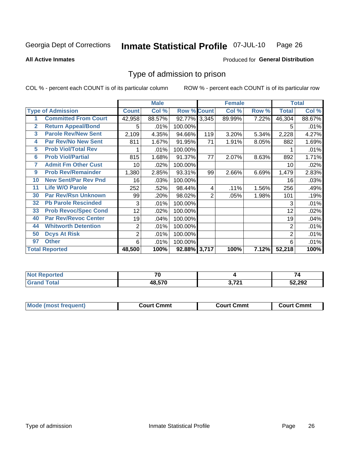#### Inmate Statistical Profile 07-JUL-10 Page 26

**All Active Inmates** 

### **Produced for General Distribution**

# Type of admission to prison

COL % - percent each COUNT is of its particular column

|              |                             |                | <b>Male</b> |                    |     | <b>Female</b> |       |              | <b>Total</b> |
|--------------|-----------------------------|----------------|-------------|--------------------|-----|---------------|-------|--------------|--------------|
|              | <b>Type of Admission</b>    | <b>Count</b>   | Col %       | <b>Row % Count</b> |     | Col %         | Row % | <b>Total</b> | Col %        |
|              | <b>Committed From Court</b> | 42,958         | 88.57%      | 92.77% 3,345       |     | 89.99%        | 7.22% | 46,304       | 88.67%       |
| $\mathbf{2}$ | <b>Return Appeal/Bond</b>   | 5              | .01%        | 100.00%            |     |               |       | 5            | .01%         |
| 3            | <b>Parole Rev/New Sent</b>  | 2,109          | 4.35%       | 94.66%             | 119 | 3.20%         | 5.34% | 2,228        | 4.27%        |
| 4            | <b>Par Rev/No New Sent</b>  | 811            | 1.67%       | 91.95%             | 71  | 1.91%         | 8.05% | 882          | 1.69%        |
| 5            | <b>Prob Viol/Total Rev</b>  |                | .01%        | 100.00%            |     |               |       |              | .01%         |
| 6            | <b>Prob Viol/Partial</b>    | 815            | 1.68%       | 91.37%             | 77  | 2.07%         | 8.63% | 892          | 1.71%        |
| 7            | <b>Admit Fm Other Cust</b>  | 10             | $.02\%$     | 100.00%            |     |               |       | 10           | .02%         |
| 9            | <b>Prob Rev/Remainder</b>   | 1,380          | 2.85%       | 93.31%             | 99  | 2.66%         | 6.69% | 1,479        | 2.83%        |
| 10           | <b>New Sent/Par Rev Pnd</b> | 16             | .03%        | 100.00%            |     |               |       | 16           | .03%         |
| 11           | <b>Life W/O Parole</b>      | 252            | .52%        | 98.44%             | 4   | .11%          | 1.56% | 256          | .49%         |
| 30           | <b>Par Rev/Rsn Unknown</b>  | 99             | .20%        | 98.02%             | 2   | .05%          | 1.98% | 101          | .19%         |
| 32           | <b>Pb Parole Rescinded</b>  | 3              | .01%        | 100.00%            |     |               |       | 3            | .01%         |
| 33           | <b>Prob Revoc/Spec Cond</b> | 12             | .02%        | 100.00%            |     |               |       | 12           | .02%         |
| 40           | <b>Par Rev/Revoc Center</b> | 19             | .04%        | 100.00%            |     |               |       | 19           | .04%         |
| 44           | <b>Whitworth Detention</b>  | $\overline{2}$ | .01%        | 100.00%            |     |               |       | 2            | .01%         |
| 50           | <b>Dcys At Risk</b>         | $\overline{c}$ | .01%        | 100.00%            |     |               |       | 2            | .01%         |
| 97           | <b>Other</b>                | 6              | .01%        | 100.00%            |     |               |       | 6            | .01%         |
|              | <b>Total Reported</b>       | 48,500         | 100%        | 92.88% 3,717       |     | 100%          | 7.12% | 52,218       | 100%         |

| <b>Not</b><br>Reported  | $\overline{\phantom{a}}$ |                                       |        |
|-------------------------|--------------------------|---------------------------------------|--------|
| <b><sup>r</sup>otal</b> | 48,570                   | 2.72<br>$\mathbf{v} \cdot \mathbf{r}$ | 52,292 |

| <b>Mode (most frequent)</b> | Court Cmmt | <b>Court Cmmt</b> | Court Cmmt |
|-----------------------------|------------|-------------------|------------|
|                             |            |                   |            |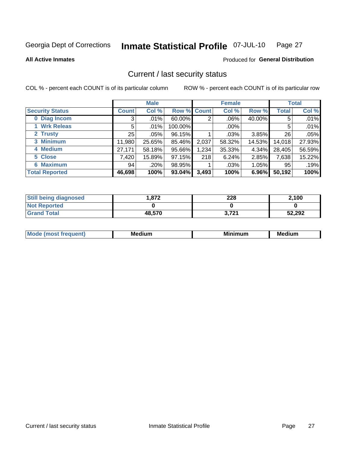#### Inmate Statistical Profile 07-JUL-10 Page 27

**All Active Inmates** 

### **Produced for General Distribution**

# Current / last security status

COL % - percent each COUNT is of its particular column

|                        |              | <b>Male</b> |                    |       | <b>Female</b> |          |        | <b>Total</b> |
|------------------------|--------------|-------------|--------------------|-------|---------------|----------|--------|--------------|
| <b>Security Status</b> | <b>Count</b> | Col %       | <b>Row % Count</b> |       | Col %         | Row %    | Total  | Col %        |
| 0 Diag Incom           | 3            | .01%        | $60.00\%$          | 2     | $.06\%$       | 40.00%   | 5      | .01%         |
| 1 Wrk Releas           | 5            | $.01\%$     | 100.00%            |       | .00%          |          | 5      | .01%         |
| 2 Trusty               | 25           | $.05\%$     | 96.15%             |       | $.03\%$       | 3.85%    | 26     | .05%         |
| 3 Minimum              | 11,980       | 25.65%      | 85.46%             | 2,037 | 58.32%        | 14.53%   | 14,018 | 27.93%       |
| 4 Medium               | 27,171       | 58.18%      | 95.66%             | 1,234 | 35.33%        | 4.34%    | 28,405 | 56.59%       |
| 5 Close                | 7,420        | 15.89%      | 97.15%             | 218   | 6.24%         | 2.85%    | 7,638  | 15.22%       |
| <b>Maximum</b><br>6.   | 94           | .20%        | 98.95%             |       | .03%          | $1.05\%$ | 95     | .19%         |
| <b>Total Reported</b>  | 46,698       | 100%        | 93.04%             | 3,493 | 100%          | 6.96%    | 50,192 | 100%         |

| <b>Still being diagnosed</b> | 1.872  | 228   | 2,100  |
|------------------------------|--------|-------|--------|
| <b>Not Reported</b>          |        |       |        |
| <b>Grand Total</b>           | 48,570 | 3,721 | 52,292 |

| <b>Mod</b><br>auent)<br>יי | <b>Medium</b> | mum<br>м. | <b>Medium</b> |
|----------------------------|---------------|-----------|---------------|
|                            |               |           |               |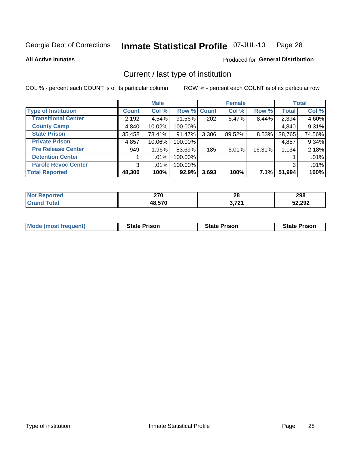#### Inmate Statistical Profile 07-JUL-10 Page 28

**All Active Inmates** 

### Produced for General Distribution

# Current / last type of institution

COL % - percent each COUNT is of its particular column

|                            |              | <b>Male</b> |             |       | <b>Female</b> |        |              | <b>Total</b> |
|----------------------------|--------------|-------------|-------------|-------|---------------|--------|--------------|--------------|
| <b>Type of Institution</b> | <b>Count</b> | Col %       | Row % Count |       | Col %         | Row %  | <b>Total</b> | Col %        |
| <b>Transitional Center</b> | 2,192        | 4.54%       | $91.56\%$   | 202   | 5.47%         | 8.44%  | 2,394        | 4.60%        |
| <b>County Camp</b>         | 4,840        | 10.02%      | 100.00%     |       |               |        | 4,840        | 9.31%        |
| <b>State Prison</b>        | 35,458       | 73.41%      | $91.47\%$   | 3,306 | 89.52%        | 8.53%  | 38,765       | 74.56%       |
| <b>Private Prison</b>      | 4,857        | 10.06%      | 100.00%     |       |               |        | 4,857        | 9.34%        |
| <b>Pre Release Center</b>  | 949          | 1.96%       | 83.69%      | 185   | 5.01%         | 16.31% | 1,134        | 2.18%        |
| <b>Detention Center</b>    |              | $.01\%$     | 100.00%     |       |               |        |              | .01%         |
| <b>Parole Revoc Center</b> | 3            | .01%        | 100.00%     |       |               |        |              | .01%         |
| <b>Total Reported</b>      | 48,300       | 100%        | 92.9%       | 3,693 | 100%          | 7.1%   | 51,994       | 100%         |

| τeα | 270<br>41 Y | 00<br>ZС | 298    |
|-----|-------------|----------|--------|
|     | 10 E7N      | גרד כ    | 52,292 |

| <b>Mode (most frequent)</b> | <b>State Prison</b> | <b>State Prison</b> | <b>State Prison</b> |
|-----------------------------|---------------------|---------------------|---------------------|
|                             |                     |                     |                     |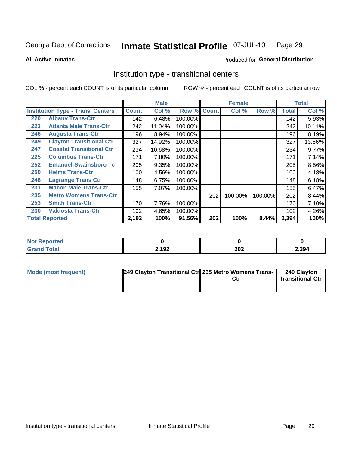#### Inmate Statistical Profile 07-JUL-10 Page 29

Produced for General Distribution

### **All Active Inmates**

# Institution type - transitional centers

COL % - percent each COUNT is of its particular column

|     |                                          |              | <b>Male</b> |         |              | <b>Female</b> |         |              | <b>Total</b> |
|-----|------------------------------------------|--------------|-------------|---------|--------------|---------------|---------|--------------|--------------|
|     | <b>Institution Type - Trans. Centers</b> | <b>Count</b> | Col %       | Row %   | <b>Count</b> | Col %         | Row %   | <b>Total</b> | Col %        |
| 220 | <b>Albany Trans-Ctr</b>                  | 142          | 6.48%       | 100.00% |              |               |         | 142          | 5.93%        |
| 223 | <b>Atlanta Male Trans-Ctr</b>            | 242          | 11.04%      | 100.00% |              |               |         | 242          | 10.11%       |
| 246 | <b>Augusta Trans-Ctr</b>                 | 196          | 8.94%       | 100.00% |              |               |         | 196          | 8.19%        |
| 249 | <b>Clayton Transitional Ctr</b>          | 327          | 14.92%      | 100.00% |              |               |         | 327          | 13.66%       |
| 247 | <b>Coastal Transitional Ctr</b>          | 234          | 10.68%      | 100.00% |              |               |         | 234          | 9.77%        |
| 225 | <b>Columbus Trans-Ctr</b>                | 171          | 7.80%       | 100.00% |              |               |         | 171          | 7.14%        |
| 252 | <b>Emanuel-Swainsboro Tc</b>             | 205          | 9.35%       | 100.00% |              |               |         | 205          | 8.56%        |
| 250 | <b>Helms Trans-Ctr</b>                   | 100          | 4.56%       | 100.00% |              |               |         | 100          | 4.18%        |
| 248 | <b>Lagrange Trans Ctr</b>                | 148          | 6.75%       | 100.00% |              |               |         | 148          | 6.18%        |
| 231 | <b>Macon Male Trans-Ctr</b>              | 155          | 7.07%       | 100.00% |              |               |         | 155          | 6.47%        |
| 235 | <b>Metro Womens Trans-Ctr</b>            |              |             |         | 202          | 100.00%       | 100.00% | 202          | 8.44%        |
| 253 | <b>Smith Trans-Ctr</b>                   | 170          | 7.76%       | 100.00% |              |               |         | 170          | 7.10%        |
| 230 | <b>Valdosta Trans-Ctr</b>                | 102          | 4.65%       | 100.00% |              |               |         | 102          | 4.26%        |
|     | <b>Total Reported</b>                    | 2,192        | 100%        | 91.56%  | 202          | 100%          | 8.44%   | 2,394        | 100%         |

| <b>NOT</b><br>rtea |       |                      |       |
|--------------------|-------|----------------------|-------|
|                    | 2,192 | nne.<br>ZUZ<br>_____ | 2,394 |

| Mode (most frequent) | 249 Clayton Transitional Ctrl 235 Metro Womens Trans- | 249 Clayton<br><b>Transitional Ctr</b> |
|----------------------|-------------------------------------------------------|----------------------------------------|
|                      |                                                       |                                        |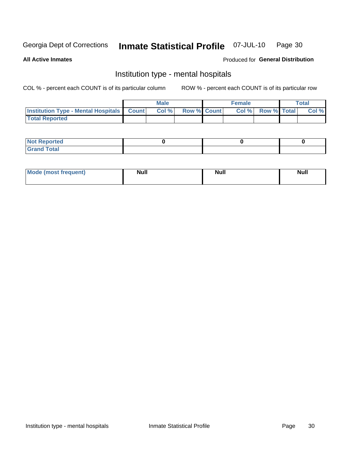#### **Inmate Statistical Profile 07-JUL-10** Page 30

### **All Active Inmates**

### Produced for General Distribution

# Institution type - mental hospitals

COL % - percent each COUNT is of its particular column

|                                                  | <b>Male</b> |                    | <b>Female</b> |             | <b>Total</b> |
|--------------------------------------------------|-------------|--------------------|---------------|-------------|--------------|
| <b>Institution Type - Mental Hospitals Count</b> | Col %       | <b>Row % Count</b> | Col%          | Row % Total | Col %        |
| <b>Total Reported</b>                            |             |                    |               |             |              |

| <b>Not Reported</b>                     |  |  |
|-----------------------------------------|--|--|
| <b>otal</b><br>C <sub>r</sub><br>______ |  |  |

| Mode.<br>frequent) | <b>Nul</b><br>_____ | <b>Null</b> | <b>Null</b> |
|--------------------|---------------------|-------------|-------------|
|                    |                     |             |             |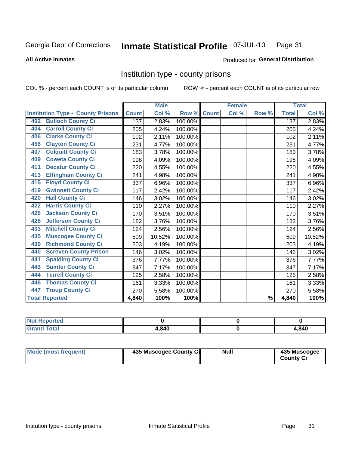#### Inmate Statistical Profile 07-JUL-10 Page 31

### **All Active Inmates**

### **Produced for General Distribution**

## Institution type - county prisons

COL % - percent each COUNT is of its particular column

|                                          |              | <b>Male</b> |         |              | <b>Female</b> |               |              | <b>Total</b> |
|------------------------------------------|--------------|-------------|---------|--------------|---------------|---------------|--------------|--------------|
| <b>Institution Type - County Prisons</b> | <b>Count</b> | Col %       | Row %   | <b>Count</b> | Col %         | Row %         | <b>Total</b> | Col %        |
| <b>Bulloch County Ci</b><br>402          | 137          | 2.83%       | 100.00% |              |               |               | 137          | 2.83%        |
| <b>Carroll County Ci</b><br>404          | 205          | 4.24%       | 100.00% |              |               |               | 205          | 4.24%        |
| <b>Clarke County Ci</b><br>406           | 102          | 2.11%       | 100.00% |              |               |               | 102          | 2.11%        |
| <b>Clayton County Ci</b><br>456          | 231          | 4.77%       | 100.00% |              |               |               | 231          | 4.77%        |
| <b>Colquitt County Ci</b><br>407         | 183          | 3.78%       | 100.00% |              |               |               | 183          | 3.78%        |
| <b>Coweta County Ci</b><br>409           | 198          | 4.09%       | 100.00% |              |               |               | 198          | 4.09%        |
| <b>Decatur County Ci</b><br>411          | 220          | 4.55%       | 100.00% |              |               |               | 220          | 4.55%        |
| <b>Effingham County Ci</b><br>413        | 241          | 4.98%       | 100.00% |              |               |               | 241          | 4.98%        |
| <b>Floyd County Ci</b><br>415            | 337          | 6.96%       | 100.00% |              |               |               | 337          | 6.96%        |
| <b>Gwinnett County Ci</b><br>419         | 117          | 2.42%       | 100.00% |              |               |               | 117          | 2.42%        |
| <b>Hall County Ci</b><br>420             | 146          | 3.02%       | 100.00% |              |               |               | 146          | 3.02%        |
| <b>Harris County Ci</b><br>422           | 110          | 2.27%       | 100.00% |              |               |               | 110          | 2.27%        |
| <b>Jackson County Ci</b><br>426          | 170          | 3.51%       | 100.00% |              |               |               | 170          | 3.51%        |
| <b>Jefferson County Ci</b><br>428        | 182          | 3.76%       | 100.00% |              |               |               | 182          | 3.76%        |
| <b>Mitchell County Ci</b><br>433         | 124          | 2.56%       | 100.00% |              |               |               | 124          | 2.56%        |
| <b>Muscogee County Ci</b><br>435         | 509          | 10.52%      | 100.00% |              |               |               | 509          | 10.52%       |
| <b>Richmond County Ci</b><br>439         | 203          | 4.19%       | 100.00% |              |               |               | 203          | 4.19%        |
| <b>Screven County Prison</b><br>440      | 146          | 3.02%       | 100.00% |              |               |               | 146          | 3.02%        |
| <b>Spalding County Ci</b><br>441         | 376          | 7.77%       | 100.00% |              |               |               | 376          | 7.77%        |
| <b>Sumter County Ci</b><br>443           | 347          | 7.17%       | 100.00% |              |               |               | 347          | 7.17%        |
| <b>Terrell County Ci</b><br>444          | 125          | 2.58%       | 100.00% |              |               |               | 125          | 2.58%        |
| <b>Thomas County Ci</b><br>445           | 161          | 3.33%       | 100.00% |              |               |               | 161          | 3.33%        |
| <b>Troup County Ci</b><br>447            | 270          | 5.58%       | 100.00% |              |               |               | 270          | 5.58%        |
| <b>Total Reported</b>                    | 4,840        | 100%        | 100%    |              |               | $\frac{9}{6}$ | 4,840        | 100%         |

| <b>Not Reported</b> |       |       |
|---------------------|-------|-------|
| <b>Grand Total</b>  | 4,840 | 1,840 |

| <b>Mode (most frequent)</b> | 435 Muscogee County Ci | <b>Null</b> | 435 Muscogee<br><b>County Ci</b> |
|-----------------------------|------------------------|-------------|----------------------------------|
|                             |                        |             |                                  |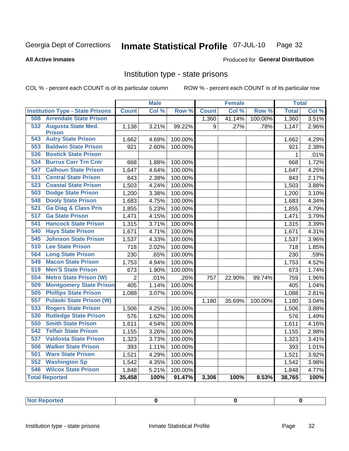#### Inmate Statistical Profile 07-JUL-10 Page 32

**All Active Inmates** 

### **Produced for General Distribution**

# Institution type - state prisons

COL % - percent each COUNT is of its particular column

|                                         |                | <b>Male</b> |                  |              | <b>Female</b> |         | <b>Total</b> |       |
|-----------------------------------------|----------------|-------------|------------------|--------------|---------------|---------|--------------|-------|
| <b>Institution Type - State Prisons</b> | <b>Count</b>   | Col %       | Row <sup>%</sup> | <b>Count</b> | Col %         | Row %   | <b>Total</b> | Col % |
| <b>508 Arrendale State Prison</b>       |                |             |                  | 1,360        | 41.14%        | 100.00% | 1,360        | 3.51% |
| 532 Augusta State Med.                  | 1,138          | 3.21%       | 99.22%           | 9            | .27%          | .78%    | 1,147        | 2.96% |
| <b>Prison</b>                           |                |             |                  |              |               |         |              |       |
| <b>Autry State Prison</b><br>543        | 1,662          | 4.69%       | 100.00%          |              |               |         | 1,662        | 4.29% |
| <b>Baldwin State Prison</b><br>553      | 921            | 2.60%       | 100.00%          |              |               |         | 921          | 2.38% |
| 536<br><b>Bostick State Prison</b>      |                |             |                  |              |               |         | 1            | .01%  |
| 534<br><b>Burrus Corr Trn Cntr</b>      | 668            | 1.88%       | 100.00%          |              |               |         | 668          | 1.72% |
| <b>Calhoun State Prison</b><br>547      | 1,647          | 4.64%       | 100.00%          |              |               |         | 1,647        | 4.25% |
| <b>Central State Prison</b><br>531      | 843            | 2.38%       | 100.00%          |              |               |         | 843          | 2.17% |
| <b>Coastal State Prison</b><br>523      | 1,503          | 4.24%       | 100.00%          |              |               |         | 1,503        | 3.88% |
| <b>Dodge State Prison</b><br>503        | 1,200          | 3.38%       | 100.00%          |              |               |         | 1,200        | 3.10% |
| <b>Dooly State Prison</b><br>548        | 1,683          | 4.75%       | 100.00%          |              |               |         | 1,683        | 4.34% |
| <b>Ga Diag &amp; Class Pris</b><br>521  | 1,855          | 5.23%       | 100.00%          |              |               |         | 1,855        | 4.79% |
| <b>Ga State Prison</b><br>517           | 1,471          | 4.15%       | 100.00%          |              |               |         | 1,471        | 3.79% |
| 541<br><b>Hancock State Prison</b>      | 1,315          | 3.71%       | 100.00%          |              |               |         | 1,315        | 3.39% |
| 540<br><b>Hays State Prison</b>         | 1,671          | 4.71%       | 100.00%          |              |               |         | 1,671        | 4.31% |
| <b>Johnson State Prison</b><br>545      | 1,537          | 4.33%       | 100.00%          |              |               |         | 1,537        | 3.96% |
| 510<br><b>Lee State Prison</b>          | 718            | 2.02%       | 100.00%          |              |               |         | 718          | 1.85% |
| 564<br><b>Long State Prison</b>         | 230            | .65%        | 100.00%          |              |               |         | 230          | .59%  |
| <b>Macon State Prison</b><br>549        | 1,753          | 4.94%       | 100.00%          |              |               |         | 1,753        | 4.52% |
| 519<br><b>Men'S State Prison</b>        | 673            | 1.90%       | 100.00%          |              |               |         | 673          | 1.74% |
| 554<br><b>Metro State Prison (W)</b>    | $\overline{2}$ | .01%        | .26%             | 757          | 22.90%        | 99.74%  | 759          | 1.96% |
| <b>Montgomery State Prison</b><br>509   | 405            | 1.14%       | 100.00%          |              |               |         | 405          | 1.04% |
| <b>Phillips State Prison</b><br>505     | 1,088          | 3.07%       | 100.00%          |              |               |         | 1,088        | 2.81% |
| <b>Pulaski State Prison (W)</b><br>557  |                |             |                  | 1,180        | 35.69%        | 100.00% | 1,180        | 3.04% |
| <b>Rogers State Prison</b><br>533       | 1,506          | 4.25%       | 100.00%          |              |               |         | 1,506        | 3.88% |
| <b>Rutledge State Prison</b><br>530     | 576            | 1.62%       | 100.00%          |              |               |         | 576          | 1.49% |
| 550<br><b>Smith State Prison</b>        | 1,611          | 4.54%       | 100.00%          |              |               |         | 1,611        | 4.16% |
| <b>Telfair State Prison</b><br>542      | 1,155          | 3.26%       | 100.00%          |              |               |         | 1,155        | 2.98% |
| 537<br><b>Valdosta State Prison</b>     | 1,323          | 3.73%       | 100.00%          |              |               |         | 1,323        | 3.41% |
| <b>Walker State Prison</b><br>506       | 393            | 1.11%       | 100.00%          |              |               |         | 393          | 1.01% |
| <b>Ware State Prison</b><br>501         | 1,521          | 4.29%       | 100.00%          |              |               |         | 1,521        | 3.92% |
| <b>Washington Sp</b><br>552             | 1,542          | 4.35%       | 100.00%          |              |               |         | 1,542        | 3.98% |
| <b>Wilcox State Prison</b><br>546       | 1,848          | 5.21%       | 100.00%          |              |               |         | 1,848        | 4.77% |
| <b>Total Reported</b>                   | 35,458         | 100%        | 91.47%           | 3,306        | 100%          | 8.53%   | 38,765       | 100%  |

| <b>Not Reported</b> |  |  |  |
|---------------------|--|--|--|
|---------------------|--|--|--|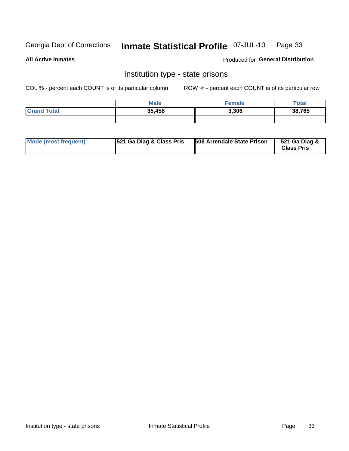#### Inmate Statistical Profile 07-JUL-10 Page 33

**All Active Inmates** 

Produced for General Distribution

# Institution type - state prisons

COL % - percent each COUNT is of its particular column

|                    | <b>Male</b> | <sup>∈</sup> emale | Total  |
|--------------------|-------------|--------------------|--------|
| <b>Grand Total</b> | 35,458      | 3,306              | 38,765 |
|                    |             |                    |        |

| Mode (most frequent) | <b>521 Ga Diag &amp; Class Pris</b> | <b>508 Arrendale State Prison</b> | 521 Ga Diag &<br><b>Class Pris</b> |
|----------------------|-------------------------------------|-----------------------------------|------------------------------------|
|----------------------|-------------------------------------|-----------------------------------|------------------------------------|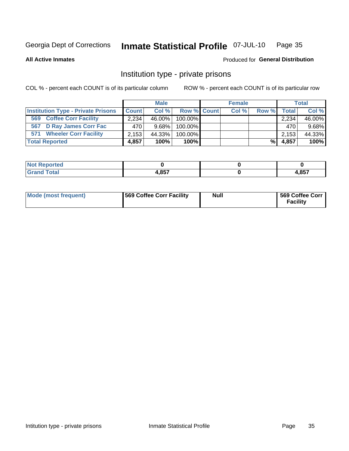#### Inmate Statistical Profile 07-JUL-10 Page 35

Produced for General Distribution

### **All Active Inmates**

# Institution type - private prisons

COL % - percent each COUNT is of its particular column

|                                           |              | <b>Male</b> |             | <b>Female</b> |       |                | <b>Total</b> |
|-------------------------------------------|--------------|-------------|-------------|---------------|-------|----------------|--------------|
| <b>Institution Type - Private Prisons</b> | <b>Count</b> | Col%        | Row % Count | Col %         | Row % | <b>Total</b> l | Col %        |
| <b>Coffee Corr Facility</b><br>569        | 2.234        | 46.00%      | $100.00\%$  |               |       | 2,234          | 46.00%       |
| 567 D Ray James Corr Fac                  | 470          | $9.68\%$    | 100.00%     |               |       | 470            | 9.68%        |
| <b>Wheeler Corr Facility</b><br>571       | 2.153        | 44.33%      | 100.00%     |               |       | 2,153          | 44.33%       |
| <b>Total Reported</b>                     | 4,857        | 100%        | 100%        |               | %।    | 4,857          | 100%         |

| <b>rted</b><br>' NIA |                 |      |
|----------------------|-----------------|------|
| `otal                | 1 QE7<br>7,0J / | ,857 |

| <b>Mode (most frequent)</b> | 569 Coffee Corr Facility | <b>Null</b> | 569 Coffee Corr<br><b>Facility</b> |
|-----------------------------|--------------------------|-------------|------------------------------------|
|-----------------------------|--------------------------|-------------|------------------------------------|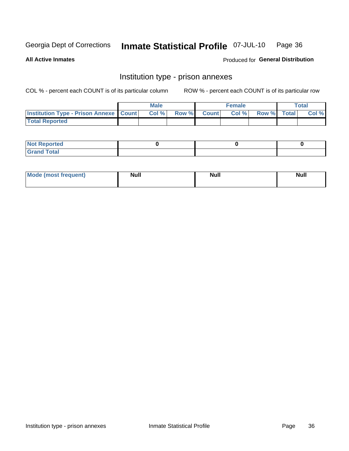#### Inmate Statistical Profile 07-JUL-10 Page 36

**All Active Inmates** 

Produced for General Distribution

# Institution type - prison annexes

COL % - percent each COUNT is of its particular column

|                                                   | <b>Male</b> |                    | <b>Female</b> |             | <b>Total</b> |
|---------------------------------------------------|-------------|--------------------|---------------|-------------|--------------|
| <b>Institution Type - Prison Annexe   Count  </b> | Col %       | <b>Row % Count</b> | Col %         | Row % Total | Col %        |
| <b>Total Reported</b>                             |             |                    |               |             |              |

| <b>Reported</b><br>I NOT |  |  |
|--------------------------|--|--|
| <b>Total</b><br>$C$ ren  |  |  |

| $^{\prime}$ Mo <sub>t</sub><br>frequent)<br>⊥(mos* | <b>Null</b> | Noll<br><b>vull</b> | <b>Null</b> |
|----------------------------------------------------|-------------|---------------------|-------------|
|                                                    |             |                     |             |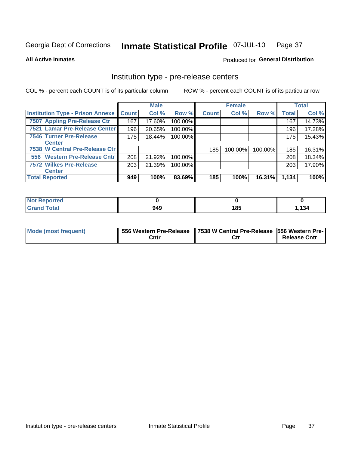#### Inmate Statistical Profile 07-JUL-10 Page 37

**All Active Inmates** 

Produced for General Distribution

# Institution type - pre-release centers

COL % - percent each COUNT is of its particular column

|                                         |              | <b>Male</b> |         |              | <b>Female</b> |         |              | <b>Total</b> |
|-----------------------------------------|--------------|-------------|---------|--------------|---------------|---------|--------------|--------------|
| <b>Institution Type - Prison Annexe</b> | <b>Count</b> | Col %       | Row %   | <b>Count</b> | Col %         | Row %   | <b>Total</b> | Col %        |
| 7507 Appling Pre-Release Ctr            | 167          | 17.60%      | 100.00% |              |               |         | 167          | 14.73%       |
| 7521 Lamar Pre-Release Center           | 196          | 20.65%      | 100.00% |              |               |         | 196          | 17.28%       |
| <b>7546 Turner Pre-Release</b>          | 175          | 18.44%      | 100.00% |              |               |         | 175          | 15.43%       |
| <b>Center</b>                           |              |             |         |              |               |         |              |              |
| 7538 W Central Pre-Release Ctr          |              |             |         | 185          | 100.00%       | 100.00% | 185          | 16.31%       |
| 556 Western Pre-Release Cntr            | 208          | 21.92%      | 100.00% |              |               |         | 208          | 18.34%       |
| 7572 Wilkes Pre-Release                 | 203          | 21.39%      | 100.00% |              |               |         | 203          | 17.90%       |
| <b>Center</b>                           |              |             |         |              |               |         |              |              |
| <b>Total Reported</b>                   | 949          | 100%        | 83.69%  | 185          | 100%          | 16.31%  | 1,134        | 100%         |

| ported<br>m. |     |     |      |
|--------------|-----|-----|------|
| <b>otal</b>  | 949 | 185 | .134 |

| <b>Mode (most frequent)</b> |      | 556 Western Pre-Release   7538 W Central Pre-Release   556 Western Pre- |                     |
|-----------------------------|------|-------------------------------------------------------------------------|---------------------|
|                             | Cntr | Ctr                                                                     | <b>Release Cntr</b> |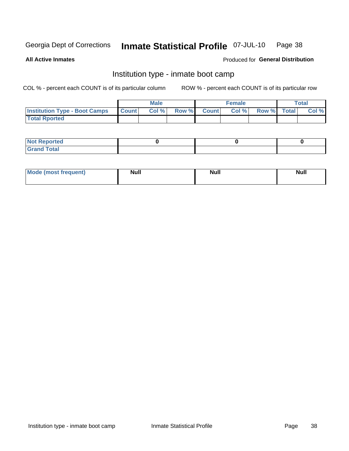#### Inmate Statistical Profile 07-JUL-10 Page 38

**All Active Inmates** 

### Produced for General Distribution

# Institution type - inmate boot camp

COL % - percent each COUNT is of its particular column

|                                      |         | <b>Male</b> |       |              | <b>Female</b> |             | <b>Total</b> |
|--------------------------------------|---------|-------------|-------|--------------|---------------|-------------|--------------|
| <b>Institution Type - Boot Camps</b> | I Count | Col %       | Row % | <b>Count</b> | Col %         | Row % Total | Col %        |
| <b>Total Rported</b>                 |         |             |       |              |               |             |              |

| <b>Not Reported</b><br>, , , , , |  |  |
|----------------------------------|--|--|
| Total<br><b>C</b> <sub>He</sub>  |  |  |

| <b>I Mode (most frequent)</b> | <b>Null</b> | <b>Null</b> | <b>Null</b> |
|-------------------------------|-------------|-------------|-------------|
|                               |             |             |             |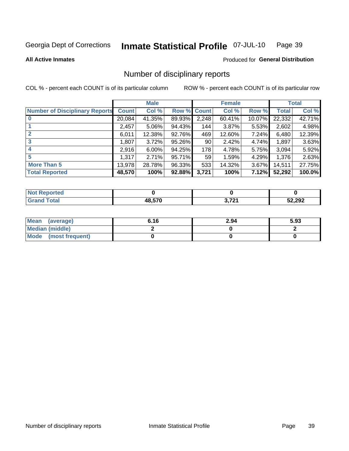### Inmate Statistical Profile 07-JUL-10 Page 39

**All Active Inmates** 

### Produced for General Distribution

# Number of disciplinary reports

COL % - percent each COUNT is of its particular column

|                                       |              | <b>Male</b> |             |       | <b>Female</b> |        |              | <b>Total</b> |
|---------------------------------------|--------------|-------------|-------------|-------|---------------|--------|--------------|--------------|
| <b>Number of Disciplinary Reports</b> | <b>Count</b> | Col %       | Row % Count |       | Col %         | Row %  | <b>Total</b> | Col %        |
|                                       | 20,084       | 41.35%      | 89.93%      | 2,248 | 60.41%        | 10.07% | 22,332       | 42.71%       |
|                                       | 2,457        | 5.06%       | 94.43%      | 144   | 3.87%         | 5.53%  | 2,602        | 4.98%        |
|                                       | 6,011        | 12.38%      | 92.76%      | 469   | 12.60%        | 7.24%  | 6,480        | 12.39%       |
| 3                                     | 1,807        | 3.72%       | 95.26%      | 90    | 2.42%         | 4.74%  | 1,897        | 3.63%        |
|                                       | 2,916        | 6.00%       | 94.25%      | 178   | 4.78%         | 5.75%  | 3,094        | 5.92%        |
| 5                                     | 1,317        | 2.71%       | 95.71%      | 59    | 1.59%         | 4.29%  | 1,376        | 2.63%        |
| <b>More Than 5</b>                    | 13,978       | 28.78%      | 96.33%      | 533   | 14.32%        | 3.67%  | 14,511       | 27.75%       |
| <b>Total Reported</b>                 | 48,570       | 100%        | 92.88%      | 3,721 | 100%          | 7.12%  | 52,292       | 100.0%       |

| prted<br>NOT |            |           |        |
|--------------|------------|-----------|--------|
| ⊺ota⊩        | .570<br>48 | 2704<br>. | 52,292 |

| Mean (average)         | 6.16 | 2.94 | 5.93 |
|------------------------|------|------|------|
| <b>Median (middle)</b> |      |      |      |
| Mode (most frequent)   |      |      |      |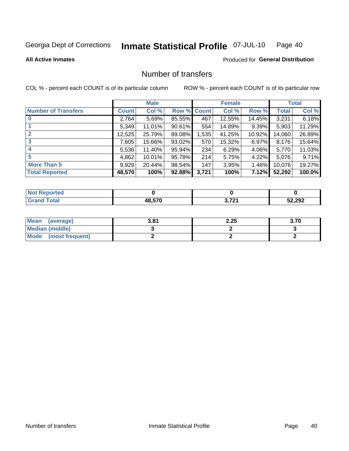### Inmate Statistical Profile 07-JUL-10 Page 40

### **All Active Inmates**

# Produced for General Distribution

# Number of transfers

COL % - percent each COUNT is of its particular column

|                            |         | <b>Male</b> |        |              | <b>Female</b> |          |              | <b>Total</b> |
|----------------------------|---------|-------------|--------|--------------|---------------|----------|--------------|--------------|
| <b>Number of Transfers</b> | Count l | Col %       | Row %  | <b>Count</b> | Col %         | Row %    | <b>Total</b> | Col %        |
|                            | 2,764   | 5.69%       | 85.55% | 467          | 12.55%        | 14.45%   | 3,231        | 6.18%        |
|                            | 5,349   | 11.01%      | 90.61% | 554          | 14.89%        | $9.39\%$ | 5,903        | 11.29%       |
| $\mathbf{2}$               | 12,525  | 25.79%      | 89.08% | 1,535        | 41.25%        | 10.92%   | 14,060       | 26.89%       |
| 3                          | 7,605   | 15.66%      | 93.02% | 570          | 15.32%        | $6.97\%$ | 8,176        | 15.64%       |
| 4                          | 5,536   | 11.40%      | 95.94% | 234          | 6.29%         | $4.06\%$ | 5,770        | 11.03%       |
| 5                          | 4,862   | $10.01\%$   | 95.78% | 214          | 5.75%         | $4.22\%$ | 5,076        | 9.71%        |
| <b>More Than 5</b>         | 9,929   | 20.44%      | 98.54% | 147          | 3.95%         | $1.46\%$ | 10,076       | 19.27%       |
| <b>Total Reported</b>      | 48,570  | 100%        | 92.88% | 3,721        | 100%          | 7.12%    | 52,292       | 100.0%       |

| <b>Not Reported</b> |        |                  |        |
|---------------------|--------|------------------|--------|
| Total               | 48,570 | 2704<br>14 L<br> | 52,292 |

| Mean (average)       | 3.81 | 2.25 | 3.70 |
|----------------------|------|------|------|
| Median (middle)      |      |      |      |
| Mode (most frequent) |      |      |      |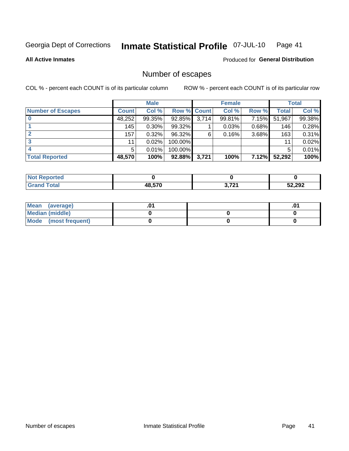### Inmate Statistical Profile 07-JUL-10 Page 41

**All Active Inmates** 

### Produced for General Distribution

# Number of escapes

COL % - percent each COUNT is of its particular column

|                          |              | <b>Male</b> |             |       | <b>Female</b> |       |        | <b>Total</b> |
|--------------------------|--------------|-------------|-------------|-------|---------------|-------|--------|--------------|
| <b>Number of Escapes</b> | <b>Count</b> | Col %       | Row % Count |       | Col %         | Row % | Total  | Col %        |
|                          | 48,252       | 99.35%      | 92.85%      | 3,714 | 99.81%        | 7.15% | 51,967 | 99.38%       |
|                          | 145          | 0.30%       | 99.32%      |       | 0.03%         | 0.68% | 146    | 0.28%        |
|                          | 157          | 0.32%       | 96.32%      | 6     | 0.16%         | 3.68% | 163    | $0.31\%$     |
|                          | 11           | 0.02%       | 100.00%     |       |               |       | 11     | 0.02%        |
|                          | 5.           | 0.01%       | 100.00%     |       |               |       | 5      | 0.01%        |
| <b>Total Reported</b>    | 48,570       | 100%        | 92.88%      | 3,721 | 100%          | 7.12% | 52,292 | 100%         |

| <b>Not Reported</b> |        |       |        |
|---------------------|--------|-------|--------|
| <b>Total</b>        | 48.570 | つ フクイ | 52,292 |

| Mean (average)         |  | .0 <sup>4</sup> |
|------------------------|--|-----------------|
| <b>Median (middle)</b> |  |                 |
| Mode (most frequent)   |  |                 |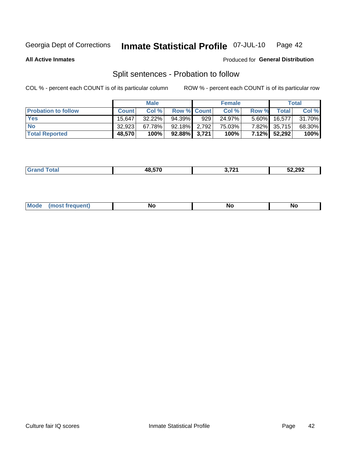### Inmate Statistical Profile 07-JUL-10 Page 42

**All Active Inmates** 

### Produced for General Distribution

# Split sentences - Probation to follow

COL % - percent each COUNT is of its particular column

|                            |              | <b>Male</b> |                    |     | <b>Female</b> |          |              | <b>Total</b> |
|----------------------------|--------------|-------------|--------------------|-----|---------------|----------|--------------|--------------|
| <b>Probation to follow</b> | <b>Count</b> | Col%        | <b>Row % Count</b> |     | Col %         | Row %    | <b>Total</b> | Col %        |
| <b>Yes</b>                 | 15.647       | $32.22\%$   | 94.39%1            | 929 | 24.97%        | $5.60\%$ | 16.577       | 31.70%       |
| <b>No</b>                  | 32.923       | 67.78%      | $92.18\%$ 2,792    |     | 75.03%        |          | 7.82% 35,715 | 68.30%       |
| <b>Total Reported</b>      | 48.570       | 100%        | $92.88\%$ 3,721    |     | 100%          |          | 7.12% 52,292 | 100%         |

| 10 E7N | ג היד | 52,292 |
|--------|-------|--------|
|        |       |        |

| $M_{\odot}$<br><br><b>NO</b><br><b>NO</b><br><b>IVU</b> |  |  |  |  |  |
|---------------------------------------------------------|--|--|--|--|--|
|---------------------------------------------------------|--|--|--|--|--|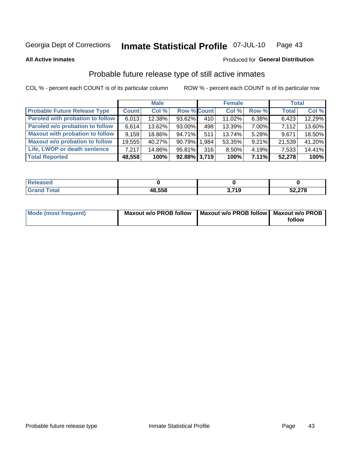### Inmate Statistical Profile 07-JUL-10 Page 43

**All Active Inmates** 

### Produced for General Distribution

# Probable future release type of still active inmates

COL % - percent each COUNT is of its particular column

|                                         |              | <b>Male</b> |                    |     | <b>Female</b> |          | <b>Total</b> |        |
|-----------------------------------------|--------------|-------------|--------------------|-----|---------------|----------|--------------|--------|
| <b>Probable Future Release Type</b>     | <b>Count</b> | Col %       | <b>Row % Count</b> |     | Col %         | Row %    | <b>Total</b> | Col %  |
| <b>Paroled with probation to follow</b> | 6,013        | 12.38%      | 93.62%             | 410 | 11.02%        | 6.38%    | 6,423        | 12.29% |
| Paroled w/o probation to follow         | 6,614        | 13.62%      | 93.00%             | 498 | 13.39%        | 7.00%    | 7,112        | 13.60% |
| <b>Maxout with probation to follow</b>  | 9,159        | 18.86%      | 94.71%             | 511 | 13.74%        | 5.28%    | 9,671        | 18.50% |
| <b>Maxout w/o probation to follow</b>   | 19,555       | 40.27%      | 90.79% 1,984       |     | 53.35%        | 9.21%    | 21,539       | 41.20% |
| Life, LWOP or death sentence            | 7.217        | 14.86%      | 95.81%             | 316 | 8.50%         | $4.19\%$ | 7,533        | 14.41% |
| <b>Total Reported</b>                   | 48,558       | 100%        | $92.88\%$ 3,719    |     | 100%          | 7.11%    | 52,278       | 100%   |

| <b>ised</b> |        |                        |        |
|-------------|--------|------------------------|--------|
| <b>otal</b> | 48,558 | 2710<br>.<br>$\ddotsc$ | 52,278 |

| Mode (most frequent) | Maxout w/o PROB follow   Maxout w/o PROB follow   Maxout w/o PROB |        |
|----------------------|-------------------------------------------------------------------|--------|
|                      |                                                                   | follow |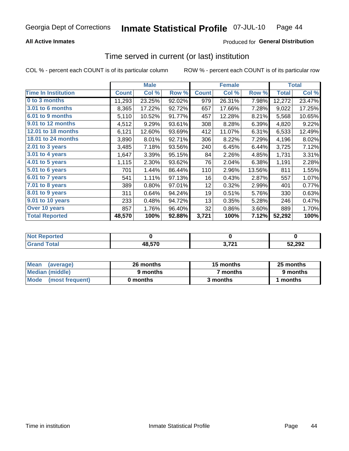# **All Active Inmates**

## Produced for General Distribution

# Time served in current (or last) institution

COL % - percent each COUNT is of its particular column

|                            |              | <b>Male</b> |        |              | <b>Female</b> |        |              | <b>Total</b> |
|----------------------------|--------------|-------------|--------|--------------|---------------|--------|--------------|--------------|
| <b>Time In Institution</b> | <b>Count</b> | Col %       | Row %  | <b>Count</b> | Col %         | Row %  | <b>Total</b> | Col $%$      |
| 0 to 3 months              | 11,293       | 23.25%      | 92.02% | 979          | 26.31%        | 7.98%  | 12,272       | 23.47%       |
| <b>3.01 to 6 months</b>    | 8,365        | 17.22%      | 92.72% | 657          | 17.66%        | 7.28%  | 9,022        | 17.25%       |
| 6.01 to 9 months           | 5,110        | 10.52%      | 91.77% | 457          | 12.28%        | 8.21%  | 5,568        | 10.65%       |
| 9.01 to 12 months          | 4,512        | 9.29%       | 93.61% | 308          | 8.28%         | 6.39%  | 4,820        | 9.22%        |
| <b>12.01 to 18 months</b>  | 6,121        | 12.60%      | 93.69% | 412          | 11.07%        | 6.31%  | 6,533        | 12.49%       |
| <b>18.01 to 24 months</b>  | 3,890        | 8.01%       | 92.71% | 306          | 8.22%         | 7.29%  | 4,196        | 8.02%        |
| $2.01$ to 3 years          | 3,485        | 7.18%       | 93.56% | 240          | 6.45%         | 6.44%  | 3,725        | 7.12%        |
| $3.01$ to 4 years          | 1,647        | 3.39%       | 95.15% | 84           | 2.26%         | 4.85%  | 1,731        | 3.31%        |
| 4.01 to 5 years            | 1,115        | 2.30%       | 93.62% | 76           | 2.04%         | 6.38%  | 1,191        | 2.28%        |
| 5.01 to 6 years            | 701          | 1.44%       | 86.44% | 110          | 2.96%         | 13.56% | 811          | 1.55%        |
| 6.01 to 7 years            | 541          | 1.11%       | 97.13% | 16           | 0.43%         | 2.87%  | 557          | 1.07%        |
| $7.01$ to 8 years          | 389          | 0.80%       | 97.01% | 12           | 0.32%         | 2.99%  | 401          | 0.77%        |
| $8.01$ to 9 years          | 311          | 0.64%       | 94.24% | 19           | 0.51%         | 5.76%  | 330          | 0.63%        |
| 9.01 to 10 years           | 233          | 0.48%       | 94.72% | 13           | 0.35%         | 5.28%  | 246          | 0.47%        |
| Over 10 years              | 857          | 1.76%       | 96.40% | 32           | 0.86%         | 3.60%  | 889          | 1.70%        |
| <b>Total Reported</b>      | 48,570       | 100%        | 92.88% | 3,721        | 100%          | 7.12%  | 52,292       | 100%         |

| orted<br>NO1 |        |                                                 |        |
|--------------|--------|-------------------------------------------------|--------|
| .'ntal       | 48,570 | ג היד<br>$\mathbf{z}$ . The set of $\mathbf{z}$ | 52,292 |

| <b>Mean</b><br>(average) | 26 months | 15 months | 25 months |
|--------------------------|-----------|-----------|-----------|
| Median (middle)          | 9 months  | 7 months  | 9 months  |
| Mode (most frequent)     | 0 months  | 3 months  | 1 months  |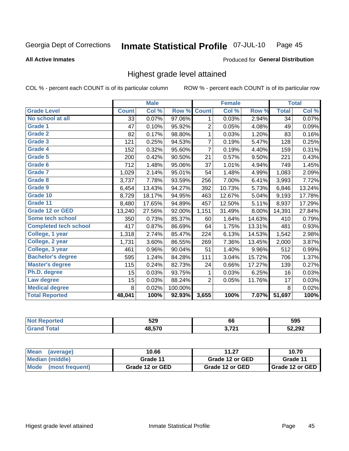### Inmate Statistical Profile 07-JUL-10 Page 45

**All Active Inmates** 

### Produced for General Distribution

# Highest grade level attained

COL % - percent each COUNT is of its particular column

|                              |              | <b>Male</b> |         |                | <b>Female</b> |        |              | <b>Total</b> |
|------------------------------|--------------|-------------|---------|----------------|---------------|--------|--------------|--------------|
| <b>Grade Level</b>           | <b>Count</b> | Col %       | Row %   | <b>Count</b>   | Col %         | Row %  | <b>Total</b> | Col %        |
| No school at all             | 33           | 0.07%       | 97.06%  | 1              | 0.03%         | 2.94%  | 34           | 0.07%        |
| <b>Grade 1</b>               | 47           | 0.10%       | 95.92%  | 2              | 0.05%         | 4.08%  | 49           | 0.09%        |
| <b>Grade 2</b>               | 82           | 0.17%       | 98.80%  | 1              | 0.03%         | 1.20%  | 83           | 0.16%        |
| Grade 3                      | 121          | 0.25%       | 94.53%  | 7              | 0.19%         | 5.47%  | 128          | 0.25%        |
| Grade 4                      | 152          | 0.32%       | 95.60%  | $\overline{7}$ | 0.19%         | 4.40%  | 159          | 0.31%        |
| Grade 5                      | 200          | 0.42%       | 90.50%  | 21             | 0.57%         | 9.50%  | 221          | 0.43%        |
| Grade 6                      | 712          | 1.48%       | 95.06%  | 37             | 1.01%         | 4.94%  | 749          | 1.45%        |
| <b>Grade 7</b>               | 1,029        | 2.14%       | 95.01%  | 54             | 1.48%         | 4.99%  | 1,083        | 2.09%        |
| Grade 8                      | 3,737        | 7.78%       | 93.59%  | 256            | 7.00%         | 6.41%  | 3,993        | 7.72%        |
| Grade 9                      | 6,454        | 13.43%      | 94.27%  | 392            | 10.73%        | 5.73%  | 6,846        | 13.24%       |
| Grade 10                     | 8,729        | 18.17%      | 94.95%  | 463            | 12.67%        | 5.04%  | 9,193        | 17.78%       |
| Grade 11                     | 8,480        | 17.65%      | 94.89%  | 457            | 12.50%        | 5.11%  | 8,937        | 17.29%       |
| <b>Grade 12 or GED</b>       | 13,240       | 27.56%      | 92.00%  | 1,151          | 31.49%        | 8.00%  | 14,391       | 27.84%       |
| Some tech school             | 350          | 0.73%       | 85.37%  | 60             | 1.64%         | 14.63% | 410          | 0.79%        |
| <b>Completed tech school</b> | 417          | 0.87%       | 86.69%  | 64             | 1.75%         | 13.31% | 481          | 0.93%        |
| College, 1 year              | 1,318        | 2.74%       | 85.47%  | 224            | 6.13%         | 14.53% | 1,542        | 2.98%        |
| College, 2 year              | 1,731        | 3.60%       | 86.55%  | 269            | 7.36%         | 13.45% | 2,000        | 3.87%        |
| College, 3 year              | 461          | 0.96%       | 90.04%  | 51             | 1.40%         | 9.96%  | 512          | 0.99%        |
| <b>Bachelor's degree</b>     | 595          | 1.24%       | 84.28%  | 111            | 3.04%         | 15.72% | 706          | 1.37%        |
| <b>Master's degree</b>       | 115          | 0.24%       | 82.73%  | 24             | 0.66%         | 17.27% | 139          | 0.27%        |
| Ph.D. degree                 | 15           | 0.03%       | 93.75%  | 1              | 0.03%         | 6.25%  | 16           | 0.03%        |
| Law degree                   | 15           | 0.03%       | 88.24%  | $\overline{2}$ | 0.05%         | 11.76% | 17           | 0.03%        |
| <b>Medical degree</b>        | 8            | 0.02%       | 100.00% |                |               |        | 8            | 0.02%        |
| <b>Total Reported</b>        | 48,041       | 100%        | 92.93%  | 3,655          | 100%          | 7.07%  | 51,697       | 100%         |

| rero | 529    | 66    | 595    |
|------|--------|-------|--------|
|      | 18 57N | גרי י | 52,292 |

| Mean<br>(average)              | 10.66           | 11.27           | 10.70                    |
|--------------------------------|-----------------|-----------------|--------------------------|
| Median (middle)                | Grade 11        | Grade 12 or GED | Grade 11                 |
| <b>Mode</b><br>(most frequent) | Grade 12 or GED | Grade 12 or GED | <b>I</b> Grade 12 or GED |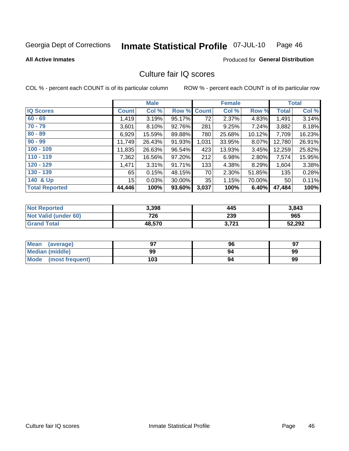### Inmate Statistical Profile 07-JUL-10 Page 46

### **All Active Inmates**

# Produced for General Distribution

# Culture fair IQ scores

COL % - percent each COUNT is of its particular column

|                       |                 | <b>Male</b> |        |              | <b>Female</b> |        |              | <b>Total</b> |
|-----------------------|-----------------|-------------|--------|--------------|---------------|--------|--------------|--------------|
| <b>IQ Scores</b>      | <b>Count</b>    | Col %       | Row %  | <b>Count</b> | Col %         | Row %  | <b>Total</b> | Col %        |
| $60 - 69$             | 1,419           | 3.19%       | 95.17% | 72           | 2.37%         | 4.83%  | 1,491        | 3.14%        |
| $70 - 79$             | 3,601           | 8.10%       | 92.76% | 281          | 9.25%         | 7.24%  | 3,882        | 8.18%        |
| $80 - 89$             | 6,929           | 15.59%      | 89.88% | 780          | 25.68%        | 10.12% | 7,709        | 16.23%       |
| $90 - 99$             | 11,749          | 26.43%      | 91.93% | 1,031        | 33.95%        | 8.07%  | 12,780       | 26.91%       |
| $100 - 109$           | 11,835          | 26.63%      | 96.54% | 423          | 13.93%        | 3.45%  | 12,259       | 25.82%       |
| $110 - 119$           | 7,362           | 16.56%      | 97.20% | 212          | 6.98%         | 2.80%  | 7,574        | 15.95%       |
| $120 - 129$           | 1,471           | $3.31\%$    | 91.71% | 133          | 4.38%         | 8.29%  | 1,604        | 3.38%        |
| $130 - 139$           | 65              | 0.15%       | 48.15% | 70           | 2.30%         | 51.85% | 135          | 0.28%        |
| 140 & Up              | 15 <sub>l</sub> | 0.03%       | 30.00% | 35           | 1.15%         | 70.00% | 50           | 0.11%        |
| <b>Total Reported</b> | 44,446          | 100%        | 93.60% | 3,037        | 100%          | 6.40%  | 47,484       | 100%         |

| <b>Not Reported</b>         | 3,398  | 445   | 3,843  |
|-----------------------------|--------|-------|--------|
| <b>Not Valid (under 60)</b> | 726    | 239   | 965    |
| <b>Grand Total</b>          | 48,570 | 3,721 | 52,292 |

| Mean<br>(average)       | 97  | 96 | 97 |
|-------------------------|-----|----|----|
| <b>Median (middle)</b>  | 99  | 94 | 99 |
| Mode<br>(most frequent) | 103 | 94 | 99 |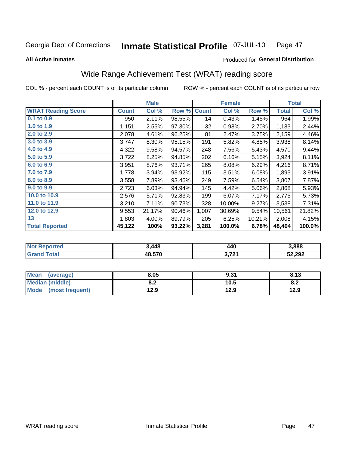### Inmate Statistical Profile 07-JUL-10 Page 47

### **All Active Inmates**

# Produced for General Distribution

# Wide Range Achievement Test (WRAT) reading score

COL % - percent each COUNT is of its particular column

|                           |              | <b>Male</b> |        |              | <b>Female</b> |        |              | <b>Total</b> |
|---------------------------|--------------|-------------|--------|--------------|---------------|--------|--------------|--------------|
| <b>WRAT Reading Score</b> | <b>Count</b> | Col %       | Row %  | <b>Count</b> | Col %         | Row %  | <b>Total</b> | Col %        |
| 0.1 to 0.9                | 950          | 2.11%       | 98.55% | 14           | 0.43%         | 1.45%  | 964          | 1.99%        |
| 1.0 to 1.9                | 1,151        | 2.55%       | 97.30% | 32           | 0.98%         | 2.70%  | 1,183        | 2.44%        |
| 2.0 to 2.9                | 2,078        | 4.61%       | 96.25% | 81           | 2.47%         | 3.75%  | 2,159        | 4.46%        |
| 3.0 to 3.9                | 3,747        | 8.30%       | 95.15% | 191          | 5.82%         | 4.85%  | 3,938        | 8.14%        |
| 4.0 to 4.9                | 4,322        | 9.58%       | 94.57% | 248          | 7.56%         | 5.43%  | 4,570        | 9.44%        |
| 5.0 to 5.9                | 3,722        | 8.25%       | 94.85% | 202          | 6.16%         | 5.15%  | 3,924        | 8.11%        |
| 6.0 to 6.9                | 3,951        | 8.76%       | 93.71% | 265          | 8.08%         | 6.29%  | 4,216        | 8.71%        |
| 7.0 to 7.9                | 1,778        | 3.94%       | 93.92% | 115          | 3.51%         | 6.08%  | 1,893        | 3.91%        |
| 8.0 to 8.9                | 3,558        | 7.89%       | 93.46% | 249          | 7.59%         | 6.54%  | 3,807        | 7.87%        |
| 9.0 to 9.9                | 2,723        | 6.03%       | 94.94% | 145          | 4.42%         | 5.06%  | 2,868        | 5.93%        |
| 10.0 to 10.9              | 2,576        | 5.71%       | 92.83% | 199          | 6.07%         | 7.17%  | 2,775        | 5.73%        |
| 11.0 to 11.9              | 3,210        | 7.11%       | 90.73% | 328          | 10.00%        | 9.27%  | 3,538        | 7.31%        |
| 12.0 to 12.9              | 9,553        | 21.17%      | 90.46% | 1,007        | 30.69%        | 9.54%  | 10,561       | 21.82%       |
| 13                        | 1,803        | 4.00%       | 89.79% | 205          | 6.25%         | 10.21% | 2,008        | 4.15%        |
| <b>Total Reported</b>     | 45,122       | 100%        | 93.22% | 3,281        | 100.0%        | 6.78%  | 48,404       | 100.0%       |

| <b>prted</b><br>NO | 3,448  | 440                       | 3,888  |
|--------------------|--------|---------------------------|--------|
| $T$ ofol $T$       | 48,570 | ? 791<br>$J, I \subset I$ | 52,292 |

| <b>Mean</b><br>(average) | 8.05       | 9.31 | 8.13 |
|--------------------------|------------|------|------|
| Median (middle)          | י ה<br>o.z | 10.5 | o.z  |
| Mode (most frequent)     | 12.9       | 12.9 | 12.9 |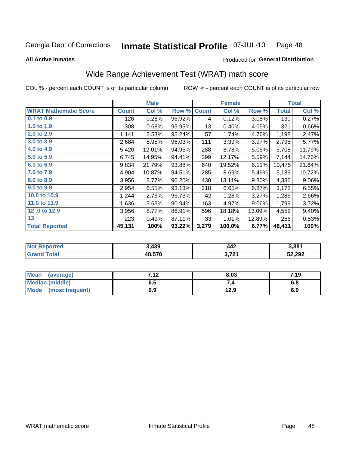### **Inmate Statistical Profile 07-JUL-10** Page 48

### **All Active Inmates**

# Produced for General Distribution

# Wide Range Achievement Test (WRAT) math score

COL % - percent each COUNT is of its particular column

|                              |              | <b>Male</b> |        |              | <b>Female</b> |          |              | <b>Total</b> |
|------------------------------|--------------|-------------|--------|--------------|---------------|----------|--------------|--------------|
| <b>WRAT Mathematic Score</b> | <b>Count</b> | Col %       | Row %  | <b>Count</b> | Col %         | Row %    | <b>Total</b> | Col %        |
| $0.1$ to $0.9$               | 126          | 0.28%       | 96.92% | 4            | 0.12%         | 3.08%    | 130          | 0.27%        |
| 1.0 to 1.9                   | 308          | 0.68%       | 95.95% | 13           | 0.40%         | 4.05%    | 321          | 0.66%        |
| 2.0 to 2.9                   | 1,141        | 2.53%       | 95.24% | 57           | 1.74%         | 4.76%    | 1,198        | 2.47%        |
| 3.0 to 3.9                   | 2,684        | 5.95%       | 96.03% | 111          | 3.39%         | 3.97%    | 2,795        | 5.77%        |
| 4.0 to 4.9                   | 5,420        | 12.01%      | 94.95% | 288          | 8.78%         | 5.05%    | 5,708        | 11.79%       |
| 5.0 to 5.9                   | 6,745        | 14.95%      | 94.41% | 399          | 12.17%        | 5.59%    | 7,144        | 14.76%       |
| 6.0 to 6.9                   | 9,834        | 21.79%      | 93.88% | 640          | 19.52%        | 6.11%    | 10,475       | 21.64%       |
| 7.0 to 7.9                   | 4,904        | 10.87%      | 94.51% | 285          | 8.69%         | 5.49%    | 5,189        | 10.72%       |
| 8.0 to 8.9                   | 3,956        | 8.77%       | 90.20% | 430          | 13.11%        | $9.80\%$ | 4,386        | 9.06%        |
| 9.0 to 9.9                   | 2,954        | 6.55%       | 93.13% | 218          | 6.65%         | 6.87%    | 3,172        | 6.55%        |
| 10.0 to 10.9                 | 1,244        | 2.76%       | 96.73% | 42           | 1.28%         | 3.27%    | 1,286        | 2.66%        |
| 11.0 to 11.9                 | 1,636        | 3.63%       | 90.94% | 163          | 4.97%         | $9.06\%$ | 1,799        | 3.72%        |
| 12.0 to 12.9                 | 3,956        | 8.77%       | 86.91% | 596          | 18.18%        | 13.09%   | 4,552        | 9.40%        |
| 13                           | 223          | 0.49%       | 87.11% | 33           | 1.01%         | 12.89%   | 256          | 0.53%        |
| <b>Total Reported</b>        | 45,131       | 100%        | 93.22% | 3,279        | 100.0%        | 6.77%    | 48,411       | 100%         |
|                              |              |             |        |              |               |          |              |              |

| <b>Not Reported</b>            | 3,439  | 442             | 3,881  |
|--------------------------------|--------|-----------------|--------|
| <b>Total</b><br><b>Grand</b> 1 | 48,570 | 2 721<br>J.IZ 1 | 52,292 |

| Mean (average)       | 7.12 | 8.03 | 7.19 |
|----------------------|------|------|------|
| Median (middle)      | ง. ว | 54   | o.o  |
| Mode (most frequent) | 6.9  | 12.9 | 6.9  |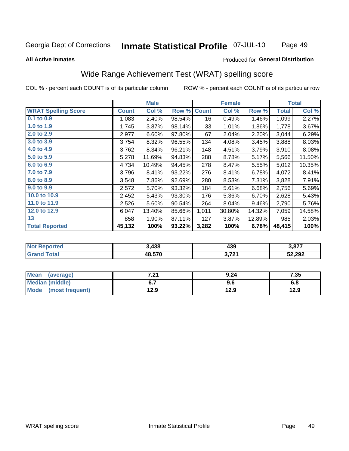### **Inmate Statistical Profile 07-JUL-10** Page 49

### **All Active Inmates**

## Produced for General Distribution

# Wide Range Achievement Test (WRAT) spelling score

COL % - percent each COUNT is of its particular column

|                            |              | <b>Male</b> |        |              | <b>Female</b> |        |              | <b>Total</b> |
|----------------------------|--------------|-------------|--------|--------------|---------------|--------|--------------|--------------|
| <b>WRAT Spelling Score</b> | <b>Count</b> | Col %       | Row %  | <b>Count</b> | Col %         | Row %  | <b>Total</b> | Col %        |
| $0.1$ to $0.9$             | 1,083        | 2.40%       | 98.54% | 16           | 0.49%         | 1.46%  | 1,099        | 2.27%        |
| 1.0 to 1.9                 | 1,745        | 3.87%       | 98.14% | 33           | 1.01%         | 1.86%  | 1,778        | 3.67%        |
| 2.0 to 2.9                 | 2,977        | 6.60%       | 97.80% | 67           | 2.04%         | 2.20%  | 3,044        | 6.29%        |
| 3.0 to 3.9                 | 3,754        | 8.32%       | 96.55% | 134          | 4.08%         | 3.45%  | 3,888        | 8.03%        |
| 4.0 to 4.9                 | 3,762        | 8.34%       | 96.21% | 148          | 4.51%         | 3.79%  | 3,910        | 8.08%        |
| 5.0 to 5.9                 | 5,278        | 11.69%      | 94.83% | 288          | 8.78%         | 5.17%  | 5,566        | 11.50%       |
| 6.0 to 6.9                 | 4,734        | 10.49%      | 94.45% | 278          | 8.47%         | 5.55%  | 5,012        | 10.35%       |
| 7.0 to 7.9                 | 3,796        | 8.41%       | 93.22% | 276          | 8.41%         | 6.78%  | 4,072        | 8.41%        |
| 8.0 to 8.9                 | 3,548        | 7.86%       | 92.69% | 280          | 8.53%         | 7.31%  | 3,828        | 7.91%        |
| 9.0 to 9.9                 | 2,572        | 5.70%       | 93.32% | 184          | 5.61%         | 6.68%  | 2,756        | 5.69%        |
| 10.0 to 10.9               | 2,452        | 5.43%       | 93.30% | 176          | 5.36%         | 6.70%  | 2,628        | 5.43%        |
| 11.0 to 11.9               | 2,526        | 5.60%       | 90.54% | 264          | 8.04%         | 9.46%  | 2,790        | 5.76%        |
| 12.0 to 12.9               | 6,047        | 13.40%      | 85.66% | 1,011        | 30.80%        | 14.32% | 7,059        | 14.58%       |
| 13                         | 858          | 1.90%       | 87.11% | 127          | 3.87%         | 12.89% | 985          | 2.03%        |
| <b>Total Reported</b>      | 45,132       | 100%        | 93.22% | 3,282        | 100%          | 6.78%  | 48,415       | 100%         |

| <b>Not Reported</b> | 3,438  | 439   | 3,877  |
|---------------------|--------|-------|--------|
| <b>Total</b>        | 48,570 | 3,721 | 52,292 |

| <b>Mean</b><br>(average) | 7.04<br>.Z I | 9.24 | 7.35 |
|--------------------------|--------------|------|------|
| Median (middle)          |              | 9.6  | o.o  |
| Mode<br>(most frequent)  | 12.9         | 12.9 | 12.9 |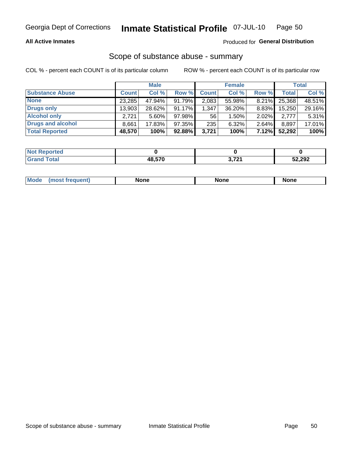## **All Active Inmates**

# Produced for General Distribution

# Scope of substance abuse - summary

COL % - percent each COUNT is of its particular column

|                        |              | <b>Male</b> |        |              | <b>Female</b> |          |              | <b>Total</b> |
|------------------------|--------------|-------------|--------|--------------|---------------|----------|--------------|--------------|
| <b>Substance Abuse</b> | <b>Count</b> | Col %       | Row %  | <b>Count</b> | Col %         | Row %    | <b>Total</b> | Col %        |
| <b>None</b>            | 23,285       | 47.94%      | 91.79% | 2,083        | 55.98%        | $8.21\%$ | 25,368       | 48.51%       |
| <b>Drugs only</b>      | 13,903       | 28.62%      | 91.17% | .347         | $36.20\%$     | 8.83%    | 15,250       | 29.16%       |
| <b>Alcohol only</b>    | 2.721        | $5.60\%$    | 97.98% | 56           | $1.50\%$      | $2.02\%$ | 2.777        | 5.31%        |
| Drugs and alcohol      | 8,661        | 17.83%      | 97.35% | 235          | 6.32%         | 2.64%    | 8,897        | 17.01%       |
| <b>Total Reported</b>  | 48,570       | 100%        | 92.88% | 3.721        | 100%          | 7.12%    | 52,292       | 100%         |

| <b>Not Reported</b> |        |            |        |
|---------------------|--------|------------|--------|
| <b>Grand Total</b>  | 48.570 | 2 ארד<br>. | 52,292 |

| nuem | <b>Mo</b> | None | <b>None</b> | None |
|------|-----------|------|-------------|------|
|------|-----------|------|-------------|------|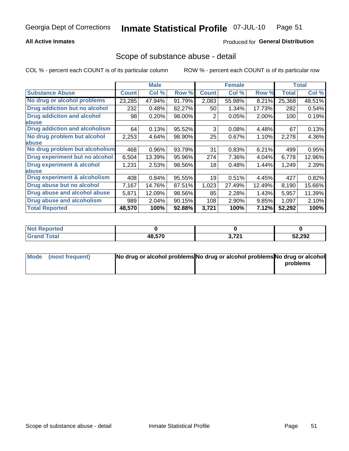## **All Active Inmates**

## Produced for General Distribution

# Scope of substance abuse - detail

COL % - percent each COUNT is of its particular column

|                                      |              | <b>Male</b> |        |                 | <b>Female</b> |        |              | <b>Total</b> |
|--------------------------------------|--------------|-------------|--------|-----------------|---------------|--------|--------------|--------------|
| <b>Substance Abuse</b>               | <b>Count</b> | Col %       | Row %  | <b>Count</b>    | Col %         | Row %  | <b>Total</b> | Col %        |
| No drug or alcohol problems          | 23,285       | 47.94%      | 91.79% | 2,083           | 55.98%        | 8.21%  | 25,368       | 48.51%       |
| <b>Drug addiction but no alcohol</b> | 232          | 0.48%       | 82.27% | 50 <sub>1</sub> | 1.34%         | 17.73% | 282          | 0.54%        |
| <b>Drug addiction and alcohol</b>    | 98           | 0.20%       | 98.00% | 2               | 0.05%         | 2.00%  | 100          | 0.19%        |
| <b>labuse</b>                        |              |             |        |                 |               |        |              |              |
| <b>Drug addiction and alcoholism</b> | 64           | 0.13%       | 95.52% | 3               | 0.08%         | 4.48%  | 67           | 0.13%        |
| No drug problem but alcohol          | 2,253        | 4.64%       | 98.90% | 25              | $0.67\%$      | 1.10%  | 2,278        | 4.36%        |
| <b>labuse</b>                        |              |             |        |                 |               |        |              |              |
| No drug problem but alcoholism       | 468          | 0.96%       | 93.79% | 31              | 0.83%         | 6.21%  | 499          | 0.95%        |
| Drug experiment but no alcohol       | 6,504        | 13.39%      | 95.96% | 274             | 7.36%         | 4.04%  | 6,778        | 12.96%       |
| <b>Drug experiment &amp; alcohol</b> | 1,231        | 2.53%       | 98.56% | 18              | 0.48%         | 1.44%  | 1,249        | 2.39%        |
| <b>labuse</b>                        |              |             |        |                 |               |        |              |              |
| Drug experiment & alcoholism         | 408          | 0.84%       | 95.55% | 19              | 0.51%         | 4.45%  | 427          | 0.82%        |
| Drug abuse but no alcohol            | 7,167        | 14.76%      | 87.51% | 1,023           | 27.49%        | 12.49% | 8,190        | 15.66%       |
| Drug abuse and alcohol abuse         | 5,871        | 12.09%      | 98.56% | 85              | 2.28%         | 1.43%  | 5,957        | 11.39%       |
| <b>Drug abuse and alcoholism</b>     | 989          | 2.04%       | 90.15% | 108             | 2.90%         | 9.85%  | 1,097        | 2.10%        |
| <b>Total Reported</b>                | 48,570       | 100%        | 92.88% | 3,721           | 100%          | 7.12%  | 52,292       | 100%         |

| <b>rteg</b>   |        |                 |        |
|---------------|--------|-----------------|--------|
| <b>c</b> otal | 48.570 | 2704<br>$J/I$ 1 | 52,292 |

| Mode (most frequent) | No drug or alcohol problems No drug or alcohol problems No drug or alcohol |          |
|----------------------|----------------------------------------------------------------------------|----------|
|                      |                                                                            | problems |
|                      |                                                                            |          |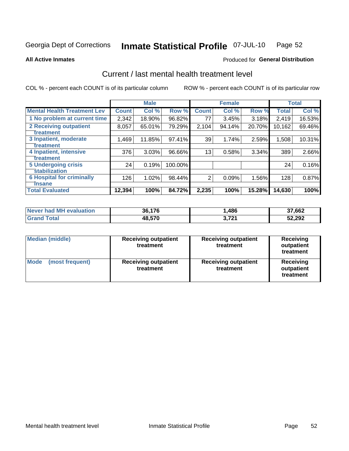### Inmate Statistical Profile 07-JUL-10 Page 52

**All Active Inmates** 

### Produced for General Distribution

# Current / last mental health treatment level

COL % - percent each COUNT is of its particular column

|                                    |              | <b>Male</b> |         |              | <b>Female</b> |        |              | <b>Total</b> |
|------------------------------------|--------------|-------------|---------|--------------|---------------|--------|--------------|--------------|
| <b>Mental Health Treatment Lev</b> | <b>Count</b> | Col %       | Row %   | <b>Count</b> | Col %         | Row %  | <b>Total</b> | Col %        |
| 1 No problem at current time       | 2,342        | 18.90%      | 96.82%  | 77           | 3.45%         | 3.18%  | 2,419        | 16.53%       |
| 2 Receiving outpatient             | 8,057        | 65.01%      | 79.29%  | 2,104        | 94.14%        | 20.70% | 10,162       | 69.46%       |
| <b>Treatment</b>                   |              |             |         |              |               |        |              |              |
| 3 Inpatient, moderate              | 1,469        | 11.85%      | 97.41%  | 39           | 1.74%         | 2.59%  | 1,508        | 10.31%       |
| <b>Treatment</b>                   |              |             |         |              |               |        |              |              |
| 4 Inpatient, intensive             | 376          | 3.03%       | 96.66%  | 13           | 0.58%         | 3.34%  | 389          | 2.66%        |
| <b>Treatment</b>                   |              |             |         |              |               |        |              |              |
| <b>5 Undergoing crisis</b>         | 24           | 0.19%       | 100.00% |              |               |        | 24           | 0.16%        |
| <b>stabilization</b>               |              |             |         |              |               |        |              |              |
| <b>6 Hospital for criminally</b>   | 126          | 1.02%       | 98.44%  | 2            | 0.09%         | 1.56%  | 128          | 0.87%        |
| <b>Tinsane</b>                     |              |             |         |              |               |        |              |              |
| <b>Total Evaluated</b>             | 12,394       | 100%        | 84.72%  | 2,235        | 100%          | 15.28% | 14,630       | 100%         |

| Never had MH evaluation | 36.176 | ,486       | 37,662 |
|-------------------------|--------|------------|--------|
| $\tau$ otal             | 48,570 | <b>704</b> | 52,292 |

| <b>Median (middle)</b>         | <b>Receiving outpatient</b><br>treatment | <b>Receiving outpatient</b><br>treatment | <b>Receiving</b><br>outpatient<br>treatment |
|--------------------------------|------------------------------------------|------------------------------------------|---------------------------------------------|
| <b>Mode</b><br>(most frequent) | <b>Receiving outpatient</b><br>treatment | <b>Receiving outpatient</b><br>treatment | Receiving<br>outpatient<br>treatment        |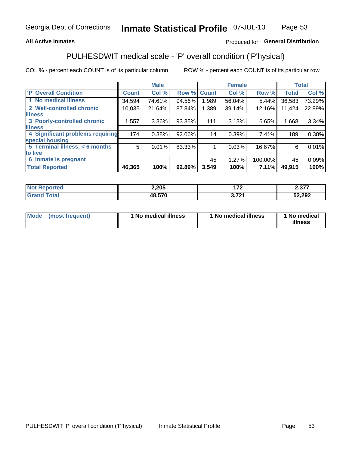# **All Active Inmates**

# Produced for General Distribution

# PULHESDWIT medical scale - 'P' overall condition ('P'hysical)

COL % - percent each COUNT is of its particular column

|                                  |              | <b>Male</b> |        |              | <b>Female</b> |         |              | <b>Total</b> |
|----------------------------------|--------------|-------------|--------|--------------|---------------|---------|--------------|--------------|
| 'P' Overall Condition            | <b>Count</b> | Col %       | Row %  | <b>Count</b> | Col %         | Row %   | <b>Total</b> | Col %        |
| 1 No medical illness             | 34,594       | 74.61%      | 94.56% | 1.989        | 56.04%        | 5.44%   | 36,583       | 73.29%       |
| 2 Well-controlled chronic        | 10,035       | 21.64%      | 87.84% | 1,389        | 39.14%        | 12.16%  | 11,424       | 22.89%       |
| <b>illness</b>                   |              |             |        |              |               |         |              |              |
| 3 Poorly-controlled chronic      | 1,557        | $3.36\%$    | 93.35% | 111          | 3.13%         | 6.65%   | 1,668        | 3.34%        |
| <b>illness</b>                   |              |             |        |              |               |         |              |              |
| 4 Significant problems requiring | 174          | 0.38%       | 92.06% | 14           | 0.39%         | 7.41%   | 189          | 0.38%        |
| special housing                  |              |             |        |              |               |         |              |              |
| 5 Terminal illness, < 6 months   | 5            | 0.01%       | 83.33% |              | 0.03%         | 16.67%  | 6            | 0.01%        |
| to live                          |              |             |        |              |               |         |              |              |
| 6 Inmate is pregnant             |              |             |        | 45           | 1.27%         | 100.00% | 45           | 0.09%        |
| <b>Total Reported</b>            | 46,365       | 100%        | 92.89% | 3,549        | 100%          | 7.11%   | 49,915       | 100%         |

| was | 2,205  | ---                  | $\sim$ 0.77<br>2.JI |
|-----|--------|----------------------|---------------------|
|     | הדה הו | 704<br>$\sim$ $\sim$ | 52,292              |

| Mode<br>(most frequent) |  | <sup>1</sup> No medical illness | 1 No medical illness | 1 No medical<br>illness |
|-------------------------|--|---------------------------------|----------------------|-------------------------|
|-------------------------|--|---------------------------------|----------------------|-------------------------|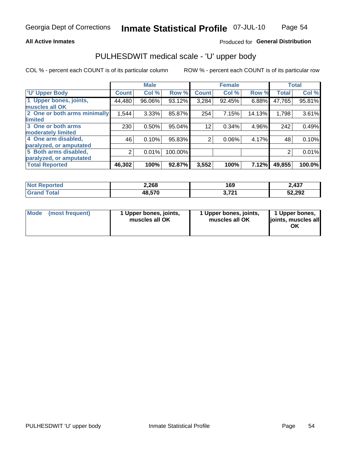### **All Active Inmates**

# Produced for General Distribution

# PULHESDWIT medical scale - 'U' upper body

COL % - percent each COUNT is of its particular column

|                              |                | <b>Male</b> |         |                | <b>Female</b> |        |              | <b>Total</b> |
|------------------------------|----------------|-------------|---------|----------------|---------------|--------|--------------|--------------|
| <b>U' Upper Body</b>         | <b>Count</b>   | Col %       | Row %   | <b>Count</b>   | Col %         | Row %  | <b>Total</b> | Col %        |
| 1 Upper bones, joints,       | 44,480         | 96.06%      | 93.12%  | 3,284          | 92.45%        | 6.88%  | 47,765       | 95.81%       |
| muscles all OK               |                |             |         |                |               |        |              |              |
| 2 One or both arms minimally | 1,544          | 3.33%       | 85.87%  | 254            | 7.15%         | 14.13% | 1,798        | 3.61%        |
| limited                      |                |             |         |                |               |        |              |              |
| 3 One or both arms           | 230            | 0.50%       | 95.04%  | 12             | 0.34%         | 4.96%  | 242          | 0.49%        |
| <b>moderately limited</b>    |                |             |         |                |               |        |              |              |
| 4 One arm disabled,          | 46             | 0.10%       | 95.83%  | $\overline{2}$ | 0.06%         | 4.17%  | 48           | 0.10%        |
| paralyzed, or amputated      |                |             |         |                |               |        |              |              |
| 5 Both arms disabled,        | $\overline{2}$ | 0.01%       | 100.00% |                |               |        | 2            | 0.01%        |
| paralyzed, or amputated      |                |             |         |                |               |        |              |              |
| <b>Total Reported</b>        | 46,302         | 100%        | 92.87%  | 3,552          | 100%          | 7.12%  | 49,855       | 100.0%       |

| <b>Not Reported</b> | 2,268  | 169          | ∠.437  |
|---------------------|--------|--------------|--------|
| <b>Grand Total</b>  | 48,570 | 721<br>J.ILI | 52,292 |

| Mode (most frequent) | 1 Upper bones, joints,<br>muscles all OK | 1 Upper bones, joints,<br>muscles all OK | 1 Upper bones,<br>joints, muscles all<br>ΟK |
|----------------------|------------------------------------------|------------------------------------------|---------------------------------------------|
|----------------------|------------------------------------------|------------------------------------------|---------------------------------------------|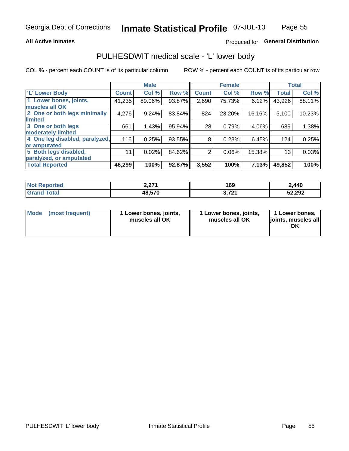### **All Active Inmates**

# Produced for General Distribution

# PULHESDWIT medical scale - 'L' lower body

COL % - percent each COUNT is of its particular column

|                                |              | <b>Male</b> |        |              | <b>Female</b> |        |              | <b>Total</b> |
|--------------------------------|--------------|-------------|--------|--------------|---------------|--------|--------------|--------------|
| 'L' Lower Body                 | <b>Count</b> | Col %       | Row %  | <b>Count</b> | Col %         | Row %  | <b>Total</b> | Col %        |
| 1 Lower bones, joints,         | 41,235       | 89.06%      | 93.87% | 2,690        | 75.73%        | 6.12%  | 43,926       | 88.11%       |
| muscles all OK                 |              |             |        |              |               |        |              |              |
| 2 One or both legs minimally   | 4,276        | 9.24%       | 83.84% | 824          | 23.20%        | 16.16% | 5,100        | 10.23%       |
| limited                        |              |             |        |              |               |        |              |              |
| 3 One or both legs             | 661          | 1.43%       | 95.94% | 28           | 0.79%         | 4.06%  | 689          | 1.38%        |
| moderately limited             |              |             |        |              |               |        |              |              |
| 4 One leg disabled, paralyzed, | 116          | 0.25%       | 93.55% | 8            | 0.23%         | 6.45%  | 124          | 0.25%        |
| or amputated                   |              |             |        |              |               |        |              |              |
| 5 Both legs disabled,          | 11           | 0.02%       | 84.62% | 2            | 0.06%         | 15.38% | 13           | 0.03%        |
| paralyzed, or amputated        |              |             |        |              |               |        |              |              |
| <b>Total Reported</b>          | 46,299       | 100%        | 92.87% | 3,552        | 100%          | 7.13%  | 49,852       | 100%         |

| <b>Not Reported</b>          | 1 הדר<br>Z.ZI I | 169          | 2,440  |
|------------------------------|-----------------|--------------|--------|
| <b>Total</b><br><b>Grand</b> | 48,570          | 704<br>J.ILI | 52,292 |

| Mode | (most frequent) | 1 Lower bones, joints,<br>muscles all OK | I Lower bones, joints,<br>muscles all OK | 1 Lower bones,<br>joints, muscles all<br>ΟK |
|------|-----------------|------------------------------------------|------------------------------------------|---------------------------------------------|
|------|-----------------|------------------------------------------|------------------------------------------|---------------------------------------------|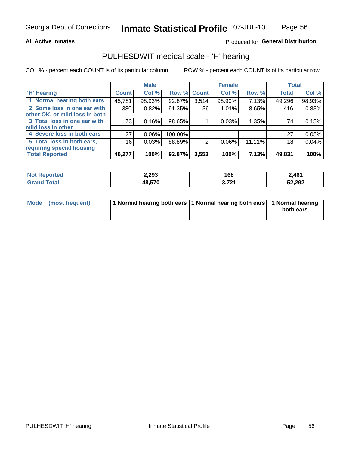### **All Active Inmates**

# Produced for General Distribution

# PULHESDWIT medical scale - 'H' hearing

COL % - percent each COUNT is of its particular column

|                                |              | <b>Male</b> |             |       | <b>Female</b> |        | <b>Total</b> |        |
|--------------------------------|--------------|-------------|-------------|-------|---------------|--------|--------------|--------|
| <b>'H' Hearing</b>             | <b>Count</b> | Col %       | Row % Count |       | Col %         | Row %  | <b>Total</b> | Col %  |
| 1 Normal hearing both ears     | 45,781       | 98.93%      | 92.87%      | 3,514 | 98.90%        | 7.13%  | 49,296       | 98.93% |
| 2 Some loss in one ear with    | 380          | 0.82%       | 91.35%      | 36    | 1.01%         | 8.65%  | 416          | 0.83%  |
| other OK, or mild loss in both |              |             |             |       |               |        |              |        |
| 3 Total loss in one ear with   | 73           | 0.16%       | 98.65%      |       | 0.03%         | 1.35%  | 74           | 0.15%  |
| mild loss in other             |              |             |             |       |               |        |              |        |
| 4 Severe loss in both ears     | 27           | 0.06%       | 100.00%     |       |               |        | 27           | 0.05%  |
| 5 Total loss in both ears,     | 16           | 0.03%       | 88.89%      | 2     | $0.06\%$      | 11.11% | 18           | 0.04%  |
| requiring special housing      |              |             |             |       |               |        |              |        |
| <b>Total Reported</b>          | 46,277       | 100%        | 92.87%      | 3,553 | 100%          | 7.13%  | 49,831       | 100%   |

| <b>orted</b><br><b>NOT</b> | 2,293  | 168               | 2,461  |
|----------------------------|--------|-------------------|--------|
|                            | 48,570 | <b>2 724</b><br>. | 52,292 |

| Mode (most frequent) | 1 Normal hearing both ears 11 Normal hearing both ears 1 Normal hearing |           |
|----------------------|-------------------------------------------------------------------------|-----------|
|                      |                                                                         | both ears |
|                      |                                                                         |           |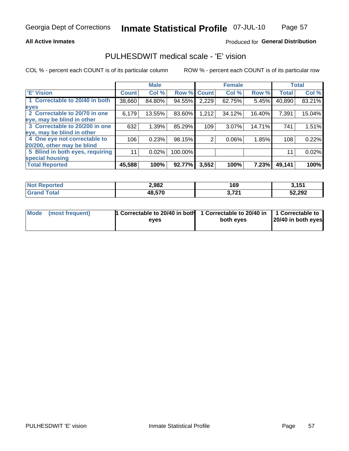### **All Active Inmates**

# Produced for General Distribution

# PULHESDWIT medical scale - 'E' vision

COL % - percent each COUNT is of its particular column

|                                 |                    | <b>Male</b> |         |              | <b>Female</b> |        |              | <b>Total</b> |
|---------------------------------|--------------------|-------------|---------|--------------|---------------|--------|--------------|--------------|
| 'E' Vision                      | Count <sup>'</sup> | Col %       | Row %   | <b>Count</b> | Col %         | Row %  | <b>Total</b> | Col %        |
| 1 Correctable to 20/40 in both  | 38,660             | 84.80%      | 94.55%  | 2,229        | 62.75%        | 5.45%  | 40,890       | 83.21%       |
| eyes                            |                    |             |         |              |               |        |              |              |
| 2 Correctable to 20/70 in one   | 6,179              | 13.55%      | 83.60%  | 1,212        | 34.12%        | 16.40% | 7,391        | 15.04%       |
| leye, may be blind in other     |                    |             |         |              |               |        |              |              |
| 3 Correctable to 20/200 in one  | 632                | 1.39%       | 85.29%  | 109          | 3.07%         | 14.71% | 741          | 1.51%        |
| leye, may be blind in other     |                    |             |         |              |               |        |              |              |
| 4 One eye not correctable to    | 106                | 0.23%       | 98.15%  | 2            | 0.06%         | 1.85%  | 108          | 0.22%        |
| 20/200, other may be blind      |                    |             |         |              |               |        |              |              |
| 5 Blind in both eyes, requiring | 11                 | 0.02%       | 100.00% |              |               |        | 11           | 0.02%        |
| special housing                 |                    |             |         |              |               |        |              |              |
| <b>Total Reported</b>           | 45,588             | 100%        | 92.77%  | 3,552        | 100%          | 7.23%  | 49,141       | 100%         |

| <b>Not Reported</b> | 2,982  | 169               | 2 4 5 4<br>. |
|---------------------|--------|-------------------|--------------|
| <b>Total</b>        | 48,570 | 2.724<br>J, 1 6 1 | 52,292       |

| Mode (most frequent) | 1 Correctable to 20/40 in both<br>eves | 1 Correctable to 20/40 in   1 Correctable to  <br>both eves | 20/40 in both eyes |
|----------------------|----------------------------------------|-------------------------------------------------------------|--------------------|
|                      |                                        |                                                             |                    |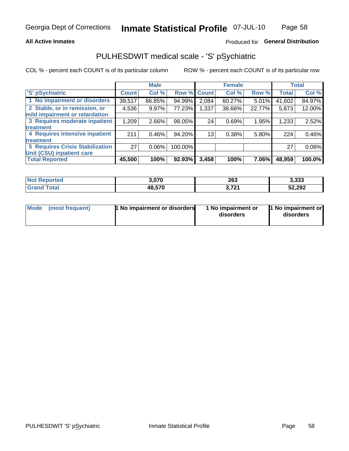## **All Active Inmates**

# Produced for General Distribution

# PULHESDWIT medical scale - 'S' pSychiatric

COL % - percent each COUNT is of its particular column

|                                        |              | <b>Male</b> |         |              | <b>Female</b> |        |              | <b>Total</b> |
|----------------------------------------|--------------|-------------|---------|--------------|---------------|--------|--------------|--------------|
| 'S' pSychiatric                        | <b>Count</b> | Col %       | Row %   | <b>Count</b> | Col %         | Row %  | <b>Total</b> | Col %        |
| 1 No impairment or disorders           | 39,517       | 86.85%      | 94.99%  | 2,084        | 60.27%        | 5.01%  | 41,602       | 84.97%       |
| 2 Stable, or in remission, or          | 4,536        | 9.97%       | 77.23%  | 1,337        | 38.66%        | 22.77% | 5,873        | 12.00%       |
| mild impairment or retardation         |              |             |         |              |               |        |              |              |
| 3 Requires moderate inpatient          | 1,209        | 2.66%       | 98.05%  | 24           | 0.69%         | 1.95%  | 1,233        | 2.52%        |
| treatment                              |              |             |         |              |               |        |              |              |
| 4 Requires intensive inpatient         | 211          | 0.46%       | 94.20%  | 13           | 0.38%         | 5.80%  | 224          | 0.46%        |
| treatment                              |              |             |         |              |               |        |              |              |
| <b>5 Requires Crisis Stabilization</b> | 27           | $0.06\%$    | 100.00% |              |               |        | 27           | 0.06%        |
| Unit (CSU) inpatient care              |              |             |         |              |               |        |              |              |
| <b>Total Reported</b>                  | 45,500       | 100%        | 92.93%  | 3,458        | 100%          | 7.06%  | 48,959       | 100.0%       |

| <b>Not Reported</b> | 3,070  | 263            | 3,333  |
|---------------------|--------|----------------|--------|
| Total<br>'Grand     | 48,570 | 2.724<br>3.121 | 52,292 |

| Mode<br>1 No impairment or disorders<br>(most frequent) | 1 No impairment or<br>disorders | 1 No impairment or<br>disorders |
|---------------------------------------------------------|---------------------------------|---------------------------------|
|---------------------------------------------------------|---------------------------------|---------------------------------|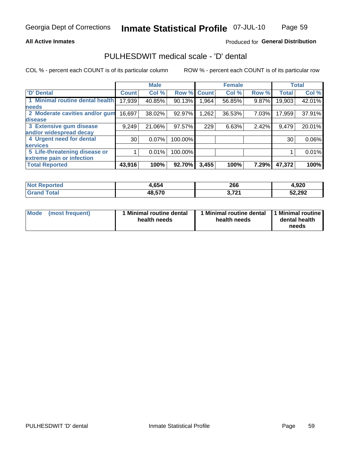### **All Active Inmates**

# Produced for General Distribution

# PULHESDWIT medical scale - 'D' dental

COL % - percent each COUNT is of its particular column

|                                 |                 | <b>Male</b> |         |              | <b>Female</b> |       |              | <b>Total</b> |
|---------------------------------|-----------------|-------------|---------|--------------|---------------|-------|--------------|--------------|
| <b>D'</b> Dental                | <b>Count</b>    | Col %       | Row %   | <b>Count</b> | Col %         | Row % | <b>Total</b> | Col %        |
| 1 Minimal routine dental health | 17,939          | 40.85%      | 90.13%  | .964         | 56.85%        | 9.87% | 19,903       | 42.01%       |
| <b>needs</b>                    |                 |             |         |              |               |       |              |              |
| 2 Moderate cavities and/or gum  | 16,697          | 38.02%      | 92.97%  | 1,262        | 36.53%        | 7.03% | 17,959       | 37.91%       |
| disease                         |                 |             |         |              |               |       |              |              |
| 3 Extensive gum disease         | 9,249           | 21.06%      | 97.57%  | 229          | 6.63%         | 2.42% | 9,479        | 20.01%       |
| and/or widespread decay         |                 |             |         |              |               |       |              |              |
| 4 Urgent need for dental        | 30 <sup>1</sup> | 0.07%       | 100.00% |              |               |       | 30           | 0.06%        |
| <b>services</b>                 |                 |             |         |              |               |       |              |              |
| 5 Life-threatening disease or   |                 | 0.01%       | 100.00% |              |               |       |              | 0.01%        |
| extreme pain or infection       |                 |             |         |              |               |       |              |              |
| <b>Total Reported</b>           | 43,916          | 100%        | 92.70%  | 3,455        | 100%          | 7.29% | 47,372       | 100%         |

| <b>Not Reported</b> | 1,654  | 266         | 4,920  |
|---------------------|--------|-------------|--------|
| Total<br>Grand      | 48,570 | 2704<br>J/I | 52,292 |

| 1 Minimal routine dental<br>Mode<br>(most frequent)<br>health needs | 1 Minimal routine dental 1 Minimal routine<br>health needs | dental health<br>needs |
|---------------------------------------------------------------------|------------------------------------------------------------|------------------------|
|---------------------------------------------------------------------|------------------------------------------------------------|------------------------|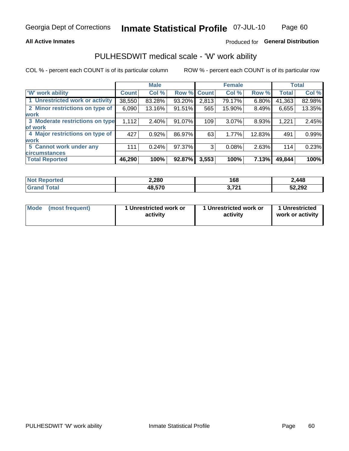## **All Active Inmates**

# Produced for General Distribution

# PULHESDWIT medical scale - 'W' work ability

COL % - percent each COUNT is of its particular column

|                                 |                    | <b>Male</b> |        |             | <b>Female</b> |        |              | <b>Total</b> |
|---------------------------------|--------------------|-------------|--------|-------------|---------------|--------|--------------|--------------|
| 'W' work ability                | Count <sup>'</sup> | Col %       |        | Row % Count | Col %         | Row %  | <b>Total</b> | Col %        |
| 1 Unrestricted work or activity | 38,550             | 83.28%      | 93.20% | 2,813       | 79.17%        | 6.80%  | 41,363       | 82.98%       |
| 2 Minor restrictions on type of | 6,090              | 13.16%      | 91.51% | 565         | 15.90%        | 8.49%  | 6,655        | 13.35%       |
| <b>work</b>                     |                    |             |        |             |               |        |              |              |
| 3 Moderate restrictions on type | 1,112              | $2.40\%$    | 91.07% | 109         | 3.07%         | 8.93%  | 1,221        | 2.45%        |
| lof work                        |                    |             |        |             |               |        |              |              |
| 4 Major restrictions on type of | 427                | 0.92%       | 86.97% | 63          | 1.77%         | 12.83% | 491          | 0.99%        |
| <b>work</b>                     |                    |             |        |             |               |        |              |              |
| 5 Cannot work under any         | 111                | 0.24%       | 97.37% | 3           | 0.08%         | 2.63%  | 114          | 0.23%        |
| <b>circumstances</b>            |                    |             |        |             |               |        |              |              |
| <b>Total Reported</b>           | 46,290             | 100%        | 92.87% | 3,553       | 100%          | 7.13%  | 49,844       | 100%         |

| <b>Not Reported</b>   | 2,280  | 168                          | 2,448  |
|-----------------------|--------|------------------------------|--------|
| Total<br><b>Grand</b> | 48,570 | <b>2.724</b><br><u>J.IZI</u> | 52,292 |

| Mode            | 1 Unrestricted work or | 1 Unrestricted work or | 1 Unrestricted   |
|-----------------|------------------------|------------------------|------------------|
| (most frequent) | activity               | activity               | work or activity |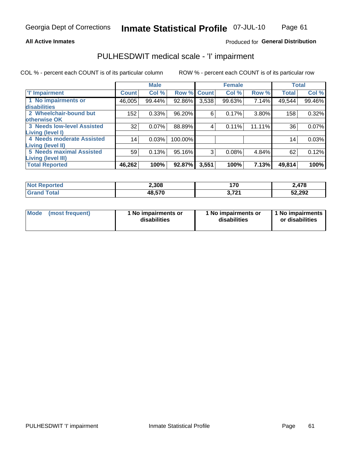### **All Active Inmates**

# Produced for General Distribution

# PULHESDWIT medical scale - 'I' impairment

COL % - percent each COUNT is of its particular column

|                                   |                 | <b>Male</b> |             |       | <b>Female</b> |        | <b>Total</b> |        |
|-----------------------------------|-----------------|-------------|-------------|-------|---------------|--------|--------------|--------|
| <b>T' Impairment</b>              | <b>Count</b>    | Col %       | Row % Count |       | Col %         | Row %  | <b>Total</b> | Col %  |
| 1 No impairments or               | 46,005          | 99.44%      | 92.86%      | 3,538 | 99.63%        | 7.14%  | 49,544       | 99.46% |
| disabilities                      |                 |             |             |       |               |        |              |        |
| 2 Wheelchair-bound but            | 152             | 0.33%       | 96.20%      | 6     | 0.17%         | 3.80%  | 158          | 0.32%  |
| otherwise OK                      |                 |             |             |       |               |        |              |        |
| <b>3 Needs low-level Assisted</b> | 32              | 0.07%       | 88.89%      | 4     | 0.11%         | 11.11% | 36           | 0.07%  |
| Living (level I)                  |                 |             |             |       |               |        |              |        |
| 4 Needs moderate Assisted         | 14 <sub>1</sub> | 0.03%       | 100.00%     |       |               |        | 14           | 0.03%  |
| Living (level II)                 |                 |             |             |       |               |        |              |        |
| <b>5 Needs maximal Assisted</b>   | 59              | 0.13%       | 95.16%      | 3     | 0.08%         | 4.84%  | 62           | 0.12%  |
| <b>Living (level III)</b>         |                 |             |             |       |               |        |              |        |
| <b>Total Reported</b>             | 46,262          | 100%        | 92.87%      | 3,551 | 100%          | 7.13%  | 49,814       | 100%   |

| ported:<br>' NOT | 2,308  | 170<br><u>., n</u>               | 2,478  |
|------------------|--------|----------------------------------|--------|
| `otal<br>Gr<     | 48,570 | <b>704</b><br>$\mathbf{1}$<br>v. | 52,292 |

| Mode | (most frequent) | 1 No impairments or<br>disabilities | 1 No impairments or<br>disabilities | 1 No impairments<br>or disabilities |
|------|-----------------|-------------------------------------|-------------------------------------|-------------------------------------|
|------|-----------------|-------------------------------------|-------------------------------------|-------------------------------------|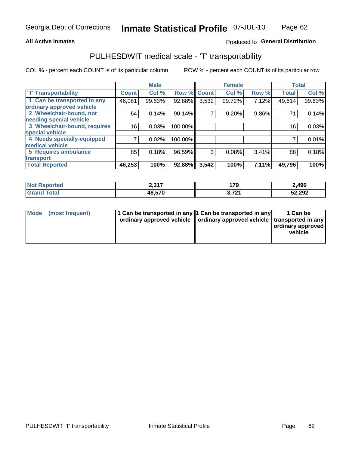#### Page 62 Inmate Statistical Profile 07-JUL-10

### **All Active Inmates**

# Produced fo General Distribution

# PULHESDWIT medical scale - 'T' transportability

COL % - percent each COUNT is of its particular column

|                              |              | <b>Male</b> |         |              | <b>Female</b> |          | <b>Total</b> |        |
|------------------------------|--------------|-------------|---------|--------------|---------------|----------|--------------|--------|
| <b>T' Transportability</b>   | <b>Count</b> | Col %       | Row %   | <b>Count</b> | Col %         | Row %    | <b>Total</b> | Col %  |
| 1 Can be transported in any  | 46,081       | 99.63%      | 92.88%  | 3,532        | 99.72%        | 7.12%    | 49,614       | 99.63% |
| ordinary approved vehicle    |              |             |         |              |               |          |              |        |
| 2 Wheelchair-bound, not      | 64           | 0.14%       | 90.14%  | 7            | 0.20%         | $9.86\%$ | 71           | 0.14%  |
| needing special vehicle      |              |             |         |              |               |          |              |        |
| 3 Wheelchair-bound, requires | 16           | 0.03%       | 100.00% |              |               |          | 16           | 0.03%  |
| special vehicle              |              |             |         |              |               |          |              |        |
| 4 Needs specially-equipped   |              | 0.02%       | 100.00% |              |               |          |              | 0.01%  |
| medical vehicle              |              |             |         |              |               |          |              |        |
| <b>5 Requires ambulance</b>  | 85           | 0.18%       | 96.59%  | 3            | 0.08%         | 3.41%    | 88           | 0.18%  |
| transport                    |              |             |         |              |               |          |              |        |
| <b>Total Reported</b>        | 46,253       | 100%        | 92.88%  | 3,542        | 100%          | 7.11%    | 49,796       | 100%   |

| <b>Not</b><br>Reported | 2,317  | 179                       | 2,496  |
|------------------------|--------|---------------------------|--------|
| `otal                  | 48,570 | 704<br><u>( a )</u><br>v. | 52,292 |

|  | Mode (most frequent) | 1 Can be transported in any 1 Can be transported in any<br>ordinary approved vehicle   ordinary approved vehicle   transported in any |  | 1 Can be<br>  ordinary approved  <br>vehicle |
|--|----------------------|---------------------------------------------------------------------------------------------------------------------------------------|--|----------------------------------------------|
|--|----------------------|---------------------------------------------------------------------------------------------------------------------------------------|--|----------------------------------------------|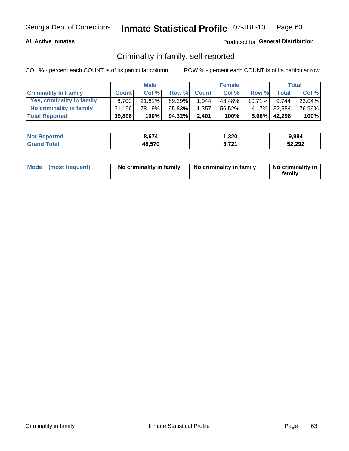# **All Active Inmates**

# Produced for General Distribution

# Criminality in family, self-reported

COL % - percent each COUNT is of its particular column

|                              |              | <b>Male</b> |        |              | <b>Female</b> |           |              | Total  |
|------------------------------|--------------|-------------|--------|--------------|---------------|-----------|--------------|--------|
| <b>Criminality In Family</b> | <b>Count</b> | Col%        | Row %  | <b>Count</b> | Col %         | Row %     | <b>Total</b> | Col %  |
| Yes, criminality in family   | 8.700        | $21.81\%$   | 89.29% | 1,044        | 43.48%        | $10.71\%$ | 9.744        | 23.04% |
| No criminality in family     | 31.196       | 78.19%      | 95.83% | 1,357        | 56.52%        |           | 4.17% 32,554 | 76.96% |
| <b>Total Reported</b>        | 39,896       | 100%        | 94.32% | 2,401        | 100%          |           | 5.68% 42,298 | 100%   |

| <b>Not</b><br>Reported | 3.674  | ,320              | 9,994  |
|------------------------|--------|-------------------|--------|
| <b>Total</b>           | 48,570 | 704<br><u> 14</u> | 52,292 |

|  | Mode (most frequent) | No criminality in family | No criminality in family | No criminality in<br>family |
|--|----------------------|--------------------------|--------------------------|-----------------------------|
|--|----------------------|--------------------------|--------------------------|-----------------------------|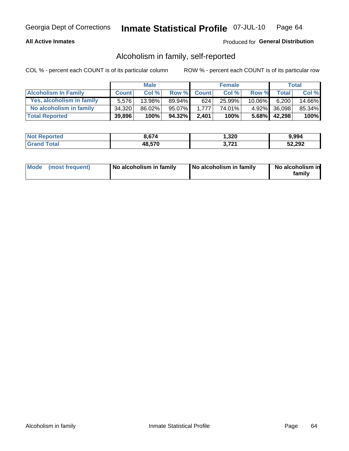## **All Active Inmates**

# Produced for General Distribution

# Alcoholism in family, self-reported

COL % - percent each COUNT is of its particular column

|                             |              | <b>Male</b> |        |              | <b>Female</b> |           |              | Total   |
|-----------------------------|--------------|-------------|--------|--------------|---------------|-----------|--------------|---------|
| <b>Alcoholism In Family</b> | <b>Count</b> | Col %       | Row %  | <b>Count</b> | Col %         | Row %     | <b>Total</b> | Col %   |
| Yes, alcoholism in family   | 5.576        | $13.98\%$   | 89.94% | 624          | 25.99%        | $10.06\%$ | 6,200        | 14.66%  |
| No alcoholism in family     | 34,320       | 86.02%      | 95.07% | 1.777        | 74.01%        |           | 4.92% 36,098 | 85.34%  |
| <b>Total Reported</b>       | 39,896       | 100%        | 94.32% | 2.401        | 100%          |           | 5.68% 42,298 | $100\%$ |

| <b>Not</b><br>* Reported | 3.674  | ,320                | 9,994  |
|--------------------------|--------|---------------------|--------|
| <b>Tota</b>              | 48,570 | <b>704</b><br>7 Z I | 52,292 |

|  | Mode (most frequent) | No alcoholism in family | No alcoholism in family | No alcoholism in<br>family |
|--|----------------------|-------------------------|-------------------------|----------------------------|
|--|----------------------|-------------------------|-------------------------|----------------------------|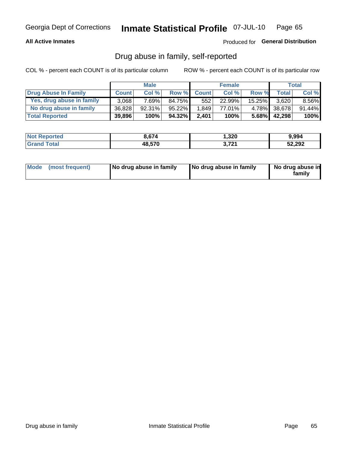# **All Active Inmates**

## Produced for General Distribution

# Drug abuse in family, self-reported

COL % - percent each COUNT is of its particular column

|                           |              | <b>Male</b> |           |              | <b>Female</b> |           |              | <b>Total</b> |
|---------------------------|--------------|-------------|-----------|--------------|---------------|-----------|--------------|--------------|
| Drug Abuse In Family      | <b>Count</b> | Col%        | Row %     | <b>Count</b> | Col%          | Row %     | Total        | Col %        |
| Yes, drug abuse in family | 3.068        | 7.69%       | 84.75%    | 552          | 22.99%        | $15.25\%$ | 3.620        | 8.56%        |
| No drug abuse in family   | 36,828       | $92.31\%$   | $95.22\%$ | 1.849        | 77.01%        |           | 4.78% 38,678 | 91.44%       |
| <b>Total Reported</b>     | 39,896       | 100%        | 94.32%    | 2.401        | 100%          | $5.68\%$  | 42,298       | $100\%$      |

| <b>Not</b><br>* Reported | 3.674  | ,320                | 9,994  |
|--------------------------|--------|---------------------|--------|
| <b>Tota</b>              | 48,570 | <b>704</b><br>7 Z I | 52,292 |

|  | Mode (most frequent) | No drug abuse in family | No drug abuse in family | No drug abuse in<br>familv |
|--|----------------------|-------------------------|-------------------------|----------------------------|
|--|----------------------|-------------------------|-------------------------|----------------------------|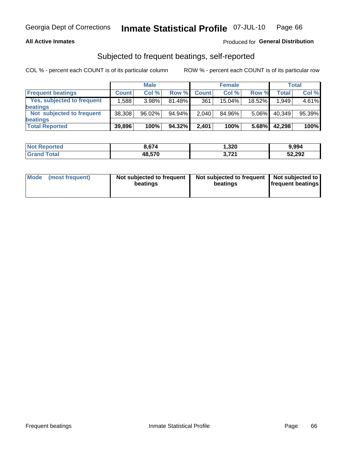## **All Active Inmates**

# Produced for General Distribution

# Subjected to frequent beatings, self-reported

COL % - percent each COUNT is of its particular column

|                            |              | <b>Male</b> |        |              | <b>Female</b> |          |         | Total  |
|----------------------------|--------------|-------------|--------|--------------|---------------|----------|---------|--------|
| <b>Frequent beatings</b>   | <b>Count</b> | Col %       | Row %  | <b>Count</b> | Col %         | Row %    | Total I | Col %  |
| Yes, subjected to frequent | 1,588        | 3.98%       | 81.48% | 361          | 15.04%        | 18.52%   | 1,949   | 4.61%  |
| beatings                   |              |             |        |              |               |          |         |        |
| Not subjected to frequent  | 38,308       | 96.02%      | 94.94% | 2,040        | 84.96%        | $5.06\%$ | 40,349  | 95.39% |
| beatings                   |              |             |        |              |               |          |         |        |
| <b>Total Reported</b>      | 39,896       | 100%        | 94.32% | 2,401        | 100%          | 5.68%    | 42,298  | 100%   |

| <b>Not</b><br>Reported | .674   | 1,320                     | 9,994  |
|------------------------|--------|---------------------------|--------|
| Total                  | 48,570 | <b>704</b><br>$J, I, L$ 1 | 52,292 |

| Mode (most frequent) | Not subjected to frequent<br>beatings | Not subjected to frequent<br>beatings | Not subjected to<br><b>frequent beatings</b> |
|----------------------|---------------------------------------|---------------------------------------|----------------------------------------------|
|                      |                                       |                                       |                                              |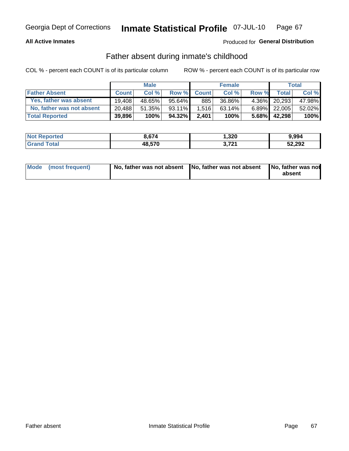## **All Active Inmates**

# Produced for General Distribution

# Father absent during inmate's childhood

COL % - percent each COUNT is of its particular column

|                           |              | <b>Male</b> |           |              | <b>Female</b> |          |              | Total  |
|---------------------------|--------------|-------------|-----------|--------------|---------------|----------|--------------|--------|
| <b>Father Absent</b>      | <b>Count</b> | Col%        | Row %     | <b>Count</b> | Col %         | Row %    | <b>Total</b> | Col %  |
| Yes, father was absent    | 19.408       | 48.65%      | $95.64\%$ | 885          | 36.86%        | $4.36\%$ | 20,293       | 47.98% |
| No, father was not absent | 20,488       | 51.35%      | 93.11%    | 1.516        | 63.14%        | $6.89\%$ | 22.005       | 52.02% |
| <b>Total Reported</b>     | 39,896       | 100%        | 94.32%    | 2,401        | 100%          | $5.68\%$ | 42,298       | 100%   |

| <b>Not Reported</b> | 8,674  | 320, ا       | 9.994  |
|---------------------|--------|--------------|--------|
| l Grand T<br>™otai  | 48,570 | 704<br>1 A I | 52,292 |

|  | Mode (most frequent) | No, father was not absent No, father was not absent |  | No, father was not<br>absent |
|--|----------------------|-----------------------------------------------------|--|------------------------------|
|--|----------------------|-----------------------------------------------------|--|------------------------------|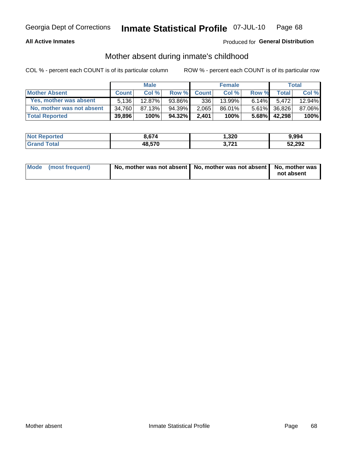## **All Active Inmates**

# Produced for General Distribution

# Mother absent during inmate's childhood

COL % - percent each COUNT is of its particular column

|                           |              | <b>Male</b> |        |              | <b>Female</b> |          |              | Total  |
|---------------------------|--------------|-------------|--------|--------------|---------------|----------|--------------|--------|
| <b>Mother Absent</b>      | <b>Count</b> | Col%        | Row %  | <b>Count</b> | Col %         | Row %    | <b>Total</b> | Col %  |
| Yes, mother was absent    | 5.136        | 12.87%      | 93.86% | 336          | 13.99%        | $6.14\%$ | 5.472        | 12.94% |
| No, mother was not absent | 34,760       | 87.13%      | 94.39% | 2,065        | 86.01%        |          | 5.61% 36,826 | 87.06% |
| <b>Total Reported</b>     | 39,896       | 100%        | 94.32% | 2,401        | 100%          | $5.68\%$ | 42,298       | 100%   |

| <b>Not Reported</b>   | 8,674  | ,320            | 9,994  |
|-----------------------|--------|-----------------|--------|
| <b>Grand</b><br>™otal | 48,570 | 704<br>J, I 4 I | 52,292 |

| Mode (most frequent) | No, mother was not absent   No, mother was not absent   No, mother was | not absent |
|----------------------|------------------------------------------------------------------------|------------|
|                      |                                                                        |            |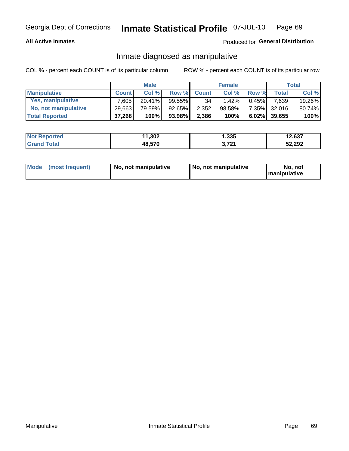# **All Active Inmates**

# Produced for General Distribution

# Inmate diagnosed as manipulative

COL % - percent each COUNT is of its particular column

|                       |              | <b>Male</b> |           |              | <b>Female</b> |          |                 | Total  |
|-----------------------|--------------|-------------|-----------|--------------|---------------|----------|-----------------|--------|
| <b>Manipulative</b>   | <b>Count</b> | Col %       | Row %     | <b>Count</b> | Col%          | Row %    | <b>Total</b>    | Col %  |
| Yes, manipulative     | $7.605 +$    | $20.41\%$   | 99.55%    | 34           | 1.42%         | $0.45\%$ | 7.639           | 19.26% |
| No, not manipulative  | 29,663       | 79.59%      | $92.65\%$ | 2,352        | 98.58%        |          | 7.35% 32,016    | 80.74% |
| <b>Total Reported</b> | 37,268       | 100%        | 93.98%    | 2,386        | 100%          |          | $6.02\%$ 39.655 | 100%   |

| <b>Not Reported</b>          | 1,302<br>44 | 1,335      | 12,637 |
|------------------------------|-------------|------------|--------|
| <b>Total</b><br><b>Grand</b> | 48,570      | 2.721<br>. | 52,292 |

| Mode | (most frequent) | No, not manipulative | No, not manipulative | No. not<br><b>I</b> manipulative |
|------|-----------------|----------------------|----------------------|----------------------------------|
|------|-----------------|----------------------|----------------------|----------------------------------|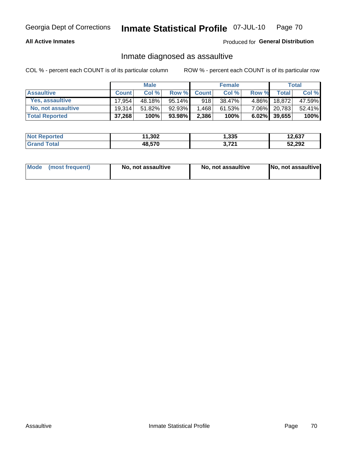## **All Active Inmates**

# Produced for General Distribution

# Inmate diagnosed as assaultive

COL % - percent each COUNT is of its particular column

|                       |              | <b>Male</b> |        |              | <b>Female</b> |          |                 | Total  |
|-----------------------|--------------|-------------|--------|--------------|---------------|----------|-----------------|--------|
| <b>Assaultive</b>     | <b>Count</b> | Col %       | Row %  | <b>Count</b> | Col %         | Row %    | Total           | Col %  |
| Yes, assaultive       | 17.954       | 48.18%      | 95.14% | 918          | 38.47%        | $4.86\%$ | 18.872          | 47.59% |
| No, not assaultive    | 19,314       | 51.82%      | 92.93% | 1,468        | 61.53%        | $7.06\%$ | 20,783          | 52.41% |
| <b>Total Reported</b> | 37,268       | 100%        | 93.98% | 2,386        | 100%          |          | $6.02\%$ 39,655 | 100%   |

| <b>Not</b><br>Reported | 1,302<br>44 | 1,335                    | 12,637 |
|------------------------|-------------|--------------------------|--------|
| `ota                   | 48,570      | <b>704</b><br><u> 14</u> | 52,292 |

| Mode (most frequent) | No, not assaultive | No, not assaultive | No, not assaultive |
|----------------------|--------------------|--------------------|--------------------|
|----------------------|--------------------|--------------------|--------------------|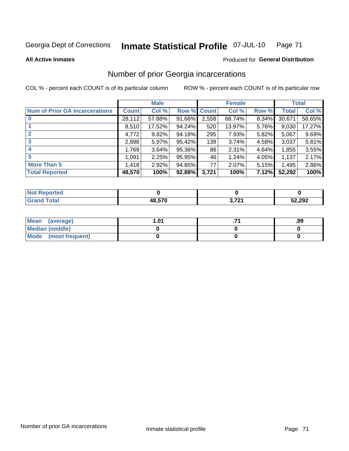#### Inmate Statistical Profile 07-JUL-10 Page 71

### **All Active Inmates**

# Produced for General Distribution

# Number of prior Georgia incarcerations

COL % - percent each COUNT is of its particular column

|                                       |              | <b>Male</b> |             |       | <b>Female</b> |       |        | <b>Total</b> |
|---------------------------------------|--------------|-------------|-------------|-------|---------------|-------|--------|--------------|
| <b>Num of Prior GA Incarcerations</b> | <b>Count</b> | Col %       | Row % Count |       | Col %         | Row % | Total  | Col %        |
| $\bf{0}$                              | 28,112       | 57.88%      | 91.66%      | 2,558 | 68.74%        | 8.34% | 30,671 | 58.65%       |
|                                       | 8,510        | 17.52%      | $94.24\%$   | 520   | 13.97%        | 5.76% | 9,030  | 17.27%       |
| $\mathbf{2}$                          | 4,772        | 9.82%       | 94.18%      | 295   | 7.93%         | 5.82% | 5,067  | 9.69%        |
| 3                                     | 2,898        | 5.97%       | $95.42\%$   | 139   | 3.74%         | 4.58% | 3,037  | 5.81%        |
| $\boldsymbol{4}$                      | 1,769        | 3.64%       | 95.36%      | 86    | 2.31%         | 4.64% | 1,855  | 3.55%        |
| 5                                     | 1,091        | 2.25%       | 95.95%      | 46    | 1.24%         | 4.05% | 1,137  | 2.17%        |
| <b>More Than 5</b>                    | 1,418        | 2.92%       | 94.85%      | 77    | 2.07%         | 5.15% | 1,495  | 2.86%        |
| <b>Total Reported</b>                 | 48,570       | 100%        | 92.88%      | 3,721 | 100%          | 7.12% | 52,292 | 100%         |

| orted<br>- IN 4 |            |             |        |
|-----------------|------------|-------------|--------|
| <b>otal</b>     | 48.570<br> | גריד כ<br>. | 52,292 |

| Mean (average)       | . 01 | .99 |
|----------------------|------|-----|
| Median (middle)      |      |     |
| Mode (most frequent) |      |     |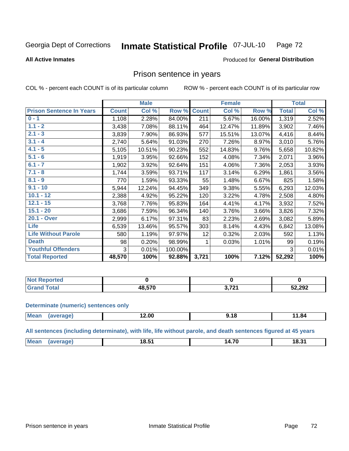#### Inmate Statistical Profile 07-JUL-10 Page 72

### **All Active Inmates**

### Produced for General Distribution

# Prison sentence in years

COL % - percent each COUNT is of its particular column

ROW % - percent each COUNT is of its particular row

|                                 |              | <b>Male</b> |         |              | <b>Female</b> |        |              | <b>Total</b> |
|---------------------------------|--------------|-------------|---------|--------------|---------------|--------|--------------|--------------|
| <b>Prison Sentence In Years</b> | <b>Count</b> | Col %       | Row %   | <b>Count</b> | Col %         | Row %  | <b>Total</b> | Col %        |
| $0 - 1$                         | 1,108        | 2.28%       | 84.00%  | 211          | 5.67%         | 16.00% | 1,319        | 2.52%        |
| $1.1 - 2$                       | 3,438        | 7.08%       | 88.11%  | 464          | 12.47%        | 11.89% | 3,902        | 7.46%        |
| $2.1 - 3$                       | 3,839        | 7.90%       | 86.93%  | 577          | 15.51%        | 13.07% | 4,416        | 8.44%        |
| $3.1 - 4$                       | 2,740        | 5.64%       | 91.03%  | 270          | 7.26%         | 8.97%  | 3,010        | 5.76%        |
| $4.1 - 5$                       | 5,105        | 10.51%      | 90.23%  | 552          | 14.83%        | 9.76%  | 5,658        | 10.82%       |
| $5.1 - 6$                       | 1,919        | 3.95%       | 92.66%  | 152          | 4.08%         | 7.34%  | 2,071        | 3.96%        |
| $6.1 - 7$                       | 1,902        | 3.92%       | 92.64%  | 151          | 4.06%         | 7.36%  | 2,053        | 3.93%        |
| $7.1 - 8$                       | 1,744        | 3.59%       | 93.71%  | 117          | 3.14%         | 6.29%  | 1,861        | 3.56%        |
| $8.1 - 9$                       | 770          | 1.59%       | 93.33%  | 55           | 1.48%         | 6.67%  | 825          | 1.58%        |
| $9.1 - 10$                      | 5,944        | 12.24%      | 94.45%  | 349          | 9.38%         | 5.55%  | 6,293        | 12.03%       |
| $10.1 - 12$                     | 2,388        | 4.92%       | 95.22%  | 120          | 3.22%         | 4.78%  | 2,508        | 4.80%        |
| $12.1 - 15$                     | 3,768        | 7.76%       | 95.83%  | 164          | 4.41%         | 4.17%  | 3,932        | 7.52%        |
| $15.1 - 20$                     | 3,686        | 7.59%       | 96.34%  | 140          | 3.76%         | 3.66%  | 3,826        | 7.32%        |
| 20.1 - Over                     | 2,999        | 6.17%       | 97.31%  | 83           | 2.23%         | 2.69%  | 3,082        | 5.89%        |
| <b>Life</b>                     | 6,539        | 13.46%      | 95.57%  | 303          | 8.14%         | 4.43%  | 6,842        | 13.08%       |
| <b>Life Without Parole</b>      | 580          | 1.19%       | 97.97%  | 12           | 0.32%         | 2.03%  | 592          | 1.13%        |
| <b>Death</b>                    | 98           | 0.20%       | 98.99%  | 1.           | 0.03%         | 1.01%  | 99           | 0.19%        |
| <b>Youthful Offenders</b>       | 3            | 0.01%       | 100.00% |              |               |        | 3            | 0.01%        |
| <b>Total Reported</b>           | 48,570       | 100%        | 92.88%  | 3,721        | 100%          | 7.12%  | 52,292       | 100%         |

| <b>NOT</b><br>rtea |                                  |     |        |
|--------------------|----------------------------------|-----|--------|
|                    | $\overline{10}$ $\overline{520}$ | フへん | 52,292 |

### **Determinate (numeric) sentences only**

| <b>Mean</b> | ממו | 2.00 | <br>. | 1.84<br>. . |
|-------------|-----|------|-------|-------------|
|             |     |      |       |             |

All sentences (including determinate), with life, life without parole, and death sentences figured at 45 years

| <b>Me</b> | .<br>18.J<br>___ | $\rightarrow$<br>14. | $\sim$ 04 $\sim$<br>ა.ა |
|-----------|------------------|----------------------|-------------------------|
|           |                  |                      |                         |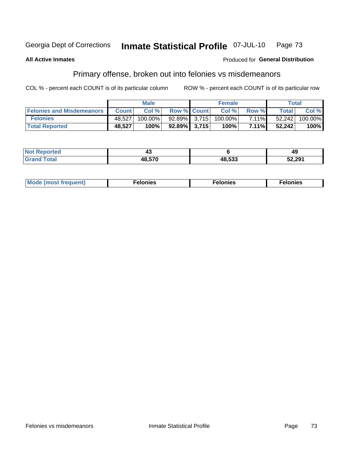#### Inmate Statistical Profile 07-JUL-10 Georgia Dept of Corrections Page 73

### **All Active Inmates**

### Produced for General Distribution

# Primary offense, broken out into felonies vs misdemeanors

COL % - percent each COUNT is of its particular column

|                                  |              | <b>Male</b> |                    | <b>Female</b> |          | Total        |         |
|----------------------------------|--------------|-------------|--------------------|---------------|----------|--------------|---------|
| <b>Felonies and Misdemeanors</b> | <b>Count</b> | Col%        | <b>Row % Count</b> | Col%          | Row %    | <b>Total</b> | Col %   |
| <b>Felonies</b>                  | 48.527       | $100.00\%$  | 92.89% 3.715       | 100.00%       | $7.11\%$ | 52,242       | 100.00% |
| <b>Total Reported</b>            | 48,527       | $100\%$     | $92.89\%$ 3.715    | 100%          | $7.11\%$ | 52,242       | 100%    |

| <b>Not Reported</b> | - -    |        | 49     |
|---------------------|--------|--------|--------|
| Grand               | 48,570 | 48,533 | 52,291 |

| Mo<br>auent)<br>. | $n$ $\alpha$<br>1163<br>. | elonies<br>. |
|-------------------|---------------------------|--------------|
|-------------------|---------------------------|--------------|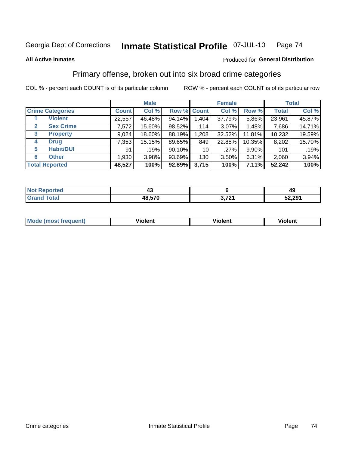#### Inmate Statistical Profile 07-JUL-10 Page 74

#### **All Active Inmates**

### Produced for General Distribution

## Primary offense, broken out into six broad crime categories

COL % - percent each COUNT is of its particular column

|                                 |              | <b>Male</b> |        |                 | <b>Female</b> |        |              | <b>Total</b> |
|---------------------------------|--------------|-------------|--------|-----------------|---------------|--------|--------------|--------------|
| <b>Crime Categories</b>         | <b>Count</b> | Col %       |        | Row % Count     | Col %         | Row %  | <b>Total</b> | Col %        |
| <b>Violent</b>                  | 22,557       | 46.48%      | 94.14% | 1,404           | 37.79%        | 5.86%  | 23,961       | 45.87%       |
| <b>Sex Crime</b><br>2           | 7,572        | 15.60%      | 98.52% | 114             | $3.07\%$      | 1.48%  | 7,686        | 14.71%       |
| $\mathbf{3}$<br><b>Property</b> | 9,024        | 18.60%      | 88.19% | 1,208           | 32.52%        | 11.81% | 10,232       | 19.59%       |
| <b>Drug</b><br>4                | 7,353        | 15.15%      | 89.65% | 849             | 22.85%        | 10.35% | 8,202        | 15.70%       |
| <b>Habit/DUI</b><br>5           | 91           | .19%        | 90.10% | 10 <sup>1</sup> | .27%          | 9.90%  | 101          | .19%         |
| <b>Other</b><br>6               | 1,930        | 3.98%       | 93.69% | 130             | 3.50%         | 6.31%  | 2,060        | 3.94%        |
| <b>Total Reported</b>           | 48,527       | 100%        | 92.89% | 3,715           | 100%          | 7.11%  | 52,242       | 100%         |

| rtea<br>NO |        |      | 45     |
|------------|--------|------|--------|
|            | 48.570 | י הי | 52,291 |

| Mo<br>uent)<br>nos | .<br>/iolent | <br>Violent | - --<br><b>Tiolent</b> |
|--------------------|--------------|-------------|------------------------|
|                    |              |             |                        |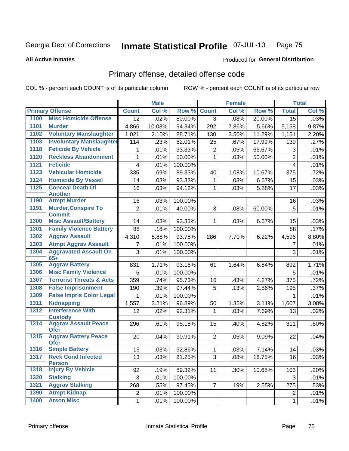#### Inmate Statistical Profile 07-JUL-10 Page 75

**All Active Inmates** 

### Produced for General Distribution

## Primary offense, detailed offense code

COL % - percent each COUNT is of its particular column

|      |                                             |                 | <b>Male</b> |         |                | <b>Female</b> |        |                         | <b>Total</b> |
|------|---------------------------------------------|-----------------|-------------|---------|----------------|---------------|--------|-------------------------|--------------|
|      | <b>Primary Offense</b>                      | <b>Count</b>    | Col %       | Row %   | <b>Count</b>   | Col %         | Row %  | <b>Total</b>            | Col %        |
| 1100 | <b>Misc Homicide Offense</b>                | $\overline{12}$ | .02%        | 80.00%  | $\overline{3}$ | .08%          | 20.00% | $\overline{15}$         | .03%         |
| 1101 | <b>Murder</b>                               | 4,866           | 10.03%      | 94.34%  | 292            | 7.86%         | 5.66%  | 5,158                   | 9.87%        |
| 1102 | <b>Voluntary Manslaughter</b>               | 1,021           | 2.10%       | 88.71%  | 130            | 3.50%         | 11.29% | 1,151                   | 2.20%        |
| 1103 | <b>Involuntary Manslaughter</b>             | 114             | .23%        | 82.01%  | 25             | .67%          | 17.99% | 139                     | .27%         |
| 1118 | <b>Feticide By Vehicle</b>                  | 1               | .01%        | 33.33%  | $\overline{2}$ | .05%          | 66.67% | 3                       | .01%         |
| 1120 | <b>Reckless Abandonment</b>                 | 1               | .01%        | 50.00%  | 1              | .03%          | 50.00% | $\overline{2}$          | .01%         |
| 1121 | <b>Feticide</b>                             | 4               | .01%        | 100.00% |                |               |        | $\overline{\mathbf{4}}$ | .01%         |
| 1123 | <b>Vehicular Homicide</b>                   | 335             | .69%        | 89.33%  | 40             | 1.08%         | 10.67% | 375                     | .72%         |
| 1124 | <b>Homicide By Vessel</b>                   | 14              | .03%        | 93.33%  | 1              | .03%          | 6.67%  | 15                      | .03%         |
| 1125 | <b>Conceal Death Of</b>                     | 16              | .03%        | 94.12%  | 1              | .03%          | 5.88%  | 17                      | .03%         |
|      | <b>Another</b>                              |                 |             |         |                |               |        |                         |              |
| 1190 | <b>Atmpt Murder</b>                         | 16              | .03%        | 100.00% |                |               |        | 16                      | .03%         |
| 1191 | <b>Murder, Conspire To</b><br><b>Commit</b> | $\overline{2}$  | .01%        | 40.00%  | 3              | .08%          | 60.00% | 5                       | .01%         |
| 1300 | <b>Misc Assault/Battery</b>                 | 14              | .03%        | 93.33%  | $\mathbf 1$    | .03%          | 6.67%  | 15                      | .03%         |
| 1301 | <b>Family Violence Battery</b>              | 88              | .18%        | 100.00% |                |               |        | 88                      | .17%         |
| 1302 | <b>Aggrav Assault</b>                       | 4,310           | 8.88%       | 93.78%  | 286            | 7.70%         | 6.22%  | 4,596                   | 8.80%        |
| 1303 | <b>Atmpt Aggrav Assault</b>                 | $\overline{7}$  | .01%        | 100.00% |                |               |        | 7                       | .01%         |
| 1304 | <b>Aggravated Assault On</b>                | 3               | .01%        | 100.00% |                |               |        | 3                       | .01%         |
|      | $65+$                                       |                 |             |         |                |               |        |                         |              |
| 1305 | <b>Aggrav Battery</b>                       | 831             | 1.71%       | 93.16%  | 61             | 1.64%         | 6.84%  | 892                     | 1.71%        |
| 1306 | <b>Misc Family Violence</b>                 | 5               | .01%        | 100.00% |                |               |        | 5                       | .01%         |
| 1307 | <b>Terrorist Threats &amp; Acts</b>         | 359             | .74%        | 95.73%  | 16             | .43%          | 4.27%  | 375                     | .72%         |
| 1308 | <b>False Imprisonment</b>                   | 190             | .39%        | 97.44%  | 5              | .13%          | 2.56%  | 195                     | .37%         |
| 1309 | <b>False Impris Color Legal</b>             | 1               | .01%        | 100.00% |                |               |        | 1                       | .01%         |
| 1311 | <b>Kidnapping</b>                           | 1,557           | 3.21%       | 96.89%  | 50             | 1.35%         | 3.11%  | 1,607                   | 3.08%        |
| 1312 | <b>Interference With</b><br><b>Custody</b>  | 12              | .02%        | 92.31%  | 1              | .03%          | 7.69%  | 13                      | .02%         |
| 1314 | <b>Aggrav Assault Peace</b><br><b>Ofcr</b>  | 296             | .61%        | 95.18%  | 15             | .40%          | 4.82%  | 311                     | .60%         |
| 1315 | <b>Aggrav Battery Peace</b><br><b>Ofcr</b>  | 20              | .04%        | 90.91%  | $\overline{2}$ | .05%          | 9.09%  | 22                      | .04%         |
| 1316 | <b>Simple Battery</b>                       | 13              | .03%        | 92.86%  | $\mathbf{1}$   | .03%          | 7.14%  | 14                      | .03%         |
| 1317 | <b>Reck Cond Infected</b><br><b>Person</b>  | 13              | .03%        | 81.25%  | 3              | .08%          | 18.75% | 16                      | .03%         |
| 1318 | <b>Injury By Vehicle</b>                    | 92              | .19%        | 89.32%  | 11             | .30%          | 10.68% | 103                     | .20%         |
| 1320 | <b>Stalking</b>                             | 3               | .01%        | 100.00% |                |               |        | 3                       | .01%         |
| 1321 | <b>Aggrav Stalking</b>                      | 268             | .55%        | 97.45%  | $\overline{7}$ | .19%          | 2.55%  | 275                     | .53%         |
| 1390 | <b>Atmpt Kidnap</b>                         | $\overline{c}$  | .01%        | 100.00% |                |               |        | $\overline{2}$          | .01%         |
| 1400 | <b>Arson Misc</b>                           | $\mathbf 1$     | .01%        | 100.00% |                |               |        | $\mathbf{1}$            | .01%         |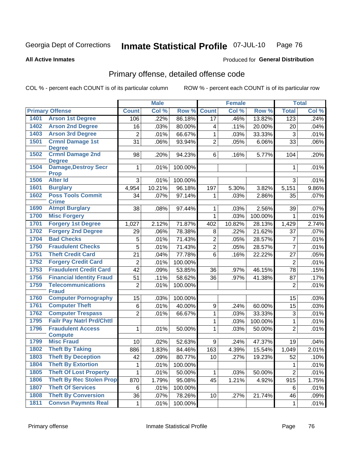#### **Inmate Statistical Profile 07-JUL-10** Page 76

**All Active Inmates** 

### Produced for General Distribution

## Primary offense, detailed offense code

COL % - percent each COUNT is of its particular column

| <b>Primary Offense</b><br>Col %<br>Row %<br><b>Count</b><br>Col %<br>Row %<br><b>Total</b><br>Col %<br><b>Count</b><br><b>Arson 1st Degree</b><br>1401<br>86.18%<br>.46%<br>13.82%<br>.22%<br>123<br>.24%<br>106<br>17<br>1402<br><b>Arson 2nd Degree</b><br>.03%<br>80.00%<br>.11%<br>16<br>20.00%<br>20<br>.04%<br>4<br>1403<br><b>Arson 3rd Degree</b><br>$\overline{2}$<br>66.67%<br>33.33%<br>.01%<br>1<br>.03%<br>$\mathbf{3}$<br>.01%<br>1501<br><b>Crmnl Damage 1st</b><br>.06%<br>$\overline{2}$<br>31<br>93.94%<br>.05%<br>6.06%<br>33<br>.06%<br><b>Degree</b><br>1502<br><b>Crmnl Damage 2nd</b><br>94.23%<br>6<br>5.77%<br>.20%<br>98<br>.20%<br>.16%<br>104<br><b>Degree</b><br><b>Damage, Destroy Secr</b><br>1504<br>1<br>.01%<br>.01%<br>100.00%<br>1<br><b>Prop</b><br><b>Alter Id</b><br>1506<br>3<br>3<br>.01%<br>100.00%<br>.01%<br>1601<br><b>Burglary</b><br>4,954<br>10.21%<br>96.18%<br>9.86%<br>197<br>5.30%<br>3.82%<br>5,151<br><b>Poss Tools Commit</b><br>1602<br>97.14%<br>.07%<br>34<br>.07%<br>1<br>.03%<br>2.86%<br>35<br><b>Crime</b><br>1690<br><b>Atmpt Burglary</b><br>38<br>2.56%<br>.07%<br>.08%<br>97.44%<br>1<br>.03%<br>39<br>1700<br><b>Misc Forgery</b><br>100.00%<br>1<br>.03%<br>.01%<br>$\mathbf{1}$<br>1701<br><b>Forgery 1st Degree</b><br>2.74%<br>2.12%<br>71.87%<br>10.82%<br>28.13%<br>1,429<br>1,027<br>402<br><b>Forgery 2nd Degree</b><br>1702<br>78.38%<br>21.62%<br>29<br>.06%<br>8<br>.22%<br>.07%<br>37<br>1704<br><b>Bad Checks</b><br>$\overline{2}$<br>5<br>.01%<br>71.43%<br>.05%<br>28.57%<br>$\overline{7}$<br>.01%<br>$\overline{5}$<br>1750<br><b>Fraudulent Checks</b><br>$\overline{2}$<br>71.43%<br>$\overline{7}$<br>.01%<br>28.57%<br>.01%<br>.05%<br>1751<br><b>Theft Credit Card</b><br>21<br>77.78%<br>$6\phantom{1}$<br>22.22%<br>.05%<br>.04%<br>.16%<br>27<br>1752<br><b>Forgery Credit Card</b><br>$\overline{2}$<br>.01%<br>100.00%<br>$\overline{2}$<br>.01%<br><b>Fraudulent Credit Card</b><br>1753<br>42<br>.09%<br>53.85%<br>36<br>46.15%<br>78<br>.15%<br>.97%<br>1756<br><b>Financial Identity Fraud</b><br>58.62%<br>51<br>.11%<br>36<br>87<br>.17%<br>.97%<br>41.38%<br>1759<br><b>Telecommunications</b><br>.01%<br>$\overline{2}$<br>.01%<br>100.00%<br>$\overline{2}$<br><b>Fraud</b><br><b>Computer Pornography</b><br>1760<br>15<br>100.00%<br>15<br>.03%<br>.03%<br><b>Computer Theft</b><br>1761<br>6<br>.01%<br>40.00%<br>$\mathsf g$<br>.03%<br>.24%<br>60.00%<br>15<br>1762<br><b>Computer Trespass</b><br>$\overline{2}$<br>$\mathbf{1}$<br>33.33%<br>66.67%<br>.03%<br>$\sqrt{3}$<br>.01%<br>.01%<br><b>Failr Pay Natrl Prd/Chttl</b><br>1795<br>.03%<br>100.00%<br>$\mathbf{1}$<br>.01%<br>1<br><b>Fraudulent Access</b><br>1796<br>.01%<br>1<br>.01%<br>50.00%<br>1<br>50.00%<br>$\overline{2}$<br>.03%<br><b>Compute</b><br>1799<br><b>Misc Fraud</b><br>.02%<br>52.63%<br>9<br>.24%<br>47.37%<br>.04%<br>10<br>19<br><b>Theft By Taking</b><br>1802<br>163<br>2.01%<br>886<br>1.83%<br>84.46%<br>4.39%<br>15.54%<br>1,049 |  | <b>Male</b> |  | <b>Female</b> |  | <b>Total</b> |
|--------------------------------------------------------------------------------------------------------------------------------------------------------------------------------------------------------------------------------------------------------------------------------------------------------------------------------------------------------------------------------------------------------------------------------------------------------------------------------------------------------------------------------------------------------------------------------------------------------------------------------------------------------------------------------------------------------------------------------------------------------------------------------------------------------------------------------------------------------------------------------------------------------------------------------------------------------------------------------------------------------------------------------------------------------------------------------------------------------------------------------------------------------------------------------------------------------------------------------------------------------------------------------------------------------------------------------------------------------------------------------------------------------------------------------------------------------------------------------------------------------------------------------------------------------------------------------------------------------------------------------------------------------------------------------------------------------------------------------------------------------------------------------------------------------------------------------------------------------------------------------------------------------------------------------------------------------------------------------------------------------------------------------------------------------------------------------------------------------------------------------------------------------------------------------------------------------------------------------------------------------------------------------------------------------------------------------------------------------------------------------------------------------------------------------------------------------------------------------------------------------------------------------------------------------------------------------------------------------------------------------------------------------------------------------------------------------------------------------------------------------------------------------------------------------------------------------------------------------------------------------------------------------------------------------------------------------------------------------------------------------------------------------------|--|-------------|--|---------------|--|--------------|
|                                                                                                                                                                                                                                                                                                                                                                                                                                                                                                                                                                                                                                                                                                                                                                                                                                                                                                                                                                                                                                                                                                                                                                                                                                                                                                                                                                                                                                                                                                                                                                                                                                                                                                                                                                                                                                                                                                                                                                                                                                                                                                                                                                                                                                                                                                                                                                                                                                                                                                                                                                                                                                                                                                                                                                                                                                                                                                                                                                                                                                      |  |             |  |               |  |              |
|                                                                                                                                                                                                                                                                                                                                                                                                                                                                                                                                                                                                                                                                                                                                                                                                                                                                                                                                                                                                                                                                                                                                                                                                                                                                                                                                                                                                                                                                                                                                                                                                                                                                                                                                                                                                                                                                                                                                                                                                                                                                                                                                                                                                                                                                                                                                                                                                                                                                                                                                                                                                                                                                                                                                                                                                                                                                                                                                                                                                                                      |  |             |  |               |  |              |
|                                                                                                                                                                                                                                                                                                                                                                                                                                                                                                                                                                                                                                                                                                                                                                                                                                                                                                                                                                                                                                                                                                                                                                                                                                                                                                                                                                                                                                                                                                                                                                                                                                                                                                                                                                                                                                                                                                                                                                                                                                                                                                                                                                                                                                                                                                                                                                                                                                                                                                                                                                                                                                                                                                                                                                                                                                                                                                                                                                                                                                      |  |             |  |               |  |              |
|                                                                                                                                                                                                                                                                                                                                                                                                                                                                                                                                                                                                                                                                                                                                                                                                                                                                                                                                                                                                                                                                                                                                                                                                                                                                                                                                                                                                                                                                                                                                                                                                                                                                                                                                                                                                                                                                                                                                                                                                                                                                                                                                                                                                                                                                                                                                                                                                                                                                                                                                                                                                                                                                                                                                                                                                                                                                                                                                                                                                                                      |  |             |  |               |  |              |
|                                                                                                                                                                                                                                                                                                                                                                                                                                                                                                                                                                                                                                                                                                                                                                                                                                                                                                                                                                                                                                                                                                                                                                                                                                                                                                                                                                                                                                                                                                                                                                                                                                                                                                                                                                                                                                                                                                                                                                                                                                                                                                                                                                                                                                                                                                                                                                                                                                                                                                                                                                                                                                                                                                                                                                                                                                                                                                                                                                                                                                      |  |             |  |               |  |              |
|                                                                                                                                                                                                                                                                                                                                                                                                                                                                                                                                                                                                                                                                                                                                                                                                                                                                                                                                                                                                                                                                                                                                                                                                                                                                                                                                                                                                                                                                                                                                                                                                                                                                                                                                                                                                                                                                                                                                                                                                                                                                                                                                                                                                                                                                                                                                                                                                                                                                                                                                                                                                                                                                                                                                                                                                                                                                                                                                                                                                                                      |  |             |  |               |  |              |
|                                                                                                                                                                                                                                                                                                                                                                                                                                                                                                                                                                                                                                                                                                                                                                                                                                                                                                                                                                                                                                                                                                                                                                                                                                                                                                                                                                                                                                                                                                                                                                                                                                                                                                                                                                                                                                                                                                                                                                                                                                                                                                                                                                                                                                                                                                                                                                                                                                                                                                                                                                                                                                                                                                                                                                                                                                                                                                                                                                                                                                      |  |             |  |               |  |              |
|                                                                                                                                                                                                                                                                                                                                                                                                                                                                                                                                                                                                                                                                                                                                                                                                                                                                                                                                                                                                                                                                                                                                                                                                                                                                                                                                                                                                                                                                                                                                                                                                                                                                                                                                                                                                                                                                                                                                                                                                                                                                                                                                                                                                                                                                                                                                                                                                                                                                                                                                                                                                                                                                                                                                                                                                                                                                                                                                                                                                                                      |  |             |  |               |  |              |
|                                                                                                                                                                                                                                                                                                                                                                                                                                                                                                                                                                                                                                                                                                                                                                                                                                                                                                                                                                                                                                                                                                                                                                                                                                                                                                                                                                                                                                                                                                                                                                                                                                                                                                                                                                                                                                                                                                                                                                                                                                                                                                                                                                                                                                                                                                                                                                                                                                                                                                                                                                                                                                                                                                                                                                                                                                                                                                                                                                                                                                      |  |             |  |               |  |              |
|                                                                                                                                                                                                                                                                                                                                                                                                                                                                                                                                                                                                                                                                                                                                                                                                                                                                                                                                                                                                                                                                                                                                                                                                                                                                                                                                                                                                                                                                                                                                                                                                                                                                                                                                                                                                                                                                                                                                                                                                                                                                                                                                                                                                                                                                                                                                                                                                                                                                                                                                                                                                                                                                                                                                                                                                                                                                                                                                                                                                                                      |  |             |  |               |  |              |
|                                                                                                                                                                                                                                                                                                                                                                                                                                                                                                                                                                                                                                                                                                                                                                                                                                                                                                                                                                                                                                                                                                                                                                                                                                                                                                                                                                                                                                                                                                                                                                                                                                                                                                                                                                                                                                                                                                                                                                                                                                                                                                                                                                                                                                                                                                                                                                                                                                                                                                                                                                                                                                                                                                                                                                                                                                                                                                                                                                                                                                      |  |             |  |               |  |              |
|                                                                                                                                                                                                                                                                                                                                                                                                                                                                                                                                                                                                                                                                                                                                                                                                                                                                                                                                                                                                                                                                                                                                                                                                                                                                                                                                                                                                                                                                                                                                                                                                                                                                                                                                                                                                                                                                                                                                                                                                                                                                                                                                                                                                                                                                                                                                                                                                                                                                                                                                                                                                                                                                                                                                                                                                                                                                                                                                                                                                                                      |  |             |  |               |  |              |
|                                                                                                                                                                                                                                                                                                                                                                                                                                                                                                                                                                                                                                                                                                                                                                                                                                                                                                                                                                                                                                                                                                                                                                                                                                                                                                                                                                                                                                                                                                                                                                                                                                                                                                                                                                                                                                                                                                                                                                                                                                                                                                                                                                                                                                                                                                                                                                                                                                                                                                                                                                                                                                                                                                                                                                                                                                                                                                                                                                                                                                      |  |             |  |               |  |              |
|                                                                                                                                                                                                                                                                                                                                                                                                                                                                                                                                                                                                                                                                                                                                                                                                                                                                                                                                                                                                                                                                                                                                                                                                                                                                                                                                                                                                                                                                                                                                                                                                                                                                                                                                                                                                                                                                                                                                                                                                                                                                                                                                                                                                                                                                                                                                                                                                                                                                                                                                                                                                                                                                                                                                                                                                                                                                                                                                                                                                                                      |  |             |  |               |  |              |
|                                                                                                                                                                                                                                                                                                                                                                                                                                                                                                                                                                                                                                                                                                                                                                                                                                                                                                                                                                                                                                                                                                                                                                                                                                                                                                                                                                                                                                                                                                                                                                                                                                                                                                                                                                                                                                                                                                                                                                                                                                                                                                                                                                                                                                                                                                                                                                                                                                                                                                                                                                                                                                                                                                                                                                                                                                                                                                                                                                                                                                      |  |             |  |               |  |              |
|                                                                                                                                                                                                                                                                                                                                                                                                                                                                                                                                                                                                                                                                                                                                                                                                                                                                                                                                                                                                                                                                                                                                                                                                                                                                                                                                                                                                                                                                                                                                                                                                                                                                                                                                                                                                                                                                                                                                                                                                                                                                                                                                                                                                                                                                                                                                                                                                                                                                                                                                                                                                                                                                                                                                                                                                                                                                                                                                                                                                                                      |  |             |  |               |  |              |
|                                                                                                                                                                                                                                                                                                                                                                                                                                                                                                                                                                                                                                                                                                                                                                                                                                                                                                                                                                                                                                                                                                                                                                                                                                                                                                                                                                                                                                                                                                                                                                                                                                                                                                                                                                                                                                                                                                                                                                                                                                                                                                                                                                                                                                                                                                                                                                                                                                                                                                                                                                                                                                                                                                                                                                                                                                                                                                                                                                                                                                      |  |             |  |               |  |              |
|                                                                                                                                                                                                                                                                                                                                                                                                                                                                                                                                                                                                                                                                                                                                                                                                                                                                                                                                                                                                                                                                                                                                                                                                                                                                                                                                                                                                                                                                                                                                                                                                                                                                                                                                                                                                                                                                                                                                                                                                                                                                                                                                                                                                                                                                                                                                                                                                                                                                                                                                                                                                                                                                                                                                                                                                                                                                                                                                                                                                                                      |  |             |  |               |  |              |
|                                                                                                                                                                                                                                                                                                                                                                                                                                                                                                                                                                                                                                                                                                                                                                                                                                                                                                                                                                                                                                                                                                                                                                                                                                                                                                                                                                                                                                                                                                                                                                                                                                                                                                                                                                                                                                                                                                                                                                                                                                                                                                                                                                                                                                                                                                                                                                                                                                                                                                                                                                                                                                                                                                                                                                                                                                                                                                                                                                                                                                      |  |             |  |               |  |              |
|                                                                                                                                                                                                                                                                                                                                                                                                                                                                                                                                                                                                                                                                                                                                                                                                                                                                                                                                                                                                                                                                                                                                                                                                                                                                                                                                                                                                                                                                                                                                                                                                                                                                                                                                                                                                                                                                                                                                                                                                                                                                                                                                                                                                                                                                                                                                                                                                                                                                                                                                                                                                                                                                                                                                                                                                                                                                                                                                                                                                                                      |  |             |  |               |  |              |
|                                                                                                                                                                                                                                                                                                                                                                                                                                                                                                                                                                                                                                                                                                                                                                                                                                                                                                                                                                                                                                                                                                                                                                                                                                                                                                                                                                                                                                                                                                                                                                                                                                                                                                                                                                                                                                                                                                                                                                                                                                                                                                                                                                                                                                                                                                                                                                                                                                                                                                                                                                                                                                                                                                                                                                                                                                                                                                                                                                                                                                      |  |             |  |               |  |              |
|                                                                                                                                                                                                                                                                                                                                                                                                                                                                                                                                                                                                                                                                                                                                                                                                                                                                                                                                                                                                                                                                                                                                                                                                                                                                                                                                                                                                                                                                                                                                                                                                                                                                                                                                                                                                                                                                                                                                                                                                                                                                                                                                                                                                                                                                                                                                                                                                                                                                                                                                                                                                                                                                                                                                                                                                                                                                                                                                                                                                                                      |  |             |  |               |  |              |
|                                                                                                                                                                                                                                                                                                                                                                                                                                                                                                                                                                                                                                                                                                                                                                                                                                                                                                                                                                                                                                                                                                                                                                                                                                                                                                                                                                                                                                                                                                                                                                                                                                                                                                                                                                                                                                                                                                                                                                                                                                                                                                                                                                                                                                                                                                                                                                                                                                                                                                                                                                                                                                                                                                                                                                                                                                                                                                                                                                                                                                      |  |             |  |               |  |              |
|                                                                                                                                                                                                                                                                                                                                                                                                                                                                                                                                                                                                                                                                                                                                                                                                                                                                                                                                                                                                                                                                                                                                                                                                                                                                                                                                                                                                                                                                                                                                                                                                                                                                                                                                                                                                                                                                                                                                                                                                                                                                                                                                                                                                                                                                                                                                                                                                                                                                                                                                                                                                                                                                                                                                                                                                                                                                                                                                                                                                                                      |  |             |  |               |  |              |
|                                                                                                                                                                                                                                                                                                                                                                                                                                                                                                                                                                                                                                                                                                                                                                                                                                                                                                                                                                                                                                                                                                                                                                                                                                                                                                                                                                                                                                                                                                                                                                                                                                                                                                                                                                                                                                                                                                                                                                                                                                                                                                                                                                                                                                                                                                                                                                                                                                                                                                                                                                                                                                                                                                                                                                                                                                                                                                                                                                                                                                      |  |             |  |               |  |              |
|                                                                                                                                                                                                                                                                                                                                                                                                                                                                                                                                                                                                                                                                                                                                                                                                                                                                                                                                                                                                                                                                                                                                                                                                                                                                                                                                                                                                                                                                                                                                                                                                                                                                                                                                                                                                                                                                                                                                                                                                                                                                                                                                                                                                                                                                                                                                                                                                                                                                                                                                                                                                                                                                                                                                                                                                                                                                                                                                                                                                                                      |  |             |  |               |  |              |
|                                                                                                                                                                                                                                                                                                                                                                                                                                                                                                                                                                                                                                                                                                                                                                                                                                                                                                                                                                                                                                                                                                                                                                                                                                                                                                                                                                                                                                                                                                                                                                                                                                                                                                                                                                                                                                                                                                                                                                                                                                                                                                                                                                                                                                                                                                                                                                                                                                                                                                                                                                                                                                                                                                                                                                                                                                                                                                                                                                                                                                      |  |             |  |               |  |              |
|                                                                                                                                                                                                                                                                                                                                                                                                                                                                                                                                                                                                                                                                                                                                                                                                                                                                                                                                                                                                                                                                                                                                                                                                                                                                                                                                                                                                                                                                                                                                                                                                                                                                                                                                                                                                                                                                                                                                                                                                                                                                                                                                                                                                                                                                                                                                                                                                                                                                                                                                                                                                                                                                                                                                                                                                                                                                                                                                                                                                                                      |  |             |  |               |  |              |
|                                                                                                                                                                                                                                                                                                                                                                                                                                                                                                                                                                                                                                                                                                                                                                                                                                                                                                                                                                                                                                                                                                                                                                                                                                                                                                                                                                                                                                                                                                                                                                                                                                                                                                                                                                                                                                                                                                                                                                                                                                                                                                                                                                                                                                                                                                                                                                                                                                                                                                                                                                                                                                                                                                                                                                                                                                                                                                                                                                                                                                      |  |             |  |               |  |              |
|                                                                                                                                                                                                                                                                                                                                                                                                                                                                                                                                                                                                                                                                                                                                                                                                                                                                                                                                                                                                                                                                                                                                                                                                                                                                                                                                                                                                                                                                                                                                                                                                                                                                                                                                                                                                                                                                                                                                                                                                                                                                                                                                                                                                                                                                                                                                                                                                                                                                                                                                                                                                                                                                                                                                                                                                                                                                                                                                                                                                                                      |  |             |  |               |  |              |
| <b>Theft By Deception</b><br>1803<br>42<br>.09%<br>52<br>10 <sup>1</sup><br>19.23%<br>.10%<br>80.77%<br>.27%                                                                                                                                                                                                                                                                                                                                                                                                                                                                                                                                                                                                                                                                                                                                                                                                                                                                                                                                                                                                                                                                                                                                                                                                                                                                                                                                                                                                                                                                                                                                                                                                                                                                                                                                                                                                                                                                                                                                                                                                                                                                                                                                                                                                                                                                                                                                                                                                                                                                                                                                                                                                                                                                                                                                                                                                                                                                                                                         |  |             |  |               |  |              |
| 1804<br><b>Theft By Extortion</b><br>1<br>.01%<br>100.00%<br>1<br>.01%                                                                                                                                                                                                                                                                                                                                                                                                                                                                                                                                                                                                                                                                                                                                                                                                                                                                                                                                                                                                                                                                                                                                                                                                                                                                                                                                                                                                                                                                                                                                                                                                                                                                                                                                                                                                                                                                                                                                                                                                                                                                                                                                                                                                                                                                                                                                                                                                                                                                                                                                                                                                                                                                                                                                                                                                                                                                                                                                                               |  |             |  |               |  |              |
| 1805<br><b>Theft Of Lost Property</b><br>$\overline{2}$<br>.01%<br>50.00%<br>.01%<br>.03%<br>50.00%<br>1<br>1.                                                                                                                                                                                                                                                                                                                                                                                                                                                                                                                                                                                                                                                                                                                                                                                                                                                                                                                                                                                                                                                                                                                                                                                                                                                                                                                                                                                                                                                                                                                                                                                                                                                                                                                                                                                                                                                                                                                                                                                                                                                                                                                                                                                                                                                                                                                                                                                                                                                                                                                                                                                                                                                                                                                                                                                                                                                                                                                       |  |             |  |               |  |              |
| <b>Theft By Rec Stolen Prop</b><br>1806<br>870<br>95.08%<br>45<br>1.21%<br>4.92%<br>1.75%<br>1.79%<br>915                                                                                                                                                                                                                                                                                                                                                                                                                                                                                                                                                                                                                                                                                                                                                                                                                                                                                                                                                                                                                                                                                                                                                                                                                                                                                                                                                                                                                                                                                                                                                                                                                                                                                                                                                                                                                                                                                                                                                                                                                                                                                                                                                                                                                                                                                                                                                                                                                                                                                                                                                                                                                                                                                                                                                                                                                                                                                                                            |  |             |  |               |  |              |
| 1807<br><b>Theft Of Services</b><br>.01%<br>6<br>.01%<br>100.00%<br>6                                                                                                                                                                                                                                                                                                                                                                                                                                                                                                                                                                                                                                                                                                                                                                                                                                                                                                                                                                                                                                                                                                                                                                                                                                                                                                                                                                                                                                                                                                                                                                                                                                                                                                                                                                                                                                                                                                                                                                                                                                                                                                                                                                                                                                                                                                                                                                                                                                                                                                                                                                                                                                                                                                                                                                                                                                                                                                                                                                |  |             |  |               |  |              |
| <b>Theft By Conversion</b><br>1808<br>36<br>78.26%<br>10<br>.27%<br>21.74%<br>46<br>.07%<br>.09%                                                                                                                                                                                                                                                                                                                                                                                                                                                                                                                                                                                                                                                                                                                                                                                                                                                                                                                                                                                                                                                                                                                                                                                                                                                                                                                                                                                                                                                                                                                                                                                                                                                                                                                                                                                                                                                                                                                                                                                                                                                                                                                                                                                                                                                                                                                                                                                                                                                                                                                                                                                                                                                                                                                                                                                                                                                                                                                                     |  |             |  |               |  |              |
| <b>Convsn Paymnts Real</b><br>1811<br>.01%<br>$\mathbf 1$<br>.01%<br>100.00%<br>$\mathbf 1$                                                                                                                                                                                                                                                                                                                                                                                                                                                                                                                                                                                                                                                                                                                                                                                                                                                                                                                                                                                                                                                                                                                                                                                                                                                                                                                                                                                                                                                                                                                                                                                                                                                                                                                                                                                                                                                                                                                                                                                                                                                                                                                                                                                                                                                                                                                                                                                                                                                                                                                                                                                                                                                                                                                                                                                                                                                                                                                                          |  |             |  |               |  |              |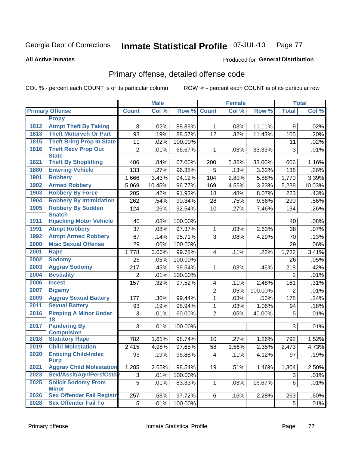#### Inmate Statistical Profile 07-JUL-10 Page 77

#### **All Active Inmates**

### **Produced for General Distribution**

## Primary offense, detailed offense code

COL % - percent each COUNT is of its particular column

| Col %<br>Col %<br>Col %<br><b>Primary Offense</b><br>Row %<br><b>Count</b><br>Row %<br><b>Total</b><br><b>Count</b><br><b>Propy</b><br><b>Atmpt Theft By Taking</b><br>1812<br>8<br>.02%<br>88.89%<br>.03%<br>11.11%<br>.02%<br>$\mathbf{1}$<br>9<br><b>Theft Motorveh Or Part</b><br>1813<br>93<br>12<br>.19%<br>88.57%<br>.32%<br>11.43%<br>105<br>.20%<br>1815<br><b>Theft Bring Prop In State</b><br>11<br>.02%<br>100.00%<br>.02%<br>11<br>1816<br><b>Theft Recv Prop Out</b><br>3<br>.01%<br>$\overline{2}$<br>.01%<br>66.67%<br>.03%<br>1<br>33.33%<br><b>State</b><br><b>Theft By Shoplifting</b><br>1821<br>67.00%<br>5.38%<br>1.16%<br>406<br>.84%<br>33.00%<br>200<br>606<br><b>Entering Vehicle</b><br>1880<br>.27%<br>96.38%<br>133<br>5<br>.13%<br>3.62%<br>138<br>.26%<br>1901<br><b>Robbery</b><br>3.43%<br>2.80%<br>3.39%<br>1,666<br>94.12%<br>104<br>5.88%<br>1,770<br><b>Armed Robbery</b><br>1902<br>10.45%<br>96.77%<br>169<br>4.55%<br>3.23%<br>10.03%<br>5,069<br>5,238<br>1903<br><b>Robbery By Force</b><br>91.93%<br>205<br>.42%<br>18<br>.48%<br>8.07%<br>223<br>.43%<br><b>Robbery By Intimidation</b><br>1904<br>262<br>.54%<br>90.34%<br>.75%<br>9.66%<br>290<br>.56%<br>28<br><b>Robbery By Sudden</b><br>1905<br>92.54%<br>124<br>.26%<br>10<br>.27%<br>7.46%<br>134<br>.26%<br><b>Snatch</b><br><b>Hijacking Motor Vehicle</b><br>1911<br>.08%<br>100.00%<br>.08%<br>40<br>40<br>1991<br><b>Atmpt Robbery</b><br>37<br>97.37%<br>.03%<br>2.63%<br>.08%<br>1<br>38<br>.07%<br><b>Atmpt Armed Robbery</b><br>1992<br>67<br>95.71%<br>3<br>.14%<br>.08%<br>4.29%<br>70<br>.13%<br><b>Misc Sexual Offense</b><br>2000<br>29<br>.06%<br>100.00%<br>29<br>.06%<br>2001<br>99.78%<br>3.41%<br><b>Rape</b><br>3.66%<br>.22%<br>1,782<br>1,778<br>$\overline{4}$<br>.11%<br>2002<br><b>Sodomy</b><br>100.00%<br>26<br>.05%<br>26<br>.05%<br>2003<br><b>Aggrav Sodomy</b><br>217<br>.45%<br>99.54%<br>218<br>.42%<br>.03%<br>.46%<br>1<br>2004<br><b>Bestiality</b><br>100.00%<br>.01%<br>2<br>.01%<br>$\overline{2}$<br>2006<br><b>Incest</b><br>157<br>97.52%<br>.31%<br>.32%<br>2.48%<br>.11%<br>161<br>4<br>2007<br><b>Bigamy</b><br>$\overline{2}$<br>100.00%<br>.01%<br>.05%<br>2<br>2009<br><b>Aggrav Sexual Battery</b><br>99.44%<br>.03%<br>.56%<br>178<br>177<br>.36%<br>1<br>.34%<br>2011<br><b>Sexual Battery</b><br>98.94%<br>1.06%<br>93<br>.19%<br>1<br>.03%<br>.18%<br>94<br><b>Pimping A Minor Under</b><br>2016<br>$\overline{2}$<br>5<br>.01%<br>.01%<br>60.00%<br>.05%<br>40.00%<br>3<br>18<br><b>Pandering By</b><br>2017<br>3<br>.01%<br>.01%<br>100.00%<br>3<br><b>Compulsion</b><br><b>Statutory Rape</b><br>2018<br>98.74%<br>1.52%<br>782<br>1.61%<br>10<br>.27%<br>1.26%<br>792<br><b>Child Molestation</b><br>2019<br>97.65%<br>2,415<br>4.98%<br>58<br>1.56%<br>2.35%<br>2,473<br>2020<br><b>Enticing Child-Indec</b><br>93<br>.19%<br>95.88%<br>.11%<br>4.12%<br>97<br> 4 <br><b>Purp</b><br><b>Aggrav Child Molestation</b><br>2021<br>1,285<br>2.65%<br>98.54%<br>19<br>1,304<br>.51%<br>1.46%<br>Sexl/Asslt/Agn/Pers/Cstd<br>2023<br>.01%<br>3<br>.01%<br>100.00%<br>3<br><b>Solicit Sodomy From</b><br>2025<br>5<br>83.33%<br>6<br>.01%<br>$\mathbf{1}$<br>.03%<br>16.67%<br>.01%<br><b>Minor</b> |  | <b>Male</b> |  | <b>Female</b> |  | <b>Total</b> |
|-------------------------------------------------------------------------------------------------------------------------------------------------------------------------------------------------------------------------------------------------------------------------------------------------------------------------------------------------------------------------------------------------------------------------------------------------------------------------------------------------------------------------------------------------------------------------------------------------------------------------------------------------------------------------------------------------------------------------------------------------------------------------------------------------------------------------------------------------------------------------------------------------------------------------------------------------------------------------------------------------------------------------------------------------------------------------------------------------------------------------------------------------------------------------------------------------------------------------------------------------------------------------------------------------------------------------------------------------------------------------------------------------------------------------------------------------------------------------------------------------------------------------------------------------------------------------------------------------------------------------------------------------------------------------------------------------------------------------------------------------------------------------------------------------------------------------------------------------------------------------------------------------------------------------------------------------------------------------------------------------------------------------------------------------------------------------------------------------------------------------------------------------------------------------------------------------------------------------------------------------------------------------------------------------------------------------------------------------------------------------------------------------------------------------------------------------------------------------------------------------------------------------------------------------------------------------------------------------------------------------------------------------------------------------------------------------------------------------------------------------------------------------------------------------------------------------------------------------------------------------------------------------------------------------------------------------------------------------------------------------------------------------------------------------------------------------------------------------------------------------------------------------------------------------------------------------------------------------------------------------------------|--|-------------|--|---------------|--|--------------|
| 4.73%                                                                                                                                                                                                                                                                                                                                                                                                                                                                                                                                                                                                                                                                                                                                                                                                                                                                                                                                                                                                                                                                                                                                                                                                                                                                                                                                                                                                                                                                                                                                                                                                                                                                                                                                                                                                                                                                                                                                                                                                                                                                                                                                                                                                                                                                                                                                                                                                                                                                                                                                                                                                                                                                                                                                                                                                                                                                                                                                                                                                                                                                                                                                                                                                                                                       |  |             |  |               |  |              |
|                                                                                                                                                                                                                                                                                                                                                                                                                                                                                                                                                                                                                                                                                                                                                                                                                                                                                                                                                                                                                                                                                                                                                                                                                                                                                                                                                                                                                                                                                                                                                                                                                                                                                                                                                                                                                                                                                                                                                                                                                                                                                                                                                                                                                                                                                                                                                                                                                                                                                                                                                                                                                                                                                                                                                                                                                                                                                                                                                                                                                                                                                                                                                                                                                                                             |  |             |  |               |  |              |
|                                                                                                                                                                                                                                                                                                                                                                                                                                                                                                                                                                                                                                                                                                                                                                                                                                                                                                                                                                                                                                                                                                                                                                                                                                                                                                                                                                                                                                                                                                                                                                                                                                                                                                                                                                                                                                                                                                                                                                                                                                                                                                                                                                                                                                                                                                                                                                                                                                                                                                                                                                                                                                                                                                                                                                                                                                                                                                                                                                                                                                                                                                                                                                                                                                                             |  |             |  |               |  |              |
|                                                                                                                                                                                                                                                                                                                                                                                                                                                                                                                                                                                                                                                                                                                                                                                                                                                                                                                                                                                                                                                                                                                                                                                                                                                                                                                                                                                                                                                                                                                                                                                                                                                                                                                                                                                                                                                                                                                                                                                                                                                                                                                                                                                                                                                                                                                                                                                                                                                                                                                                                                                                                                                                                                                                                                                                                                                                                                                                                                                                                                                                                                                                                                                                                                                             |  |             |  |               |  |              |
|                                                                                                                                                                                                                                                                                                                                                                                                                                                                                                                                                                                                                                                                                                                                                                                                                                                                                                                                                                                                                                                                                                                                                                                                                                                                                                                                                                                                                                                                                                                                                                                                                                                                                                                                                                                                                                                                                                                                                                                                                                                                                                                                                                                                                                                                                                                                                                                                                                                                                                                                                                                                                                                                                                                                                                                                                                                                                                                                                                                                                                                                                                                                                                                                                                                             |  |             |  |               |  |              |
|                                                                                                                                                                                                                                                                                                                                                                                                                                                                                                                                                                                                                                                                                                                                                                                                                                                                                                                                                                                                                                                                                                                                                                                                                                                                                                                                                                                                                                                                                                                                                                                                                                                                                                                                                                                                                                                                                                                                                                                                                                                                                                                                                                                                                                                                                                                                                                                                                                                                                                                                                                                                                                                                                                                                                                                                                                                                                                                                                                                                                                                                                                                                                                                                                                                             |  |             |  |               |  |              |
| .19%<br>2.50%                                                                                                                                                                                                                                                                                                                                                                                                                                                                                                                                                                                                                                                                                                                                                                                                                                                                                                                                                                                                                                                                                                                                                                                                                                                                                                                                                                                                                                                                                                                                                                                                                                                                                                                                                                                                                                                                                                                                                                                                                                                                                                                                                                                                                                                                                                                                                                                                                                                                                                                                                                                                                                                                                                                                                                                                                                                                                                                                                                                                                                                                                                                                                                                                                                               |  |             |  |               |  |              |
|                                                                                                                                                                                                                                                                                                                                                                                                                                                                                                                                                                                                                                                                                                                                                                                                                                                                                                                                                                                                                                                                                                                                                                                                                                                                                                                                                                                                                                                                                                                                                                                                                                                                                                                                                                                                                                                                                                                                                                                                                                                                                                                                                                                                                                                                                                                                                                                                                                                                                                                                                                                                                                                                                                                                                                                                                                                                                                                                                                                                                                                                                                                                                                                                                                                             |  |             |  |               |  |              |
|                                                                                                                                                                                                                                                                                                                                                                                                                                                                                                                                                                                                                                                                                                                                                                                                                                                                                                                                                                                                                                                                                                                                                                                                                                                                                                                                                                                                                                                                                                                                                                                                                                                                                                                                                                                                                                                                                                                                                                                                                                                                                                                                                                                                                                                                                                                                                                                                                                                                                                                                                                                                                                                                                                                                                                                                                                                                                                                                                                                                                                                                                                                                                                                                                                                             |  |             |  |               |  |              |
|                                                                                                                                                                                                                                                                                                                                                                                                                                                                                                                                                                                                                                                                                                                                                                                                                                                                                                                                                                                                                                                                                                                                                                                                                                                                                                                                                                                                                                                                                                                                                                                                                                                                                                                                                                                                                                                                                                                                                                                                                                                                                                                                                                                                                                                                                                                                                                                                                                                                                                                                                                                                                                                                                                                                                                                                                                                                                                                                                                                                                                                                                                                                                                                                                                                             |  |             |  |               |  |              |
|                                                                                                                                                                                                                                                                                                                                                                                                                                                                                                                                                                                                                                                                                                                                                                                                                                                                                                                                                                                                                                                                                                                                                                                                                                                                                                                                                                                                                                                                                                                                                                                                                                                                                                                                                                                                                                                                                                                                                                                                                                                                                                                                                                                                                                                                                                                                                                                                                                                                                                                                                                                                                                                                                                                                                                                                                                                                                                                                                                                                                                                                                                                                                                                                                                                             |  |             |  |               |  |              |
|                                                                                                                                                                                                                                                                                                                                                                                                                                                                                                                                                                                                                                                                                                                                                                                                                                                                                                                                                                                                                                                                                                                                                                                                                                                                                                                                                                                                                                                                                                                                                                                                                                                                                                                                                                                                                                                                                                                                                                                                                                                                                                                                                                                                                                                                                                                                                                                                                                                                                                                                                                                                                                                                                                                                                                                                                                                                                                                                                                                                                                                                                                                                                                                                                                                             |  |             |  |               |  |              |
|                                                                                                                                                                                                                                                                                                                                                                                                                                                                                                                                                                                                                                                                                                                                                                                                                                                                                                                                                                                                                                                                                                                                                                                                                                                                                                                                                                                                                                                                                                                                                                                                                                                                                                                                                                                                                                                                                                                                                                                                                                                                                                                                                                                                                                                                                                                                                                                                                                                                                                                                                                                                                                                                                                                                                                                                                                                                                                                                                                                                                                                                                                                                                                                                                                                             |  |             |  |               |  |              |
|                                                                                                                                                                                                                                                                                                                                                                                                                                                                                                                                                                                                                                                                                                                                                                                                                                                                                                                                                                                                                                                                                                                                                                                                                                                                                                                                                                                                                                                                                                                                                                                                                                                                                                                                                                                                                                                                                                                                                                                                                                                                                                                                                                                                                                                                                                                                                                                                                                                                                                                                                                                                                                                                                                                                                                                                                                                                                                                                                                                                                                                                                                                                                                                                                                                             |  |             |  |               |  |              |
|                                                                                                                                                                                                                                                                                                                                                                                                                                                                                                                                                                                                                                                                                                                                                                                                                                                                                                                                                                                                                                                                                                                                                                                                                                                                                                                                                                                                                                                                                                                                                                                                                                                                                                                                                                                                                                                                                                                                                                                                                                                                                                                                                                                                                                                                                                                                                                                                                                                                                                                                                                                                                                                                                                                                                                                                                                                                                                                                                                                                                                                                                                                                                                                                                                                             |  |             |  |               |  |              |
|                                                                                                                                                                                                                                                                                                                                                                                                                                                                                                                                                                                                                                                                                                                                                                                                                                                                                                                                                                                                                                                                                                                                                                                                                                                                                                                                                                                                                                                                                                                                                                                                                                                                                                                                                                                                                                                                                                                                                                                                                                                                                                                                                                                                                                                                                                                                                                                                                                                                                                                                                                                                                                                                                                                                                                                                                                                                                                                                                                                                                                                                                                                                                                                                                                                             |  |             |  |               |  |              |
|                                                                                                                                                                                                                                                                                                                                                                                                                                                                                                                                                                                                                                                                                                                                                                                                                                                                                                                                                                                                                                                                                                                                                                                                                                                                                                                                                                                                                                                                                                                                                                                                                                                                                                                                                                                                                                                                                                                                                                                                                                                                                                                                                                                                                                                                                                                                                                                                                                                                                                                                                                                                                                                                                                                                                                                                                                                                                                                                                                                                                                                                                                                                                                                                                                                             |  |             |  |               |  |              |
|                                                                                                                                                                                                                                                                                                                                                                                                                                                                                                                                                                                                                                                                                                                                                                                                                                                                                                                                                                                                                                                                                                                                                                                                                                                                                                                                                                                                                                                                                                                                                                                                                                                                                                                                                                                                                                                                                                                                                                                                                                                                                                                                                                                                                                                                                                                                                                                                                                                                                                                                                                                                                                                                                                                                                                                                                                                                                                                                                                                                                                                                                                                                                                                                                                                             |  |             |  |               |  |              |
|                                                                                                                                                                                                                                                                                                                                                                                                                                                                                                                                                                                                                                                                                                                                                                                                                                                                                                                                                                                                                                                                                                                                                                                                                                                                                                                                                                                                                                                                                                                                                                                                                                                                                                                                                                                                                                                                                                                                                                                                                                                                                                                                                                                                                                                                                                                                                                                                                                                                                                                                                                                                                                                                                                                                                                                                                                                                                                                                                                                                                                                                                                                                                                                                                                                             |  |             |  |               |  |              |
|                                                                                                                                                                                                                                                                                                                                                                                                                                                                                                                                                                                                                                                                                                                                                                                                                                                                                                                                                                                                                                                                                                                                                                                                                                                                                                                                                                                                                                                                                                                                                                                                                                                                                                                                                                                                                                                                                                                                                                                                                                                                                                                                                                                                                                                                                                                                                                                                                                                                                                                                                                                                                                                                                                                                                                                                                                                                                                                                                                                                                                                                                                                                                                                                                                                             |  |             |  |               |  |              |
|                                                                                                                                                                                                                                                                                                                                                                                                                                                                                                                                                                                                                                                                                                                                                                                                                                                                                                                                                                                                                                                                                                                                                                                                                                                                                                                                                                                                                                                                                                                                                                                                                                                                                                                                                                                                                                                                                                                                                                                                                                                                                                                                                                                                                                                                                                                                                                                                                                                                                                                                                                                                                                                                                                                                                                                                                                                                                                                                                                                                                                                                                                                                                                                                                                                             |  |             |  |               |  |              |
|                                                                                                                                                                                                                                                                                                                                                                                                                                                                                                                                                                                                                                                                                                                                                                                                                                                                                                                                                                                                                                                                                                                                                                                                                                                                                                                                                                                                                                                                                                                                                                                                                                                                                                                                                                                                                                                                                                                                                                                                                                                                                                                                                                                                                                                                                                                                                                                                                                                                                                                                                                                                                                                                                                                                                                                                                                                                                                                                                                                                                                                                                                                                                                                                                                                             |  |             |  |               |  |              |
|                                                                                                                                                                                                                                                                                                                                                                                                                                                                                                                                                                                                                                                                                                                                                                                                                                                                                                                                                                                                                                                                                                                                                                                                                                                                                                                                                                                                                                                                                                                                                                                                                                                                                                                                                                                                                                                                                                                                                                                                                                                                                                                                                                                                                                                                                                                                                                                                                                                                                                                                                                                                                                                                                                                                                                                                                                                                                                                                                                                                                                                                                                                                                                                                                                                             |  |             |  |               |  |              |
|                                                                                                                                                                                                                                                                                                                                                                                                                                                                                                                                                                                                                                                                                                                                                                                                                                                                                                                                                                                                                                                                                                                                                                                                                                                                                                                                                                                                                                                                                                                                                                                                                                                                                                                                                                                                                                                                                                                                                                                                                                                                                                                                                                                                                                                                                                                                                                                                                                                                                                                                                                                                                                                                                                                                                                                                                                                                                                                                                                                                                                                                                                                                                                                                                                                             |  |             |  |               |  |              |
|                                                                                                                                                                                                                                                                                                                                                                                                                                                                                                                                                                                                                                                                                                                                                                                                                                                                                                                                                                                                                                                                                                                                                                                                                                                                                                                                                                                                                                                                                                                                                                                                                                                                                                                                                                                                                                                                                                                                                                                                                                                                                                                                                                                                                                                                                                                                                                                                                                                                                                                                                                                                                                                                                                                                                                                                                                                                                                                                                                                                                                                                                                                                                                                                                                                             |  |             |  |               |  |              |
|                                                                                                                                                                                                                                                                                                                                                                                                                                                                                                                                                                                                                                                                                                                                                                                                                                                                                                                                                                                                                                                                                                                                                                                                                                                                                                                                                                                                                                                                                                                                                                                                                                                                                                                                                                                                                                                                                                                                                                                                                                                                                                                                                                                                                                                                                                                                                                                                                                                                                                                                                                                                                                                                                                                                                                                                                                                                                                                                                                                                                                                                                                                                                                                                                                                             |  |             |  |               |  |              |
|                                                                                                                                                                                                                                                                                                                                                                                                                                                                                                                                                                                                                                                                                                                                                                                                                                                                                                                                                                                                                                                                                                                                                                                                                                                                                                                                                                                                                                                                                                                                                                                                                                                                                                                                                                                                                                                                                                                                                                                                                                                                                                                                                                                                                                                                                                                                                                                                                                                                                                                                                                                                                                                                                                                                                                                                                                                                                                                                                                                                                                                                                                                                                                                                                                                             |  |             |  |               |  |              |
|                                                                                                                                                                                                                                                                                                                                                                                                                                                                                                                                                                                                                                                                                                                                                                                                                                                                                                                                                                                                                                                                                                                                                                                                                                                                                                                                                                                                                                                                                                                                                                                                                                                                                                                                                                                                                                                                                                                                                                                                                                                                                                                                                                                                                                                                                                                                                                                                                                                                                                                                                                                                                                                                                                                                                                                                                                                                                                                                                                                                                                                                                                                                                                                                                                                             |  |             |  |               |  |              |
|                                                                                                                                                                                                                                                                                                                                                                                                                                                                                                                                                                                                                                                                                                                                                                                                                                                                                                                                                                                                                                                                                                                                                                                                                                                                                                                                                                                                                                                                                                                                                                                                                                                                                                                                                                                                                                                                                                                                                                                                                                                                                                                                                                                                                                                                                                                                                                                                                                                                                                                                                                                                                                                                                                                                                                                                                                                                                                                                                                                                                                                                                                                                                                                                                                                             |  |             |  |               |  |              |
|                                                                                                                                                                                                                                                                                                                                                                                                                                                                                                                                                                                                                                                                                                                                                                                                                                                                                                                                                                                                                                                                                                                                                                                                                                                                                                                                                                                                                                                                                                                                                                                                                                                                                                                                                                                                                                                                                                                                                                                                                                                                                                                                                                                                                                                                                                                                                                                                                                                                                                                                                                                                                                                                                                                                                                                                                                                                                                                                                                                                                                                                                                                                                                                                                                                             |  |             |  |               |  |              |
|                                                                                                                                                                                                                                                                                                                                                                                                                                                                                                                                                                                                                                                                                                                                                                                                                                                                                                                                                                                                                                                                                                                                                                                                                                                                                                                                                                                                                                                                                                                                                                                                                                                                                                                                                                                                                                                                                                                                                                                                                                                                                                                                                                                                                                                                                                                                                                                                                                                                                                                                                                                                                                                                                                                                                                                                                                                                                                                                                                                                                                                                                                                                                                                                                                                             |  |             |  |               |  |              |
|                                                                                                                                                                                                                                                                                                                                                                                                                                                                                                                                                                                                                                                                                                                                                                                                                                                                                                                                                                                                                                                                                                                                                                                                                                                                                                                                                                                                                                                                                                                                                                                                                                                                                                                                                                                                                                                                                                                                                                                                                                                                                                                                                                                                                                                                                                                                                                                                                                                                                                                                                                                                                                                                                                                                                                                                                                                                                                                                                                                                                                                                                                                                                                                                                                                             |  |             |  |               |  |              |
|                                                                                                                                                                                                                                                                                                                                                                                                                                                                                                                                                                                                                                                                                                                                                                                                                                                                                                                                                                                                                                                                                                                                                                                                                                                                                                                                                                                                                                                                                                                                                                                                                                                                                                                                                                                                                                                                                                                                                                                                                                                                                                                                                                                                                                                                                                                                                                                                                                                                                                                                                                                                                                                                                                                                                                                                                                                                                                                                                                                                                                                                                                                                                                                                                                                             |  |             |  |               |  |              |
|                                                                                                                                                                                                                                                                                                                                                                                                                                                                                                                                                                                                                                                                                                                                                                                                                                                                                                                                                                                                                                                                                                                                                                                                                                                                                                                                                                                                                                                                                                                                                                                                                                                                                                                                                                                                                                                                                                                                                                                                                                                                                                                                                                                                                                                                                                                                                                                                                                                                                                                                                                                                                                                                                                                                                                                                                                                                                                                                                                                                                                                                                                                                                                                                                                                             |  |             |  |               |  |              |
|                                                                                                                                                                                                                                                                                                                                                                                                                                                                                                                                                                                                                                                                                                                                                                                                                                                                                                                                                                                                                                                                                                                                                                                                                                                                                                                                                                                                                                                                                                                                                                                                                                                                                                                                                                                                                                                                                                                                                                                                                                                                                                                                                                                                                                                                                                                                                                                                                                                                                                                                                                                                                                                                                                                                                                                                                                                                                                                                                                                                                                                                                                                                                                                                                                                             |  |             |  |               |  |              |
|                                                                                                                                                                                                                                                                                                                                                                                                                                                                                                                                                                                                                                                                                                                                                                                                                                                                                                                                                                                                                                                                                                                                                                                                                                                                                                                                                                                                                                                                                                                                                                                                                                                                                                                                                                                                                                                                                                                                                                                                                                                                                                                                                                                                                                                                                                                                                                                                                                                                                                                                                                                                                                                                                                                                                                                                                                                                                                                                                                                                                                                                                                                                                                                                                                                             |  |             |  |               |  |              |
|                                                                                                                                                                                                                                                                                                                                                                                                                                                                                                                                                                                                                                                                                                                                                                                                                                                                                                                                                                                                                                                                                                                                                                                                                                                                                                                                                                                                                                                                                                                                                                                                                                                                                                                                                                                                                                                                                                                                                                                                                                                                                                                                                                                                                                                                                                                                                                                                                                                                                                                                                                                                                                                                                                                                                                                                                                                                                                                                                                                                                                                                                                                                                                                                                                                             |  |             |  |               |  |              |
| <b>Sex Offender Fail Registr</b><br>2026<br>97.72%<br>.50%<br>257<br>.53%<br>.16%<br>2.28%<br>263<br>6                                                                                                                                                                                                                                                                                                                                                                                                                                                                                                                                                                                                                                                                                                                                                                                                                                                                                                                                                                                                                                                                                                                                                                                                                                                                                                                                                                                                                                                                                                                                                                                                                                                                                                                                                                                                                                                                                                                                                                                                                                                                                                                                                                                                                                                                                                                                                                                                                                                                                                                                                                                                                                                                                                                                                                                                                                                                                                                                                                                                                                                                                                                                                      |  |             |  |               |  |              |
| <b>Sex Offender Fail To</b><br>2028<br>5 <sup>1</sup><br>.01%<br>100.00%<br>.01%<br>5                                                                                                                                                                                                                                                                                                                                                                                                                                                                                                                                                                                                                                                                                                                                                                                                                                                                                                                                                                                                                                                                                                                                                                                                                                                                                                                                                                                                                                                                                                                                                                                                                                                                                                                                                                                                                                                                                                                                                                                                                                                                                                                                                                                                                                                                                                                                                                                                                                                                                                                                                                                                                                                                                                                                                                                                                                                                                                                                                                                                                                                                                                                                                                       |  |             |  |               |  |              |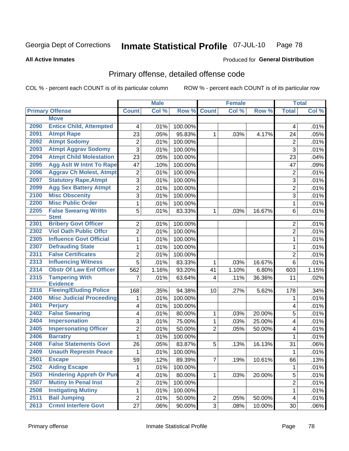#### Inmate Statistical Profile 07-JUL-10 Page 78

#### **All Active Inmates**

## Produced for General Distribution

## Primary offense, detailed offense code

COL % - percent each COUNT is of its particular column

|      |                                            |                         | <b>Male</b> |         |                         | <b>Female</b> |        |                         | <b>Total</b> |
|------|--------------------------------------------|-------------------------|-------------|---------|-------------------------|---------------|--------|-------------------------|--------------|
|      | <b>Primary Offense</b>                     | <b>Count</b>            | Col %       | Row %   | <b>Count</b>            | Col %         | Row %  | <b>Total</b>            | Col %        |
|      | <b>Move</b>                                |                         |             |         |                         |               |        |                         |              |
| 2090 | <b>Entice Child, Attempted</b>             | 4                       | .01%        | 100.00% |                         |               |        | 4                       | .01%         |
| 2091 | <b>Atmpt Rape</b>                          | 23                      | .05%        | 95.83%  | $\mathbf{1}$            | .03%          | 4.17%  | 24                      | .05%         |
| 2092 | <b>Atmpt Sodomy</b>                        | $\overline{2}$          | .01%        | 100.00% |                         |               |        | $\overline{2}$          | .01%         |
| 2093 | <b>Atmpt Aggrav Sodomy</b>                 | 3                       | .01%        | 100.00% |                         |               |        | 3                       | .01%         |
| 2094 | <b>Atmpt Child Molestation</b>             | 23                      | .05%        | 100.00% |                         |               |        | 23                      | .04%         |
| 2095 | <b>Agg Aslt W Intnt To Rape</b>            | 47                      | .10%        | 100.00% |                         |               |        | 47                      | .09%         |
| 2096 | <b>Aggrav Ch Molest, Atmpt</b>             | $\overline{2}$          | .01%        | 100.00% |                         |               |        | $\overline{2}$          | .01%         |
| 2097 | <b>Statutory Rape, Atmpt</b>               | 3                       | .01%        | 100.00% |                         |               |        | 3                       | .01%         |
| 2099 | <b>Agg Sex Battery Atmpt</b>               | $\overline{2}$          | .01%        | 100.00% |                         |               |        | $\overline{2}$          | .01%         |
| 2100 | <b>Misc Obscenity</b>                      | 3                       | .01%        | 100.00% |                         |               |        | 3                       | .01%         |
| 2200 | <b>Misc Public Order</b>                   | $\mathbf{1}$            | .01%        | 100.00% |                         |               |        | $\mathbf 1$             | .01%         |
| 2205 | <b>False Swearng Writtn</b><br><b>Stmt</b> | 5                       | .01%        | 83.33%  | $\mathbf{1}$            | .03%          | 16.67% | 6                       | .01%         |
| 2301 | <b>Bribery Govt Officer</b>                | $\overline{2}$          | .01%        | 100.00% |                         |               |        | $\overline{2}$          | .01%         |
| 2302 | <b>Viol Oath Public Offcr</b>              | $\overline{2}$          | .01%        | 100.00% |                         |               |        | 2                       | .01%         |
| 2305 | <b>Influence Govt Official</b>             | $\mathbf{1}$            | .01%        | 100.00% |                         |               |        | $\mathbf{1}$            | .01%         |
| 2307 | <b>Defrauding State</b>                    | $\mathbf{1}$            | .01%        | 100.00% |                         |               |        | $\mathbf{1}$            | .01%         |
| 2311 | <b>False Certificates</b>                  | $\overline{2}$          | .01%        | 100.00% |                         |               |        | $\overline{2}$          | .01%         |
| 2313 | <b>Influencing Witness</b>                 | $\overline{5}$          | .01%        | 83.33%  | $\mathbf{1}$            | .03%          | 16.67% | $6\phantom{1}$          | .01%         |
| 2314 | <b>Obstr Of Law Enf Officer</b>            | 562                     | 1.16%       | 93.20%  | 41                      | 1.10%         | 6.80%  | 603                     | 1.15%        |
| 2315 | <b>Tampering With</b><br><b>Evidence</b>   | $\overline{7}$          | .01%        | 63.64%  | $\overline{\mathbf{4}}$ | .11%          | 36.36% | 11                      | .02%         |
| 2316 | <b>Fleeing/Eluding Police</b>              | 168                     | .35%        | 94.38%  | 10 <sup>1</sup>         | .27%          | 5.62%  | 178                     | .34%         |
| 2400 | <b>Misc Judicial Proceeding</b>            | 1                       | .01%        | 100.00% |                         |               |        | 1                       | .01%         |
| 2401 | <b>Perjury</b>                             | 4                       | .01%        | 100.00% |                         |               |        | 4                       | .01%         |
| 2402 | <b>False Swearing</b>                      | 4                       | .01%        | 80.00%  | $\mathbf{1}$            | .03%          | 20.00% | 5                       | .01%         |
| 2404 | <b>Impersonation</b>                       | 3                       | .01%        | 75.00%  | $\mathbf{1}$            | .03%          | 25.00% | 4                       | .01%         |
| 2405 | <b>Impersonating Officer</b>               | $\overline{2}$          | .01%        | 50.00%  | $\overline{2}$          | .05%          | 50.00% | 4                       | .01%         |
| 2406 | <b>Barratry</b>                            | $\mathbf{1}$            | .01%        | 100.00% |                         |               |        | $\mathbf{1}$            | .01%         |
| 2408 | <b>False Statements Govt</b>               | 26                      | .05%        | 83.87%  | 5                       | .13%          | 16.13% | 31                      | $.06\%$      |
| 2409 | <b>Unauth Represtn Peace</b>               | 1                       | .01%        | 100.00% |                         |               |        | $\mathbf{1}$            | .01%         |
| 2501 | <b>Escape</b>                              | 59                      | .12%        | 89.39%  | $\overline{7}$          | .19%          | 10.61% | 66                      | .13%         |
| 2502 | <b>Aiding Escape</b>                       | 1                       | .01%        | 100.00% |                         |               |        | 1                       | .01%         |
| 2503 | <b>Hindering Appreh Or Pun</b>             | $\overline{\mathbf{4}}$ | .01%        | 80.00%  | $\mathbf{1}$            | .03%          | 20.00% | 5                       | .01%         |
| 2507 | <b>Mutiny In Penal Inst</b>                | $\overline{2}$          | .01%        | 100.00% |                         |               |        | $\overline{2}$          | .01%         |
| 2508 | <b>Instigating Mutiny</b>                  | $\mathbf 1$             | .01%        | 100.00% |                         |               |        | $\mathbf 1$             | .01%         |
| 2511 | <b>Bail Jumping</b>                        | $\overline{2}$          | .01%        | 50.00%  | $\mathbf{2}$            | .05%          | 50.00% | $\overline{\mathbf{4}}$ | .01%         |
| 2613 | <b>Crmnl Interfere Govt</b>                | 27                      | .06%        | 90.00%  | 3 <sup>1</sup>          | .08%          | 10.00% | 30                      | .06%         |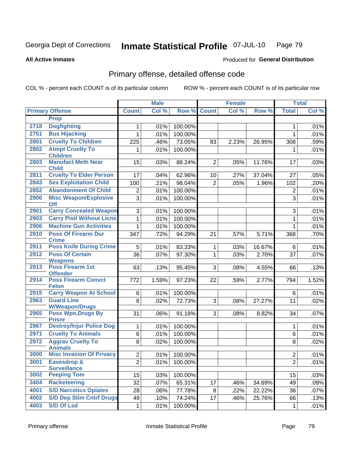#### Inmate Statistical Profile 07-JUL-10 Page 79

Produced for General Distribution

#### **All Active Inmates**

# Primary offense, detailed offense code

COL % - percent each COUNT is of its particular column

|      |                                               |                | <b>Male</b> |         |                    | <b>Female</b> |        |                | <b>Total</b> |
|------|-----------------------------------------------|----------------|-------------|---------|--------------------|---------------|--------|----------------|--------------|
|      | <b>Primary Offense</b>                        | <b>Count</b>   | Col %       |         | <b>Row % Count</b> | Col %         | Row %  | <b>Total</b>   | Col %        |
|      | <b>Prop</b>                                   |                |             |         |                    |               |        |                |              |
| 2718 | <b>Dogfighting</b>                            | 1.             | .01%        | 100.00% |                    |               |        | 1              | .01%         |
| 2751 | <b>Bus Hijacking</b>                          | 1              | .01%        | 100.00% |                    |               |        | 1              | .01%         |
| 2801 | <b>Cruelty To Children</b>                    | 225            | .46%        | 73.05%  | 83                 | 2.23%         | 26.95% | 308            | .59%         |
| 2802 | <b>Atmpt Cruelty To</b>                       | 1.             | .01%        | 100.00% |                    |               |        | 1              | .01%         |
|      | <b>Children</b>                               |                |             |         |                    |               |        |                |              |
| 2803 | <b>Manufact Meth Near</b><br><b>Child</b>     | 15             | .03%        | 88.24%  | $\overline{2}$     | .05%          | 11.76% | 17             | .03%         |
| 2811 | <b>Cruelty To Elder Person</b>                | 17             | .04%        | 62.96%  | 10                 | .27%          | 37.04% | 27             | .05%         |
| 2843 | <b>Sex Exploitation Child</b>                 | 100            | .21%        | 98.04%  | $\overline{2}$     | .05%          | 1.96%  | 102            | .20%         |
| 2852 | <b>Abandonment Of Child</b>                   | $\overline{2}$ | .01%        | 100.00% |                    |               |        | $\overline{2}$ | .01%         |
| 2900 | <b>Misc Weapon/Explosive</b>                  | 3              | .01%        | 100.00% |                    |               |        | 3              | .01%         |
|      | <b>Off</b>                                    |                |             |         |                    |               |        |                |              |
| 2901 | <b>Carry Concealed Weapon</b>                 | 3              | .01%        | 100.00% |                    |               |        | 3              | .01%         |
| 2903 | <b>Carry Pistl Without Licns</b>              | $\mathbf{1}$   | .01%        | 100.00% |                    |               |        | 1              | .01%         |
| 2906 | <b>Machine Gun Activities</b>                 | $\mathbf{1}$   | .01%        | 100.00% |                    |               |        | 1              | .01%         |
| 2910 | <b>Poss Of Firearm Dur</b>                    | 347            | .72%        | 94.29%  | 21                 | .57%          | 5.71%  | 368            | .70%         |
|      | <b>Crime</b>                                  |                |             |         |                    |               |        |                |              |
| 2911 | <b>Poss Knife During Crime</b>                | 5              | .01%        | 83.33%  | 1                  | .03%          | 16.67% | 6              | .01%         |
| 2912 | <b>Poss Of Certain</b><br><b>Weapons</b>      | 36             | .07%        | 97.30%  | 1                  | .03%          | 2.70%  | 37             | .07%         |
| 2913 | Poss Firearm 1st                              | 63             | .13%        | 95.45%  | 3                  | .08%          | 4.55%  | 66             | .13%         |
|      | <b>Offender</b>                               |                |             |         |                    |               |        |                |              |
| 2914 | <b>Poss Firearm Convct</b>                    | 772            | 1.59%       | 97.23%  | 22                 | .59%          | 2.77%  | 794            | 1.52%        |
|      | <b>Felon</b>                                  |                |             |         |                    |               |        |                |              |
| 2915 | <b>Carry Weapon At School</b>                 | 6              | .01%        | 100.00% |                    |               |        | 6              | .01%         |
| 2963 | <b>Guard Line</b><br><b>W/Weapon/Drugs</b>    | 8              | .02%        | 72.73%  | 3                  | .08%          | 27.27% | 11             | .02%         |
| 2965 | <b>Poss Wpn, Drugs By</b>                     | 31             | .06%        | 91.18%  | 3                  | .08%          | 8.82%  | 34             | .07%         |
|      | <b>Prisnr</b>                                 |                |             |         |                    |               |        |                |              |
| 2967 | <b>Destroy/Injur Police Dog</b>               | $\mathbf{1}$   | .01%        | 100.00% |                    |               |        | 1              | .01%         |
| 2971 | <b>Cruelty To Animals</b>                     | 6              | .01%        | 100.00% |                    |               |        | 6              | .01%         |
| 2972 | <b>Aggrav Cruelty To</b>                      | 8              | .02%        | 100.00% |                    |               |        | 8              | .02%         |
|      | <b>Animals</b>                                |                |             |         |                    |               |        |                |              |
| 3000 | <b>Misc Invasion Of Privacy</b>               | $\overline{2}$ | .01%        | 100.00% |                    |               |        | $\overline{c}$ | .01%         |
| 3001 | <b>Eavesdrop &amp;</b><br><b>Surveillance</b> | $\overline{2}$ | .01%        | 100.00% |                    |               |        | $\overline{2}$ | .01%         |
| 3002 | <b>Peeping Tom</b>                            | 15             | .03%        | 100.00% |                    |               |        | 15             | .03%         |
| 3404 | <b>Racketeering</b>                           | 32             | .07%        | 65.31%  | 17                 | .46%          | 34.69% | 49             | .09%         |
| 4001 | <b>S/D Narcotics Opiates</b>                  | 28             | .06%        | 77.78%  | 8                  | .22%          | 22.22% | 36             | .07%         |
| 4002 | <b>S/D Dep Stim Cntrf Drugs</b>               | 49             | .10%        | 74.24%  | 17                 | .46%          | 25.76% | 66             | .13%         |
| 4003 | <b>S/D Of Lsd</b>                             | 1              | .01%        | 100.00% |                    |               |        | 1              | .01%         |
|      |                                               |                |             |         |                    |               |        |                |              |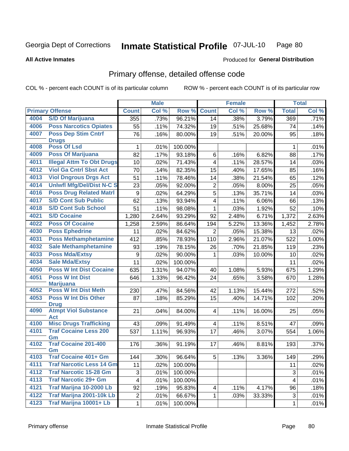#### Inmate Statistical Profile 07-JUL-10 Page 80

**All Active Inmates** 

### Produced for General Distribution

## Primary offense, detailed offense code

COL % - percent each COUNT is of its particular column

|      |                                            |                         | <b>Male</b> |         |                         | <b>Female</b> |        |              | <b>Total</b> |
|------|--------------------------------------------|-------------------------|-------------|---------|-------------------------|---------------|--------|--------------|--------------|
|      | <b>Primary Offense</b>                     | <b>Count</b>            | Col %       | Row %   | <b>Count</b>            | Col %         | Row %  | <b>Total</b> | Col %        |
| 4004 | <b>S/D Of Marijuana</b>                    | 355                     | .73%        | 96.21%  | 14                      | .38%          | 3.79%  | 369          | .71%         |
| 4006 | <b>Poss Narcotics Opiates</b>              | 55                      | .11%        | 74.32%  | 19                      | .51%          | 25.68% | 74           | .14%         |
| 4007 | <b>Poss Dep Stim Cntrf</b>                 | 76                      | .16%        | 80.00%  | 19                      | .51%          | 20.00% | 95           | .18%         |
|      | <b>Drugs</b>                               |                         |             |         |                         |               |        |              |              |
| 4008 | <b>Poss Of Lsd</b>                         | 1                       | .01%        | 100.00% |                         |               |        | 1            | .01%         |
| 4009 | <b>Poss Of Marijuana</b>                   | 82                      | .17%        | 93.18%  | $\,6\,$                 | .16%          | 6.82%  | 88           | .17%         |
| 4011 | <b>Illegal Attm To Obt Drugs</b>           | 10                      | .02%        | 71.43%  | $\overline{\mathbf{4}}$ | .11%          | 28.57% | 14           | .03%         |
| 4012 | <b>Viol Ga Cntrl Sbst Act</b>              | 70                      | .14%        | 82.35%  | 15                      | .40%          | 17.65% | 85           | .16%         |
| 4013 | <b>Viol Dngrous Drgs Act</b>               | 51                      | .11%        | 78.46%  | 14                      | .38%          | 21.54% | 65           | .12%         |
| 4014 | <b>Uniwfl Mfg/Del/Dist N-C S</b>           | 23                      | .05%        | 92.00%  | $\overline{2}$          | .05%          | 8.00%  | 25           | .05%         |
| 4016 | <b>Poss Drug Related Matri</b>             | 9                       | .02%        | 64.29%  | $\overline{5}$          | .13%          | 35.71% | 14           | .03%         |
| 4017 | <b>S/D Cont Sub Public</b>                 | 62                      | .13%        | 93.94%  | $\overline{4}$          | .11%          | 6.06%  | 66           | .13%         |
| 4018 | <b>S/D Cont Sub School</b>                 | 51                      | .11%        | 98.08%  | 1                       | .03%          | 1.92%  | 52           | .10%         |
| 4021 | <b>S/D Cocaine</b>                         | 1,280                   | 2.64%       | 93.29%  | 92                      | 2.48%         | 6.71%  | 1,372        | 2.63%        |
| 4022 | <b>Poss Of Cocaine</b>                     | 1,258                   | 2.59%       | 86.64%  | 194                     | 5.22%         | 13.36% | 1,452        | 2.78%        |
| 4030 | <b>Poss Ephedrine</b>                      | 11                      | .02%        | 84.62%  | $\overline{2}$          | .05%          | 15.38% | 13           | .02%         |
| 4031 | <b>Poss Methamphetamine</b>                | 412                     | .85%        | 78.93%  | 110                     | 2.96%         | 21.07% | 522          | 1.00%        |
| 4032 | <b>Sale Methamphetamine</b>                | 93                      | .19%        | 78.15%  | 26                      | .70%          | 21.85% | 119          | .23%         |
| 4033 | <b>Poss Mda/Extsy</b>                      | 9                       | .02%        | 90.00%  | 1                       | .03%          | 10.00% | 10           | .02%         |
| 4034 | <b>Sale Mda/Extsy</b>                      | 11                      | .02%        | 100.00% |                         |               |        | 11           | .02%         |
| 4050 | <b>Poss W Int Dist Cocaine</b>             | 635                     | 1.31%       | 94.07%  | 40                      | 1.08%         | 5.93%  | 675          | 1.29%        |
| 4051 | <b>Poss W Int Dist</b>                     | 646                     | 1.33%       | 96.42%  | 24                      | .65%          | 3.58%  | 670          | 1.28%        |
|      | <b>Marijuana</b>                           |                         |             |         |                         |               |        |              |              |
| 4052 | <b>Poss W Int Dist Meth</b>                | 230                     | .47%        | 84.56%  | 42                      | 1.13%         | 15.44% | 272          | .52%         |
| 4053 | <b>Poss W Int Dis Other</b>                | 87                      | .18%        | 85.29%  | 15                      | .40%          | 14.71% | 102          | .20%         |
| 4090 | <b>Drug</b><br><b>Atmpt Viol Substance</b> | 21                      | .04%        | 84.00%  | $\overline{\mathbf{4}}$ | .11%          | 16.00% | 25           | .05%         |
|      | <b>Act</b>                                 |                         |             |         |                         |               |        |              |              |
| 4100 | <b>Misc Drugs Trafficking</b>              | 43                      | .09%        | 91.49%  | 4 <sup>1</sup>          | .11%          | 8.51%  | 47           | .09%         |
| 4101 | <b>Traf Cocaine Less 200</b>               | 537                     | 1.11%       | 96.93%  | 17                      | .46%          | 3.07%  | 554          | 1.06%        |
|      | Gm                                         |                         |             |         |                         |               |        |              |              |
| 4102 | <b>Traf Cocaine 201-400</b>                | 176                     | .36%        | 91.19%  | 17                      | .46%          | 8.81%  | 193          | .37%         |
| 4103 | Gm<br><b>Traf Cocaine 401+ Gm</b>          |                         |             |         |                         |               |        |              |              |
| 4111 | <b>Traf Narcotic Less 14 Gm</b>            | 144                     | .30%        | 96.64%  | 5                       | .13%          | 3.36%  | 149          | .29%         |
| 4112 | <b>Traf Narcotic 15-28 Gm</b>              | 11                      | .02%        | 100.00% |                         |               |        | 11           | .02%         |
|      | <b>Traf Narcotic 29+ Gm</b>                | 3                       | .01%        | 100.00% |                         |               |        | 3            | .01%         |
| 4113 |                                            | $\overline{\mathbf{4}}$ | .01%        | 100.00% |                         |               |        | 4            | .01%         |
| 4121 | Traf Marijna 10-2000 Lb                    | 92                      | .19%        | 95.83%  | 4                       | .11%          | 4.17%  | 96           | .18%         |
| 4122 | Traf Marijna 2001-10k Lb                   | $\overline{c}$          | .01%        | 66.67%  | 1                       | .03%          | 33.33% | 3            | .01%         |
| 4123 | Traf Marijna 10001+ Lb                     | $\mathbf{1}$            | .01%        | 100.00% |                         |               |        | $\mathbf{1}$ | .01%         |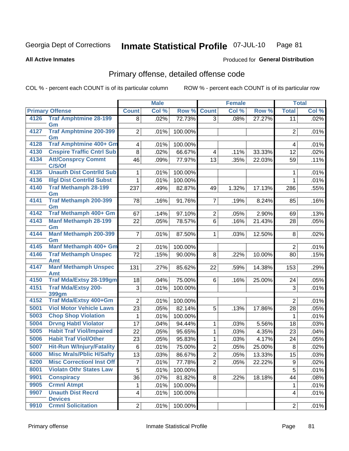#### Inmate Statistical Profile 07-JUL-10 Page 81

### **All Active Inmates**

### **Produced for General Distribution**

## Primary offense, detailed offense code

COL % - percent each COUNT is of its particular column

|      |                                     |                         | <b>Male</b> |                   |                | <b>Female</b> |        |                | <b>Total</b> |
|------|-------------------------------------|-------------------------|-------------|-------------------|----------------|---------------|--------|----------------|--------------|
|      | <b>Primary Offense</b>              | <b>Count</b>            | Col %       | Row %             | <b>Count</b>   | Col %         | Row %  | <b>Total</b>   | Col %        |
| 4126 | <b>Traf Amphtmine 28-199</b>        | 8                       | .02%        | 72.73%            | 3              | .08%          | 27.27% | 11             | .02%         |
|      | Gm                                  |                         |             |                   |                |               |        |                |              |
| 4127 | <b>Traf Amphtmine 200-399</b><br>Gm | $\overline{2}$          | .01%        | 100.00%           |                |               |        | $\overline{2}$ | .01%         |
| 4128 | Traf Amphtmine 400+ Gm              | $\overline{4}$          | .01%        | 100.00%           |                |               |        | 4              | .01%         |
| 4130 | <b>Cnspire Traffic Cntrl Sub</b>    | 8                       | .02%        | 66.67%            | 4              | .11%          | 33.33% | 12             | .02%         |
| 4134 | <b>Att/Consprcy Commt</b>           | 46                      | .09%        | 77.97%            | 13             | .35%          | 22.03% | 59             | .11%         |
|      | C/S/Of                              |                         |             |                   |                |               |        |                |              |
| 4135 | <b>Unauth Dist Contrild Sub</b>     | 1                       | .01%        | 100.00%           |                |               |        | 1              | .01%         |
| 4136 | <b>Illgl Dist Contrild Subst</b>    | 1                       | .01%        | 100.00%           |                |               |        | 1              | .01%         |
| 4140 | <b>Traf Methamph 28-199</b>         | 237                     | .49%        | 82.87%            | 49             | 1.32%         | 17.13% | 286            | .55%         |
| 4141 | Gm<br>Traf Methamph 200-399         |                         |             |                   |                |               |        |                |              |
|      | Gm                                  | 78                      | .16%        | 91.76%            | $\overline{7}$ | .19%          | 8.24%  | 85             | .16%         |
| 4142 | Traf Methamph 400+ Gm               | 67                      | .14%        | 97.10%            | $\overline{2}$ | .05%          | 2.90%  | 69             | .13%         |
| 4143 | <b>Manf Methamph 28-199</b>         | 22                      | .05%        | 78.57%            | 6              | .16%          | 21.43% | 28             | .05%         |
|      | Gm                                  |                         |             |                   |                |               |        |                |              |
| 4144 | <b>Manf Methamph 200-399</b>        | $\overline{7}$          | .01%        | 87.50%            | $\mathbf 1$    | .03%          | 12.50% | 8              | .02%         |
| 4145 | Gm<br><b>Manf Methamph 400+ Gm</b>  | $\overline{2}$          |             |                   |                |               |        | $\overline{2}$ | .01%         |
| 4146 | <b>Traf Methamph Unspec</b>         | 72                      | .01%        | 100.00%<br>90.00% | 8              | .22%          |        |                | .15%         |
|      | Amt                                 |                         | .15%        |                   |                |               | 10.00% | 80             |              |
| 4147 | <b>Manf Methamph Unspec</b>         | 131                     | .27%        | 85.62%            | 22             | .59%          | 14.38% | 153            | .29%         |
|      | Amt                                 |                         |             |                   |                |               |        |                |              |
| 4150 | <b>Traf Mda/Extsy 28-199gm</b>      | 18                      | .04%        | 75.00%            | 6              | .16%          | 25.00% | 24             | .05%         |
| 4151 | <b>Traf Mda/Extsy 200-</b>          | 3                       | .01%        | 100.00%           |                |               |        | 3              | .01%         |
| 4152 | 399gm<br>Traf Mda/Extsy 400+Gm      | $\overline{2}$          | .01%        | 100.00%           |                |               |        | $\overline{2}$ | .01%         |
| 5001 | <b>Viol Motor Vehicle Laws</b>      | 23                      | .05%        | 82.14%            | 5              | .13%          | 17.86% | 28             | .05%         |
| 5003 | <b>Chop Shop Violation</b>          | 1                       | .01%        | 100.00%           |                |               |        | 1              | .01%         |
| 5004 | <b>Drvng Habtl Violator</b>         | 17                      | .04%        | 94.44%            | $\mathbf{1}$   | .03%          | 5.56%  | 18             | .03%         |
| 5005 | <b>Habit Traf Viol/Impaired</b>     | 22                      | .05%        | 95.65%            | $\mathbf{1}$   | .03%          | 4.35%  | 23             | .04%         |
| 5006 | <b>Habit Traf Viol/Other</b>        | 23                      | .05%        | 95.83%            | $\mathbf{1}$   | .03%          | 4.17%  | 24             | .05%         |
| 5007 | <b>Hit-Run W/Injury/Fatality</b>    | 6                       | .01%        | 75.00%            | $\overline{2}$ | .05%          | 25.00% | $\bf 8$        | .02%         |
| 6000 | <b>Misc Mrals/Pblic H/Safty</b>     | 13                      | .03%        | 86.67%            | $\overline{2}$ | .05%          | 13.33% | 15             | .03%         |
| 6200 | <b>Misc CorrectionI Inst Off</b>    | $\overline{7}$          | .01%        | 77.78%            | $\overline{2}$ | .05%          | 22.22% | 9              | .02%         |
| 8001 | <b>Violatn Othr States Law</b>      | 5                       | .01%        | 100.00%           |                |               |        | 5              | .01%         |
| 9901 | <b>Conspiracy</b>                   | 36                      | .07%        | 81.82%            | 8              | .22%          | 18.18% | 44             | .08%         |
| 9905 | <b>Crmnl Atmpt</b>                  | 1                       | .01%        | 100.00%           |                |               |        | $\mathbf{1}$   | .01%         |
| 9907 | <b>Unauth Dist Recrd</b>            | $\overline{\mathbf{4}}$ | .01%        | 100.00%           |                |               |        | 4              | .01%         |
|      | <b>Devices</b>                      |                         |             |                   |                |               |        |                |              |
| 9910 | <b>Crmnl Solicitation</b>           | $\overline{2}$          | .01%        | 100.00%           |                |               |        | $\overline{2}$ | $.01\%$      |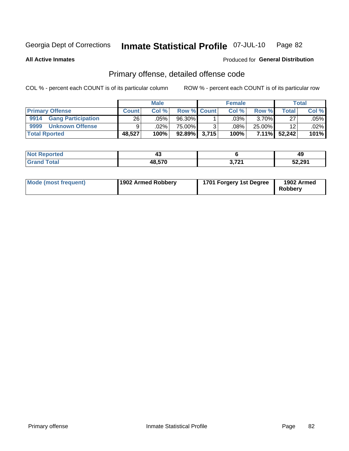#### Inmate Statistical Profile 07-JUL-10 Page 82

**All Active Inmates** 

### Produced for General Distribution

## Primary offense, detailed offense code

COL % - percent each COUNT is of its particular column

|                                   |              | <b>Male</b>        |                    |       | <b>Female</b> |          |        | Total   |
|-----------------------------------|--------------|--------------------|--------------------|-------|---------------|----------|--------|---------|
| <b>Primary Offense</b>            | <b>Count</b> | Col %              | <b>Row % Count</b> |       | Col %         | Row %    | Total  | Col %   |
| 9914<br><b>Gang Participation</b> | 261          | $.05\%$ $^{\circ}$ | 96.30%             |       | .03%          | $3.70\%$ | 27     | $.05\%$ |
| 9999<br><b>Unknown Offense</b>    | 9.           | .02%               | 75.00%             |       | .08%          | 25.00%   | 12     | $.02\%$ |
| <b>Total Rported</b>              | 48,527       | 100%               | 92.89%             | 3,715 | 100%          | $7.11\%$ | 52.242 | 101%    |

| <b>Reported</b><br>NOI | 4.           |             | 43     |
|------------------------|--------------|-------------|--------|
| <b>otal</b>            | <b>18570</b> | 2.724<br>u. | 52,291 |

| Mode (most frequent) | 1902 Armed Robbery | 1701 Forgery 1st Degree | 1902 Armed<br><b>Robbery</b> |
|----------------------|--------------------|-------------------------|------------------------------|
|----------------------|--------------------|-------------------------|------------------------------|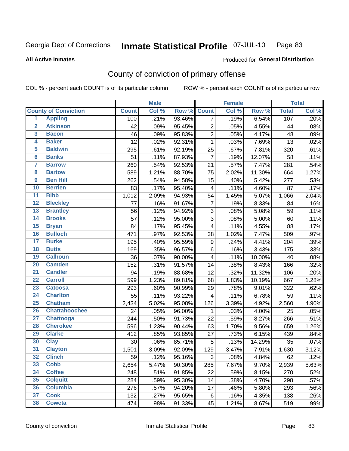#### **Inmate Statistical Profile 07-JUL-10** Page 83

**All Active Inmates** 

### **Produced for General Distribution**

## County of conviction of primary offense

COL % - percent each COUNT is of its particular column

|                         |                             |              | <b>Male</b> |        |                | <b>Female</b> |        |              | <b>Total</b> |
|-------------------------|-----------------------------|--------------|-------------|--------|----------------|---------------|--------|--------------|--------------|
|                         | <b>County of Conviction</b> | <b>Count</b> | Col %       | Row %  | <b>Count</b>   | Col %         | Row %  | <b>Total</b> | Col %        |
| 1                       | <b>Appling</b>              | 100          | .21%        | 93.46% | 7              | .19%          | 6.54%  | 107          | .20%         |
| $\overline{2}$          | <b>Atkinson</b>             | 42           | .09%        | 95.45% | $\overline{2}$ | .05%          | 4.55%  | 44           | .08%         |
| $\overline{\mathbf{3}}$ | <b>Bacon</b>                | 46           | .09%        | 95.83% | $\overline{2}$ | .05%          | 4.17%  | 48           | .09%         |
| $\overline{4}$          | <b>Baker</b>                | 12           | .02%        | 92.31% | $\mathbf{1}$   | .03%          | 7.69%  | 13           | .02%         |
| 5                       | <b>Baldwin</b>              | 295          | .61%        | 92.19% | 25             | .67%          | 7.81%  | 320          | .61%         |
| 6                       | <b>Banks</b>                | 51           | .11%        | 87.93% | $\overline{7}$ | .19%          | 12.07% | 58           | .11%         |
| 7                       | <b>Barrow</b>               | 260          | .54%        | 92.53% | 21             | .57%          | 7.47%  | 281          | .54%         |
| $\overline{\mathbf{8}}$ | <b>Bartow</b>               | 589          | 1.21%       | 88.70% | 75             | 2.02%         | 11.30% | 664          | 1.27%        |
| $\overline{9}$          | <b>Ben Hill</b>             | 262          | .54%        | 94.58% | 15             | .40%          | 5.42%  | 277          | .53%         |
| 10                      | <b>Berrien</b>              | 83           | .17%        | 95.40% | 4              | .11%          | 4.60%  | 87           | .17%         |
| $\overline{11}$         | <b>Bibb</b>                 | 1,012        | 2.09%       | 94.93% | 54             | 1.45%         | 5.07%  | 1,066        | 2.04%        |
| $\overline{12}$         | <b>Bleckley</b>             | 77           | .16%        | 91.67% | $\overline{7}$ | .19%          | 8.33%  | 84           | .16%         |
| $\overline{13}$         | <b>Brantley</b>             | 56           | .12%        | 94.92% | 3              | .08%          | 5.08%  | 59           | .11%         |
| $\overline{14}$         | <b>Brooks</b>               | 57           | .12%        | 95.00% | $\overline{3}$ | .08%          | 5.00%  | 60           | .11%         |
| $\overline{15}$         | <b>Bryan</b>                | 84           | .17%        | 95.45% | 4              | .11%          | 4.55%  | 88           | .17%         |
| 16                      | <b>Bulloch</b>              | 471          | .97%        | 92.53% | 38             | 1.02%         | 7.47%  | 509          | .97%         |
| $\overline{17}$         | <b>Burke</b>                | 195          | .40%        | 95.59% | 9              | .24%          | 4.41%  | 204          | .39%         |
| $\overline{18}$         | <b>Butts</b>                | 169          | .35%        | 96.57% | 6              | .16%          | 3.43%  | 175          | .33%         |
| 19                      | <b>Calhoun</b>              | 36           | .07%        | 90.00% | 4              | .11%          | 10.00% | 40           | .08%         |
| $\overline{20}$         | <b>Camden</b>               | 152          | .31%        | 91.57% | 14             | .38%          | 8.43%  | 166          | .32%         |
| $\overline{21}$         | <b>Candler</b>              | 94           | .19%        | 88.68% | 12             | .32%          | 11.32% | 106          | .20%         |
| $\overline{22}$         | <b>Carroll</b>              | 599          | 1.23%       | 89.81% | 68             | 1.83%         | 10.19% | 667          | 1.28%        |
| 23                      | <b>Catoosa</b>              | 293          | .60%        | 90.99% | 29             | .78%          | 9.01%  | 322          | .62%         |
| $\overline{24}$         | <b>Charlton</b>             | 55           | .11%        | 93.22% | 4              | .11%          | 6.78%  | 59           | .11%         |
| $\overline{25}$         | <b>Chatham</b>              | 2,434        | 5.02%       | 95.08% | 126            | 3.39%         | 4.92%  | 2,560        | 4.90%        |
| 26                      | <b>Chattahoochee</b>        | 24           | .05%        | 96.00% | 1              | .03%          | 4.00%  | 25           | .05%         |
| $\overline{27}$         | <b>Chattooga</b>            | 244          | .50%        | 91.73% | 22             | .59%          | 8.27%  | 266          | .51%         |
| 28                      | <b>Cherokee</b>             | 596          | 1.23%       | 90.44% | 63             | 1.70%         | 9.56%  | 659          | 1.26%        |
| 29                      | <b>Clarke</b>               | 412          | .85%        | 93.85% | 27             | .73%          | 6.15%  | 439          | .84%         |
| 30                      | <b>Clay</b>                 | 30           | .06%        | 85.71% | 5              | .13%          | 14.29% | 35           | .07%         |
| $\overline{31}$         | <b>Clayton</b>              | 1,501        | 3.09%       | 92.09% | 129            | 3.47%         | 7.91%  | 1,630        | 3.12%        |
| 32                      | <b>Clinch</b>               | 59           | $.12\%$     | 95.16% | 3              | .08%          | 4.84%  | 62           | .12%         |
| 33                      | <b>Cobb</b>                 | 2,654        | 5.47%       | 90.30% | 285            | 7.67%         | 9.70%  | 2,939        | 5.63%        |
| 34                      | <b>Coffee</b>               | 248          | .51%        | 91.85% | 22             | .59%          | 8.15%  | 270          | .52%         |
| 35                      | <b>Colquitt</b>             | 284          | .59%        | 95.30% | 14             | .38%          | 4.70%  | 298          | .57%         |
| 36                      | <b>Columbia</b>             | 276          | .57%        | 94.20% | 17             | .46%          | 5.80%  | 293          | .56%         |
| 37                      | <b>Cook</b>                 | 132          | .27%        | 95.65% | 6              | .16%          | 4.35%  | 138          | .26%         |
| 38                      | <b>Coweta</b>               | 474          | .98%        | 91.33% | 45             | 1.21%         | 8.67%  | 519          | .99%         |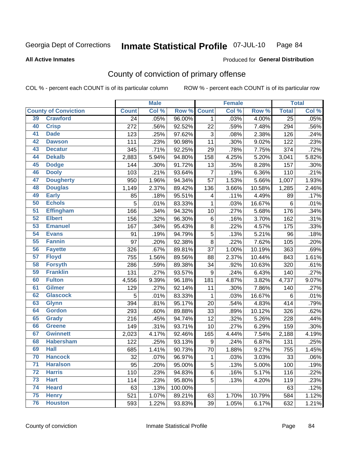#### Inmate Statistical Profile 07-JUL-10 Page 84

#### **All Active Inmates**

### Produced for General Distribution

## County of conviction of primary offense

COL % - percent each COUNT is of its particular column

|    |                             |                 | <b>Male</b> |         |                  | <b>Female</b> |        |                 | <b>Total</b> |
|----|-----------------------------|-----------------|-------------|---------|------------------|---------------|--------|-----------------|--------------|
|    | <b>County of Conviction</b> | <b>Count</b>    | Col %       | Row %   | <b>Count</b>     | Col %         | Row %  | <b>Total</b>    | Col %        |
| 39 | <b>Crawford</b>             | $\overline{24}$ | .05%        | 96.00%  | 1                | .03%          | 4.00%  | $\overline{25}$ | .05%         |
| 40 | <b>Crisp</b>                | 272             | .56%        | 92.52%  | 22               | .59%          | 7.48%  | 294             | .56%         |
| 41 | <b>Dade</b>                 | 123             | .25%        | 97.62%  | 3                | .08%          | 2.38%  | 126             | .24%         |
| 42 | <b>Dawson</b>               | 111             | .23%        | 90.98%  | 11               | .30%          | 9.02%  | 122             | .23%         |
| 43 | <b>Decatur</b>              | 345             | .71%        | 92.25%  | 29               | .78%          | 7.75%  | 374             | .72%         |
| 44 | <b>Dekalb</b>               | 2,883           | 5.94%       | 94.80%  | 158              | 4.25%         | 5.20%  | 3,041           | 5.82%        |
| 45 | <b>Dodge</b>                | 144             | .30%        | 91.72%  | 13               | .35%          | 8.28%  | 157             | .30%         |
| 46 | <b>Dooly</b>                | 103             | .21%        | 93.64%  | $\overline{7}$   | .19%          | 6.36%  | 110             | .21%         |
| 47 | <b>Dougherty</b>            | 950             | 1.96%       | 94.34%  | 57               | 1.53%         | 5.66%  | 1,007           | 1.93%        |
| 48 | <b>Douglas</b>              | 1,149           | 2.37%       | 89.42%  | 136              | 3.66%         | 10.58% | 1,285           | 2.46%        |
| 49 | <b>Early</b>                | 85              | .18%        | 95.51%  | 4                | .11%          | 4.49%  | 89              | .17%         |
| 50 | <b>Echols</b>               | 5               | .01%        | 83.33%  | 1                | .03%          | 16.67% | 6               | .01%         |
| 51 | <b>Effingham</b>            | 166             | .34%        | 94.32%  | 10               | .27%          | 5.68%  | 176             | .34%         |
| 52 | <b>Elbert</b>               | 156             | .32%        | 96.30%  | 6                | .16%          | 3.70%  | 162             | .31%         |
| 53 | <b>Emanuel</b>              | 167             | .34%        | 95.43%  | 8                | .22%          | 4.57%  | 175             | .33%         |
| 54 | <b>Evans</b>                | 91              | .19%        | 94.79%  | 5                | .13%          | 5.21%  | 96              | .18%         |
| 55 | <b>Fannin</b>               | 97              | .20%        | 92.38%  | 8                | .22%          | 7.62%  | 105             | .20%         |
| 56 | <b>Fayette</b>              | 326             | .67%        | 89.81%  | 37               | 1.00%         | 10.19% | 363             | .69%         |
| 57 | <b>Floyd</b>                | 755             | 1.56%       | 89.56%  | 88               | 2.37%         | 10.44% | 843             | 1.61%        |
| 58 | <b>Forsyth</b>              | 286             | .59%        | 89.38%  | 34               | .92%          | 10.63% | 320             | .61%         |
| 59 | <b>Franklin</b>             | 131             | .27%        | 93.57%  | $\boldsymbol{9}$ | .24%          | 6.43%  | 140             | .27%         |
| 60 | <b>Fulton</b>               | 4,556           | 9.39%       | 96.18%  | 181              | 4.87%         | 3.82%  | 4,737           | 9.07%        |
| 61 | Gilmer                      | 129             | .27%        | 92.14%  | 11               | .30%          | 7.86%  | 140             | .27%         |
| 62 | <b>Glascock</b>             | 5               | .01%        | 83.33%  | $\mathbf{1}$     | .03%          | 16.67% | 6               | .01%         |
| 63 | <b>Glynn</b>                | 394             | .81%        | 95.17%  | 20               | .54%          | 4.83%  | 414             | .79%         |
| 64 | <b>Gordon</b>               | 293             | .60%        | 89.88%  | 33               | .89%          | 10.12% | 326             | .62%         |
| 65 | <b>Grady</b>                | 216             | .45%        | 94.74%  | 12               | .32%          | 5.26%  | 228             | .44%         |
| 66 | <b>Greene</b>               | 149             | .31%        | 93.71%  | 10               | .27%          | 6.29%  | 159             | .30%         |
| 67 | <b>Gwinnett</b>             | 2,023           | 4.17%       | 92.46%  | 165              | 4.44%         | 7.54%  | 2,188           | 4.19%        |
| 68 | <b>Habersham</b>            | 122             | .25%        | 93.13%  | $\boldsymbol{9}$ | .24%          | 6.87%  | 131             | .25%         |
| 69 | <b>Hall</b>                 | 685             | 1.41%       | 90.73%  | 70               | 1.88%         | 9.27%  | 755             | 1.45%        |
| 70 | <b>Hancock</b>              | 32              | $.07\%$     | 96.97%  | 1                | .03%          | 3.03%  | 33              | .06%         |
| 71 | <b>Haralson</b>             | 95              | .20%        | 95.00%  | 5                | .13%          | 5.00%  | 100             | .19%         |
| 72 | <b>Harris</b>               | 110             | .23%        | 94.83%  | $\,6\,$          | .16%          | 5.17%  | 116             | .22%         |
| 73 | <b>Hart</b>                 | 114             | .23%        | 95.80%  | 5                | .13%          | 4.20%  | 119             | .23%         |
| 74 | <b>Heard</b>                | 63              | .13%        | 100.00% |                  |               |        | 63              | .12%         |
| 75 | <b>Henry</b>                | 521             | 1.07%       | 89.21%  | 63               | 1.70%         | 10.79% | 584             | 1.12%        |
| 76 | <b>Houston</b>              | 593             | 1.22%       | 93.83%  | 39               | 1.05%         | 6.17%  | 632             | 1.21%        |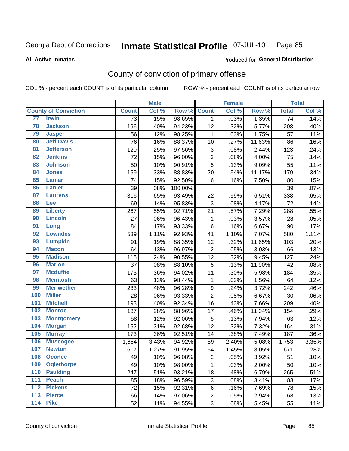#### Inmate Statistical Profile 07-JUL-10 Page 85

#### **All Active Inmates**

## **Produced for General Distribution**

## County of conviction of primary offense

COL % - percent each COUNT is of its particular column

|                   |                             |                 | <b>Male</b> |         |                  | <b>Female</b> |        |                 | <b>Total</b> |
|-------------------|-----------------------------|-----------------|-------------|---------|------------------|---------------|--------|-----------------|--------------|
|                   | <b>County of Conviction</b> | <b>Count</b>    | Col %       | Row %   | <b>Count</b>     | Col %         | Row %  | <b>Total</b>    | Col %        |
| 77                | <b>Irwin</b>                | $\overline{73}$ | .15%        | 98.65%  | $\mathbf{1}$     | .03%          | 1.35%  | $\overline{74}$ | .14%         |
| 78                | <b>Jackson</b>              | 196             | .40%        | 94.23%  | 12               | .32%          | 5.77%  | 208             | .40%         |
| 79                | <b>Jasper</b>               | 56              | .12%        | 98.25%  | 1                | .03%          | 1.75%  | 57              | .11%         |
| 80                | <b>Jeff Davis</b>           | 76              | .16%        | 88.37%  | 10               | .27%          | 11.63% | 86              | .16%         |
| $\overline{81}$   | <b>Jefferson</b>            | 120             | .25%        | 97.56%  | 3                | .08%          | 2.44%  | 123             | .24%         |
| 82                | <b>Jenkins</b>              | 72              | .15%        | 96.00%  | $\mathfrak{S}$   | .08%          | 4.00%  | 75              | .14%         |
| 83                | <b>Johnson</b>              | 50              | .10%        | 90.91%  | $\overline{5}$   | .13%          | 9.09%  | 55              | .11%         |
| 84                | <b>Jones</b>                | 159             | .33%        | 88.83%  | 20               | .54%          | 11.17% | 179             | .34%         |
| 85                | <b>Lamar</b>                | 74              | .15%        | 92.50%  | $6\phantom{1}$   | .16%          | 7.50%  | 80              | .15%         |
| 86                | <b>Lanier</b>               | 39              | .08%        | 100.00% |                  |               |        | 39              | .07%         |
| 87                | <b>Laurens</b>              | 316             | .65%        | 93.49%  | 22               | .59%          | 6.51%  | 338             | .65%         |
| 88                | Lee                         | 69              | .14%        | 95.83%  | 3                | .08%          | 4.17%  | 72              | .14%         |
| 89                | <b>Liberty</b>              | 267             | .55%        | 92.71%  | 21               | .57%          | 7.29%  | 288             | .55%         |
| 90                | <b>Lincoln</b>              | 27              | .06%        | 96.43%  | 1                | .03%          | 3.57%  | 28              | .05%         |
| 91                | Long                        | 84              | .17%        | 93.33%  | 6                | .16%          | 6.67%  | 90              | .17%         |
| 92                | <b>Lowndes</b>              | 539             | 1.11%       | 92.93%  | 41               | 1.10%         | 7.07%  | 580             | 1.11%        |
| 93                | <b>Lumpkin</b>              | 91              | .19%        | 88.35%  | 12               | .32%          | 11.65% | 103             | .20%         |
| 94                | <b>Macon</b>                | 64              | .13%        | 96.97%  | $\boldsymbol{2}$ | .05%          | 3.03%  | 66              | .13%         |
| 95                | <b>Madison</b>              | 115             | .24%        | 90.55%  | 12               | .32%          | 9.45%  | 127             | .24%         |
| 96                | <b>Marion</b>               | 37              | .08%        | 88.10%  | $\overline{5}$   | .13%          | 11.90% | 42              | .08%         |
| 97                | <b>Mcduffie</b>             | 173             | .36%        | 94.02%  | 11               | .30%          | 5.98%  | 184             | .35%         |
| 98                | <b>Mcintosh</b>             | 63              | .13%        | 98.44%  | 1                | .03%          | 1.56%  | 64              | .12%         |
| 99                | <b>Meriwether</b>           | 233             | .48%        | 96.28%  | $\boldsymbol{9}$ | .24%          | 3.72%  | 242             | .46%         |
| 100               | <b>Miller</b>               | 28              | .06%        | 93.33%  | $\overline{2}$   | .05%          | 6.67%  | 30              | .06%         |
| 101               | <b>Mitchell</b>             | 193             | .40%        | 92.34%  | 16               | .43%          | 7.66%  | 209             | .40%         |
| 102               | <b>Monroe</b>               | 137             | .28%        | 88.96%  | 17               | .46%          | 11.04% | 154             | .29%         |
| 103               | <b>Montgomery</b>           | 58              | .12%        | 92.06%  | $\overline{5}$   | .13%          | 7.94%  | 63              | .12%         |
| 104               | <b>Morgan</b>               | 152             | .31%        | 92.68%  | 12               | .32%          | 7.32%  | 164             | .31%         |
| 105               | <b>Murray</b>               | 173             | .36%        | 92.51%  | 14               | .38%          | 7.49%  | 187             | .36%         |
| 106               | <b>Muscogee</b>             | 1,664           | 3.43%       | 94.92%  | 89               | 2.40%         | 5.08%  | 1,753           | 3.36%        |
| 107               | <b>Newton</b>               | 617             | 1.27%       | 91.95%  | 54               | 1.45%         | 8.05%  | 671             | 1.28%        |
| 108               | <b>Oconee</b>               | 49              | .10%        | 96.08%  | $\overline{c}$   | .05%          | 3.92%  | 51              | .10%         |
| 109               | <b>Oglethorpe</b>           | 49              | .10%        | 98.00%  | $\mathbf 1$      | .03%          | 2.00%  | 50              | .10%         |
| 110               | <b>Paulding</b>             | 247             | .51%        | 93.21%  | 18               | .48%          | 6.79%  | 265             | .51%         |
| 111               | <b>Peach</b>                | 85              | .18%        | 96.59%  | 3                | .08%          | 3.41%  | 88              | .17%         |
| 112               | <b>Pickens</b>              | 72              | .15%        | 92.31%  | 6                | .16%          | 7.69%  | 78              | .15%         |
| 113               | <b>Pierce</b>               | 66              | .14%        | 97.06%  | $\overline{2}$   | .05%          | 2.94%  | 68              | .13%         |
| $\frac{114}{114}$ | <b>Pike</b>                 | 52              | .11%        | 94.55%  | 3                | .08%          | 5.45%  | 55              | .11%         |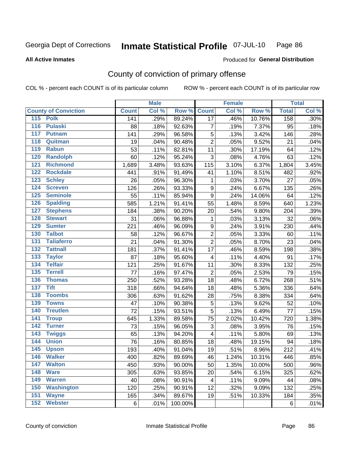#### Inmate Statistical Profile 07-JUL-10 Page 86

#### **All Active Inmates**

## **Produced for General Distribution**

## County of conviction of primary offense

COL % - percent each COUNT is of its particular column

|                                    |              | <b>Male</b> |         |                         | <b>Female</b> |        |              | <b>Total</b> |
|------------------------------------|--------------|-------------|---------|-------------------------|---------------|--------|--------------|--------------|
| <b>County of Conviction</b>        | <b>Count</b> | Col %       | Row %   | <b>Count</b>            | Col %         | Row %  | <b>Total</b> | Col %        |
| 115 Polk                           | 141          | .29%        | 89.24%  | $\overline{17}$         | .46%          | 10.76% | 158          | .30%         |
| <b>Pulaski</b><br>116              | 88           | .18%        | 92.63%  | $\overline{7}$          | .19%          | 7.37%  | 95           | .18%         |
| 117<br><b>Putnam</b>               | 141          | .29%        | 96.58%  | 5                       | .13%          | 3.42%  | 146          | .28%         |
| 118<br>Quitman                     | 19           | .04%        | 90.48%  | $\overline{2}$          | .05%          | 9.52%  | 21           | .04%         |
| 119<br><b>Rabun</b>                | 53           | .11%        | 82.81%  | 11                      | .30%          | 17.19% | 64           | .12%         |
| 120<br><b>Randolph</b>             | 60           | .12%        | 95.24%  | 3                       | .08%          | 4.76%  | 63           | .12%         |
| 121<br><b>Richmond</b>             | 1,689        | 3.48%       | 93.63%  | 115                     | 3.10%         | 6.37%  | 1,804        | 3.45%        |
| 122<br><b>Rockdale</b>             | 441          | .91%        | 91.49%  | 41                      | 1.10%         | 8.51%  | 482          | .92%         |
| 123<br><b>Schley</b>               | 26           | .05%        | 96.30%  | $\mathbf{1}$            | .03%          | 3.70%  | 27           | .05%         |
| $\overline{124}$<br><b>Screven</b> | 126          | .26%        | 93.33%  | 9                       | .24%          | 6.67%  | 135          | .26%         |
| 125<br><b>Seminole</b>             | 55           | .11%        | 85.94%  | $\mathsf g$             | .24%          | 14.06% | 64           | .12%         |
| <b>Spalding</b><br>126             | 585          | 1.21%       | 91.41%  | 55                      | 1.48%         | 8.59%  | 640          | 1.23%        |
| 127<br><b>Stephens</b>             | 184          | .38%        | 90.20%  | 20                      | .54%          | 9.80%  | 204          | .39%         |
| 128<br><b>Stewart</b>              | 31           | .06%        | 96.88%  | $\mathbf{1}$            | .03%          | 3.13%  | 32           | .06%         |
| 129<br><b>Sumter</b>               | 221          | .46%        | 96.09%  | $\boldsymbol{9}$        | .24%          | 3.91%  | 230          | .44%         |
| 130<br><b>Talbot</b>               | 58           | .12%        | 96.67%  | $\overline{c}$          | .05%          | 3.33%  | 60           | .11%         |
| 131<br><b>Taliaferro</b>           | 21           | .04%        | 91.30%  | $\overline{2}$          | .05%          | 8.70%  | 23           | .04%         |
| 132<br><b>Tattnall</b>             | 181          | .37%        | 91.41%  | 17                      | .46%          | 8.59%  | 198          | .38%         |
| 133<br><b>Taylor</b>               | 87           | .18%        | 95.60%  | 4                       | .11%          | 4.40%  | 91           | .17%         |
| <b>Telfair</b><br>134              | 121          | .25%        | 91.67%  | 11                      | .30%          | 8.33%  | 132          | .25%         |
| 135<br><b>Terrell</b>              | 77           | .16%        | 97.47%  | $\overline{2}$          | .05%          | 2.53%  | 79           | .15%         |
| 136<br><b>Thomas</b>               | 250          | .52%        | 93.28%  | 18                      | .48%          | 6.72%  | 268          | .51%         |
| 137<br><b>Tift</b>                 | 318          | .66%        | 94.64%  | 18                      | .48%          | 5.36%  | 336          | .64%         |
| <b>Toombs</b><br>138               | 306          | .63%        | 91.62%  | 28                      | .75%          | 8.38%  | 334          | .64%         |
| 139<br><b>Towns</b>                | 47           | .10%        | 90.38%  | $\sqrt{5}$              | .13%          | 9.62%  | 52           | .10%         |
| 140<br><b>Treutlen</b>             | 72           | .15%        | 93.51%  | 5                       | .13%          | 6.49%  | 77           | .15%         |
| 141<br><b>Troup</b>                | 645          | 1.33%       | 89.58%  | 75                      | 2.02%         | 10.42% | 720          | 1.38%        |
| 142<br><b>Turner</b>               | 73           | .15%        | 96.05%  | 3                       | .08%          | 3.95%  | 76           | .15%         |
| 143<br><b>Twiggs</b>               | 65           | .13%        | 94.20%  | $\overline{\mathbf{4}}$ | .11%          | 5.80%  | 69           | .13%         |
| 144<br><b>Union</b>                | 76           | .16%        | 80.85%  | 18                      | .48%          | 19.15% | 94           | .18%         |
| 145<br><b>Upson</b>                | 193          | .40%        | 91.04%  | 19                      | .51%          | 8.96%  | 212          | .41%         |
| <b>Walker</b><br>146               | 400          | .82%        | 89.69%  | 46                      | 1.24%         | 10.31% | 446          | .85%         |
| <b>Walton</b><br>147               | 450          | .93%        | 90.00%  | 50                      | 1.35%         | 10.00% | 500          | .96%         |
| 148<br><b>Ware</b>                 | 305          | .63%        | 93.85%  | 20                      | .54%          | 6.15%  | 325          | .62%         |
| 149<br><b>Warren</b>               | 40           | .08%        | 90.91%  | 4                       | .11%          | 9.09%  | 44           | .08%         |
| 150<br><b>Washington</b>           | 120          | .25%        | 90.91%  | 12                      | .32%          | 9.09%  | 132          | .25%         |
| 151<br><b>Wayne</b>                | 165          | .34%        | 89.67%  | 19                      | .51%          | 10.33% | 184          | .35%         |
| <b>Webster</b><br>152              | 6            | .01%        | 100.00% |                         |               |        | 6            | .01%         |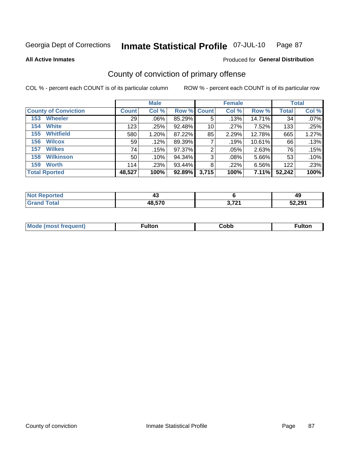#### Inmate Statistical Profile 07-JUL-10 Page 87

**All Active Inmates** 

### **Produced for General Distribution**

## County of conviction of primary offense

COL % - percent each COUNT is of its particular column

|                             |              | <b>Male</b> |                    |       | <b>Female</b> |        |              | <b>Total</b> |
|-----------------------------|--------------|-------------|--------------------|-------|---------------|--------|--------------|--------------|
| <b>County of Conviction</b> | <b>Count</b> | Col %       | <b>Row % Count</b> |       | Col %         | Row %  | <b>Total</b> | Col %        |
| <b>Wheeler</b><br>153       | 29           | $.06\%$     | 85.29%             | 5     | .13%          | 14.71% | 34           | $.07\%$      |
| <b>White</b><br>154         | 123          | .25%        | 92.48%             | 10    | .27%          | 7.52%  | 133          | .25%         |
| <b>Whitfield</b><br>155     | 580          | 1.20%       | 87.22%             | 85    | 2.29%         | 12.78% | 665          | 1.27%        |
| <b>Wilcox</b><br>156        | 59           | .12%        | 89.39%             |       | .19%          | 10.61% | 66           | .13%         |
| <b>Wilkes</b><br>157        | 74           | .15%        | 97.37%             | 2     | .05%          | 2.63%  | 76           | .15%         |
| <b>Wilkinson</b><br>158     | 50           | .10%        | 94.34%             | 3     | .08%          | 5.66%  | 53           | .10%         |
| <b>Worth</b><br>159         | 114          | .23%        | 93.44%             | 8     | .22%          | 6.56%  | 122          | .23%         |
| <b>Total Rported</b>        | 48,527       | 100%        | 92.89%             | 3,715 | 100%          | 7.11%  | 52,242       | 100%         |

| eported<br>'N ( | . .<br>⊸ |       | 49     |
|-----------------|----------|-------|--------|
| Total           | 48,570   | 2.704 | 52,291 |

| <b>Mode</b><br>---<br>luent)<br>nost tren | ™ulton | copp; | Fulto |
|-------------------------------------------|--------|-------|-------|
|                                           |        |       |       |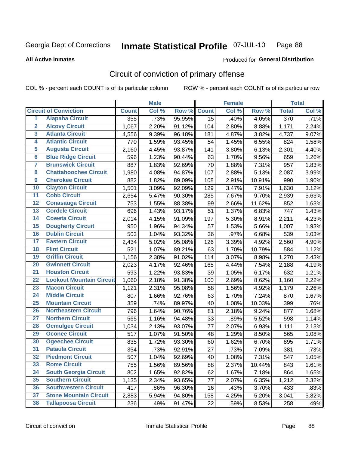#### Inmate Statistical Profile 07-JUL-10 Page 88

#### **All Active Inmates**

## Produced for General Distribution

## Circuit of conviction of primary offense

COL % - percent each COUNT is of its particular column

|                         |                                 |              | <b>Male</b> |        |              | <b>Female</b> |        |                  | <b>Total</b> |
|-------------------------|---------------------------------|--------------|-------------|--------|--------------|---------------|--------|------------------|--------------|
|                         | <b>Circuit of Conviction</b>    | <b>Count</b> | Col %       | Row %  | <b>Count</b> | Col %         | Row %  | <b>Total</b>     | Col %        |
| 1                       | <b>Alapaha Circuit</b>          | 355          | .73%        | 95.95% | 15           | .40%          | 4.05%  | $\overline{370}$ | .71%         |
| $\overline{2}$          | <b>Alcovy Circuit</b>           | 1,067        | 2.20%       | 91.12% | 104          | 2.80%         | 8.88%  | 1,171            | 2.24%        |
| 3                       | <b>Atlanta Circuit</b>          | 4,556        | 9.39%       | 96.18% | 181          | 4.87%         | 3.82%  | 4,737            | 9.07%        |
| 4                       | <b>Atlantic Circuit</b>         | 770          | 1.59%       | 93.45% | 54           | 1.45%         | 6.55%  | 824              | 1.58%        |
| 5                       | <b>Augusta Circuit</b>          | 2,160        | 4.45%       | 93.87% | 141          | 3.80%         | 6.13%  | 2,301            | 4.40%        |
| $6\overline{6}$         | <b>Blue Ridge Circuit</b>       | 596          | 1.23%       | 90.44% | 63           | 1.70%         | 9.56%  | 659              | 1.26%        |
| $\overline{\mathbf{7}}$ | <b>Brunswick Circuit</b>        | 887          | 1.83%       | 92.69% | 70           | 1.88%         | 7.31%  | 957              | 1.83%        |
| 8                       | <b>Chattahoochee Circuit</b>    | 1,980        | 4.08%       | 94.87% | 107          | 2.88%         | 5.13%  | 2,087            | 3.99%        |
| $\overline{9}$          | <b>Cherokee Circuit</b>         | 882          | 1.82%       | 89.09% | 108          | 2.91%         | 10.91% | 990              | 1.90%        |
| 10                      | <b>Clayton Circuit</b>          | 1,501        | 3.09%       | 92.09% | 129          | 3.47%         | 7.91%  | 1,630            | 3.12%        |
| 11                      | <b>Cobb Circuit</b>             | 2,654        | 5.47%       | 90.30% | 285          | 7.67%         | 9.70%  | 2,939            | 5.63%        |
| 12                      | <b>Conasauga Circuit</b>        | 753          | 1.55%       | 88.38% | 99           | 2.66%         | 11.62% | 852              | 1.63%        |
| 13                      | <b>Cordele Circuit</b>          | 696          | 1.43%       | 93.17% | 51           | 1.37%         | 6.83%  | 747              | 1.43%        |
| $\overline{14}$         | <b>Coweta Circuit</b>           | 2,014        | 4.15%       | 91.09% | 197          | 5.30%         | 8.91%  | 2,211            | 4.23%        |
| 15                      | <b>Dougherty Circuit</b>        | 950          | 1.96%       | 94.34% | 57           | 1.53%         | 5.66%  | 1,007            | 1.93%        |
| 16                      | <b>Dublin Circuit</b>           | 503          | 1.04%       | 93.32% | 36           | .97%          | 6.68%  | 539              | 1.03%        |
| 17                      | <b>Eastern Circuit</b>          | 2,434        | 5.02%       | 95.08% | 126          | 3.39%         | 4.92%  | 2,560            | 4.90%        |
| 18                      | <b>Flint Circuit</b>            | 521          | 1.07%       | 89.21% | 63           | 1.70%         | 10.79% | 584              | 1.12%        |
| 19                      | <b>Griffin Circuit</b>          | 1,156        | 2.38%       | 91.02% | 114          | 3.07%         | 8.98%  | 1,270            | 2.43%        |
| 20                      | <b>Gwinnett Circuit</b>         | 2,023        | 4.17%       | 92.46% | 165          | 4.44%         | 7.54%  | 2,188            | 4.19%        |
| $\overline{21}$         | <b>Houston Circuit</b>          | 593          | 1.22%       | 93.83% | 39           | 1.05%         | 6.17%  | 632              | 1.21%        |
| $\overline{22}$         | <b>Lookout Mountain Circuit</b> | 1,060        | 2.18%       | 91.38% | 100          | 2.69%         | 8.62%  | 1,160            | 2.22%        |
| 23                      | <b>Macon Circuit</b>            | 1,121        | 2.31%       | 95.08% | 58           | 1.56%         | 4.92%  | 1,179            | 2.26%        |
| 24                      | <b>Middle Circuit</b>           | 807          | 1.66%       | 92.76% | 63           | 1.70%         | 7.24%  | 870              | 1.67%        |
| 25                      | <b>Mountain Circuit</b>         | 359          | .74%        | 89.97% | 40           | 1.08%         | 10.03% | 399              | .76%         |
| 26                      | <b>Northeastern Circuit</b>     | 796          | 1.64%       | 90.76% | 81           | 2.18%         | 9.24%  | 877              | 1.68%        |
| $\overline{27}$         | <b>Northern Circuit</b>         | 565          | 1.16%       | 94.48% | 33           | .89%          | 5.52%  | 598              | 1.14%        |
| 28                      | <b>Ocmulgee Circuit</b>         | 1,034        | 2.13%       | 93.07% | 77           | 2.07%         | 6.93%  | 1,111            | 2.13%        |
| 29                      | <b>Oconee Circuit</b>           | 517          | 1.07%       | 91.50% | 48           | 1.29%         | 8.50%  | 565              | 1.08%        |
| 30                      | <b>Ogeechee Circuit</b>         | 835          | 1.72%       | 93.30% | 60           | 1.62%         | 6.70%  | 895              | 1.71%        |
| $\overline{31}$         | <b>Pataula Circuit</b>          | 354          | .73%        | 92.91% | 27           | .73%          | 7.09%  | 381              | .73%         |
| 32                      | <b>Piedmont Circuit</b>         | 507          | 1.04%       | 92.69% | 40           | 1.08%         | 7.31%  | 547              | 1.05%        |
| 33                      | <b>Rome Circuit</b>             | 755          | 1.56%       | 89.56% | 88           | 2.37%         | 10.44% | 843              | 1.61%        |
| 34                      | <b>South Georgia Circuit</b>    | 802          | 1.65%       | 92.82% | 62           | 1.67%         | 7.18%  | 864              | 1.65%        |
| 35                      | <b>Southern Circuit</b>         | 1,135        | 2.34%       | 93.65% | 77           | 2.07%         | 6.35%  | 1,212            | 2.32%        |
| 36                      | <b>Southwestern Circuit</b>     | 417          | .86%        | 96.30% | 16           | .43%          | 3.70%  | 433              | .83%         |
| 37                      | <b>Stone Mountain Circuit</b>   | 2,883        | 5.94%       | 94.80% | 158          | 4.25%         | 5.20%  | 3,041            | 5.82%        |
| 38                      | <b>Tallapoosa Circuit</b>       | 236          | .49%        | 91.47% | 22           | .59%          | 8.53%  | 258              | .49%         |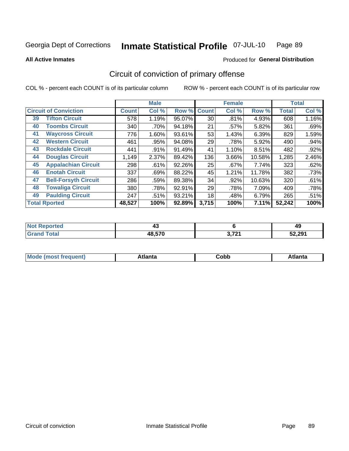#### Inmate Statistical Profile 07-JUL-10 Page 89

**All Active Inmates** 

### Produced for General Distribution

## Circuit of conviction of primary offense

COL % - percent each COUNT is of its particular column

|                                   |              | <b>Male</b> |           |              | <b>Female</b> |        |              | <b>Total</b> |
|-----------------------------------|--------------|-------------|-----------|--------------|---------------|--------|--------------|--------------|
| <b>Circuit of Conviction</b>      | <b>Count</b> | Col %       | Row %     | <b>Count</b> | Col %         | Row %  | <b>Total</b> | Col %        |
| <b>Tifton Circuit</b><br>39       | 578          | 1.19%       | 95.07%    | 30           | .81%          | 4.93%  | 608          | 1.16%        |
| <b>Toombs Circuit</b><br>40       | 340          | .70%        | 94.18%    | 21           | .57%          | 5.82%  | 361          | .69%         |
| <b>Waycross Circuit</b><br>41     | 776          | 1.60%       | 93.61%    | 53           | 1.43%         | 6.39%  | 829          | 1.59%        |
| <b>Western Circuit</b><br>42      | 461          | .95%        | 94.08%    | 29           | .78%          | 5.92%  | 490          | .94%         |
| <b>Rockdale Circuit</b><br>43     | 441          | .91%        | 91.49%    | 41           | 1.10%         | 8.51%  | 482          | .92%         |
| <b>Douglas Circuit</b><br>44      | 1,149        | 2.37%       | 89.42%    | 136          | 3.66%         | 10.58% | 1,285        | 2.46%        |
| <b>Appalachian Circuit</b><br>45  | 298          | .61%        | 92.26%    | 25           | .67%          | 7.74%  | 323          | .62%         |
| <b>Enotah Circuit</b><br>46       | 337          | .69%        | 88.22%    | 45           | 1.21%         | 11.78% | 382          | .73%         |
| 47<br><b>Bell-Forsyth Circuit</b> | 286          | .59%        | 89.38%    | 34           | .92%          | 10.63% | 320          | .61%         |
| <b>Towaliga Circuit</b><br>48     | 380          | .78%        | $92.91\%$ | 29           | .78%          | 7.09%  | 409          | .78%         |
| <b>Paulding Circuit</b><br>49     | 247          | .51%        | 93.21%    | 18           | .48%          | 6.79%  | 265          | .51%         |
| <b>Total Rported</b>              | 48,527       | 100%        | 92.89%    | 3,715        | 100%          | 7.11%  | 52,242       | 100%         |

| τeα | <b>TV</b> |     | 49     |
|-----|-----------|-----|--------|
|     | 48.570    | 272 | 52,291 |

| M | . | ----<br>oг  | ----<br>пLс |
|---|---|-------------|-------------|
|   |   | <b>OUNN</b> |             |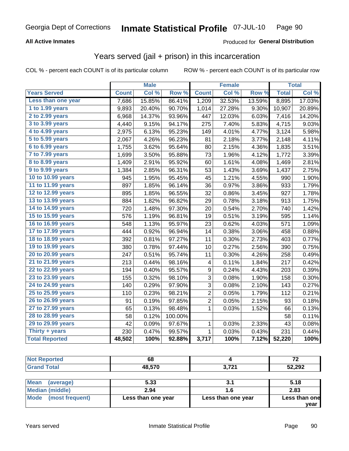#### Inmate Statistical Profile 07-JUL-10 Page 90

### **All Active Inmates**

### **Produced for General Distribution**

## Years served (jail + prison) in this incarceration

COL % - percent each COUNT is of its particular column

|                                           |              | <b>Male</b> |                  |                  | <b>Female</b> |        |              | <b>Total</b> |
|-------------------------------------------|--------------|-------------|------------------|------------------|---------------|--------|--------------|--------------|
| <b>Years Served</b>                       | <b>Count</b> | Col %       | Row <sup>%</sup> | <b>Count</b>     | Col %         | Row %  | <b>Total</b> | Col %        |
| Less than one year                        | 7,686        | 15.85%      | 86.41%           | 1,209            | 32.53%        | 13.59% | 8,895        | 17.03%       |
| 1 to 1.99 years                           | 9,893        | 20.40%      | 90.70%           | 1,014            | 27.28%        | 9.30%  | 10,907       | 20.89%       |
| 2 to 2.99 years                           | 6,968        | 14.37%      | 93.96%           | 447              | 12.03%        | 6.03%  | 7,416        | 14.20%       |
| $3$ to $3.99$ years                       | 4,440        | 9.15%       | 94.17%           | 275              | 7.40%         | 5.83%  | 4,715        | 9.03%        |
| $\overline{4}$ to 4.99 years              | 2,975        | 6.13%       | 95.23%           | 149              | 4.01%         | 4.77%  | 3,124        | 5.98%        |
| $\overline{5}$ to $\overline{5.99}$ years | 2,067        | 4.26%       | 96.23%           | 81               | 2.18%         | 3.77%  | 2,148        | 4.11%        |
| $6$ to $6.99$ years                       | 1,755        | 3.62%       | 95.64%           | 80               | 2.15%         | 4.36%  | 1,835        | 3.51%        |
| 7 to 7.99 years                           | 1,699        | 3.50%       | 95.88%           | 73               | 1.96%         | 4.12%  | 1,772        | 3.39%        |
| 8 to 8.99 years                           | 1,409        | 2.91%       | 95.92%           | 60               | 1.61%         | 4.08%  | 1,469        | 2.81%        |
| 9 to 9.99 years                           | 1,384        | 2.85%       | 96.31%           | 53               | 1.43%         | 3.69%  | 1,437        | 2.75%        |
| 10 to 10.99 years                         | 945          | 1.95%       | 95.45%           | 45               | 1.21%         | 4.55%  | 990          | 1.90%        |
| 11 to 11.99 years                         | 897          | 1.85%       | 96.14%           | 36               | 0.97%         | 3.86%  | 933          | 1.79%        |
| 12 to 12.99 years                         | 895          | 1.85%       | 96.55%           | 32               | 0.86%         | 3.45%  | 927          | 1.78%        |
| 13 to 13.99 years                         | 884          | 1.82%       | 96.82%           | 29               | 0.78%         | 3.18%  | 913          | 1.75%        |
| 14 to 14.99 years                         | 720          | 1.48%       | 97.30%           | 20               | 0.54%         | 2.70%  | 740          | 1.42%        |
| 15 to 15.99 years                         | 576          | 1.19%       | 96.81%           | 19               | 0.51%         | 3.19%  | 595          | 1.14%        |
| 16 to 16.99 years                         | 548          | 1.13%       | 95.97%           | 23               | 0.62%         | 4.03%  | 571          | 1.09%        |
| 17 to 17.99 years                         | 444          | 0.92%       | 96.94%           | 14               | 0.38%         | 3.06%  | 458          | 0.88%        |
| 18 to 18.99 years                         | 392          | 0.81%       | 97.27%           | 11               | 0.30%         | 2.73%  | 403          | 0.77%        |
| 19 to 19.99 years                         | 380          | 0.78%       | 97.44%           | 10               | 0.27%         | 2.56%  | 390          | 0.75%        |
| 20 to 20.99 years                         | 247          | 0.51%       | 95.74%           | 11               | 0.30%         | 4.26%  | 258          | 0.49%        |
| 21 to 21.99 years                         | 213          | 0.44%       | 98.16%           | 4                | 0.11%         | 1.84%  | 217          | 0.42%        |
| 22 to 22.99 years                         | 194          | 0.40%       | 95.57%           | $\boldsymbol{9}$ | 0.24%         | 4.43%  | 203          | 0.39%        |
| 23 to 23.99 years                         | 155          | 0.32%       | 98.10%           | 3                | 0.08%         | 1.90%  | 158          | 0.30%        |
| 24 to 24.99 years                         | 140          | 0.29%       | 97.90%           | 3                | 0.08%         | 2.10%  | 143          | 0.27%        |
| 25 to 25.99 years                         | 110          | 0.23%       | 98.21%           | $\overline{c}$   | 0.05%         | 1.79%  | 112          | 0.21%        |
| 26 to 26.99 years                         | 91           | 0.19%       | 97.85%           | $\overline{2}$   | 0.05%         | 2.15%  | 93           | 0.18%        |
| 27 to 27.99 years                         | 65           | 0.13%       | 98.48%           | $\mathbf 1$      | 0.03%         | 1.52%  | 66           | 0.13%        |
| 28 to 28.99 years                         | 58           | 0.12%       | 100.00%          |                  |               |        | 58           | 0.11%        |
| 29 to 29.99 years                         | 42           | 0.09%       | 97.67%           | 1                | 0.03%         | 2.33%  | 43           | 0.08%        |
| Thirty + years                            | 230          | 0.47%       | 99.57%           | $\mathbf 1$      | 0.03%         | 0.43%  | 231          | 0.44%        |
| <b>Total Reported</b>                     | 48,502       | 100%        | 92.88%           | 3,717            | 100%          | 7.12%  | 52,220       | 100%         |

| <b>Not Reported</b>      | 68     |       | 72     |
|--------------------------|--------|-------|--------|
| <b>Grand Total</b>       | 48,570 | 3,721 | 52,292 |
|                          |        |       |        |
| <b>Mean</b><br>(average) | 5.33   |       | 5.18   |
| Median (middle)          | 2.94   |       | 2.83   |

| <b>Median (middle)</b>         | 2.94               |                    | 2.83                  |
|--------------------------------|--------------------|--------------------|-----------------------|
| <b>Mode</b><br>(most frequent) | Less than one year | Less than one year | Less than one<br>vear |
|                                |                    |                    |                       |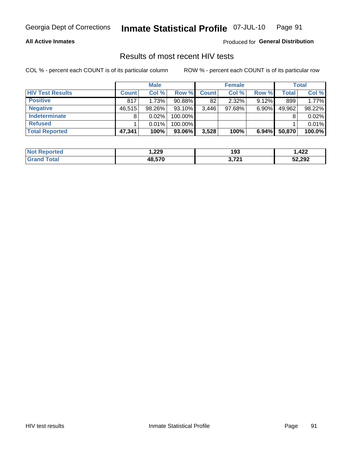#### Inmate Statistical Profile 07-JUL-10 Page 91

### **All Active Inmates**

Produced for General Distribution

## Results of most recent HIV tests

COL % - percent each COUNT is of its particular column

|                         |              | <b>Male</b> |           |              | <b>Female</b> |          |              | <b>Total</b> |
|-------------------------|--------------|-------------|-----------|--------------|---------------|----------|--------------|--------------|
| <b>HIV Test Results</b> | <b>Count</b> | Col %       | Row %I    | <b>Count</b> | Col %         | Row %    | <b>Total</b> | Col %        |
| <b>Positive</b>         | 817          | 1.73%       | $90.88\%$ | 82           | $2.32\%$      | $9.12\%$ | 899          | 1.77%        |
| <b>Negative</b>         | 46,515       | $98.26\%$   | 93.10%    | 3,446        | $97.68\%$     | $6.90\%$ | 49,962       | 98.22%       |
| <b>Indeterminate</b>    | 8            | 0.02%       | 100.00%   |              |               |          |              | 0.02%        |
| <b>Refused</b>          |              | 0.01%       | 100.00%   |              |               |          |              | 0.01%        |
| <b>Total Reported</b>   | 47,341       | 100%        | 93.06%    | 3,528        | 100%          | 6.94%    | 50,870       | 100.0%       |

| <b>Not</b><br><b>rted</b><br><b>KEIOIOI</b> | 229, ا | 193            | ,422   |
|---------------------------------------------|--------|----------------|--------|
| <b>Total</b><br><b>Grano</b>                | 48.570 | 2 721<br>J, IZ | 52,292 |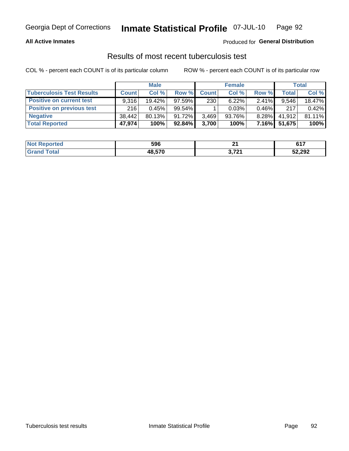#### Inmate Statistical Profile 07-JUL-10 Page 92

### **All Active Inmates**

### Produced for General Distribution

## Results of most recent tuberculosis test

COL % - percent each COUNT is of its particular column

|                                  | <b>Male</b>  |        |           | <b>Female</b> |           |          | Total  |        |
|----------------------------------|--------------|--------|-----------|---------------|-----------|----------|--------|--------|
| <b>Tuberculosis Test Results</b> | <b>Count</b> | Col%   | Row %I    | <b>Count</b>  | Col %     | Row %    | Total  | Col %  |
| <b>Positive on current test</b>  | 9.316        | 19.42% | $97.59\%$ | 230           | $6.22\%$  | 2.41%    | 9.546  | 18.47% |
| <b>Positive on previous test</b> | 216          | 0.45%  | 99.54%    |               | 0.03%     | $0.46\%$ | 217    | 0.42%  |
| <b>Negative</b>                  | 38.442       | 80.13% | 91.72%    | 3,469         | $93.76\%$ | $8.28\%$ | 41,912 | 81.11% |
| <b>Total Reported</b>            | 47,974       | 100%   | $92.84\%$ | 3,700         | 100%      | $7.16\%$ | 51,675 | 100%   |

| <b>Not Reported</b> | 596    | <b></b> | C 4 7<br>. U I . |
|---------------------|--------|---------|------------------|
| <b>Total</b>        | 48,570 | 2704    | 52,292           |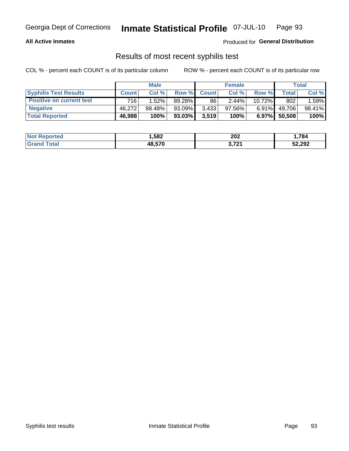## Georgia Dept of Corrections **Inmate Statistical Profile** 07-JUL-10 Page 93

### **All Active Inmates**

Produced for **General Distribution**

## Results of most recent syphilis test

COL % - percent each COUNT is of its particular column ROW % - percent each COUNT is of its particular row

|                                 | <b>Male</b>  |           |           | <b>Female</b> |           |           | Total   |        |
|---------------------------------|--------------|-----------|-----------|---------------|-----------|-----------|---------|--------|
| <b>Syphilis Test Results</b>    | <b>Count</b> | Col%      | Row %     | <b>Count</b>  | Col %     | Row %     | Total I | Col %  |
| <b>Positive on current test</b> | 716          | 1.52%     | 89.28%    | 86            | 2.44%     | $10.72\%$ | 802     | 1.59%  |
| <b>Negative</b>                 | 46.272       | $98.48\%$ | $93.09\%$ | 3,433         | $97.56\%$ | $6.91\%$  | 49,706  | 98.41% |
| <b>Total Reported</b>           | 46,988       | 100%      | 93.03%    | 3,519         | 100%      | $6.97\%$  | 50,508  | 100%   |

| <b>Not Reported</b> | 582. ا | 202   | 1,784  |
|---------------------|--------|-------|--------|
| <b>Grand Total</b>  | 48,570 | 3,721 | 52,292 |